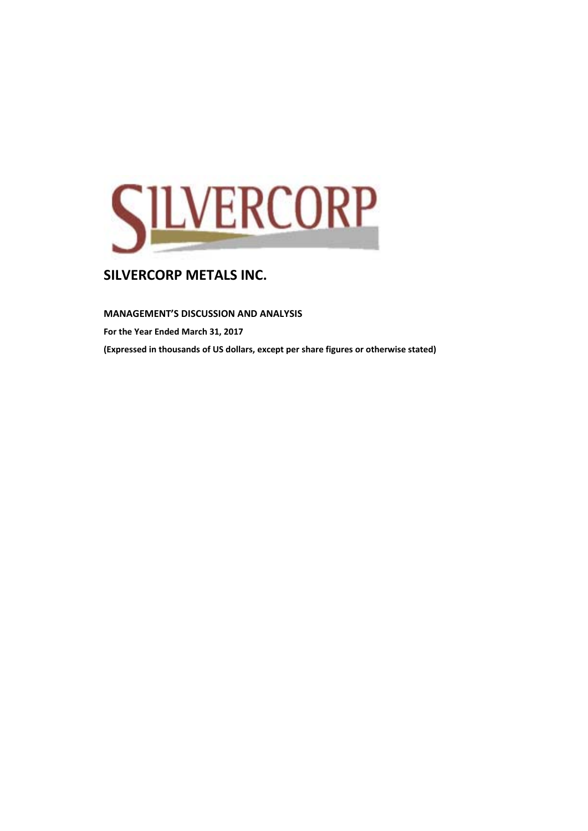

#### **MANAGEMENT'S DISCUSSION AND ANALYSIS**

**For the Year Ended March 31, 2017 (Expressed in thousands of US dollars, except per share figures or otherwise stated)**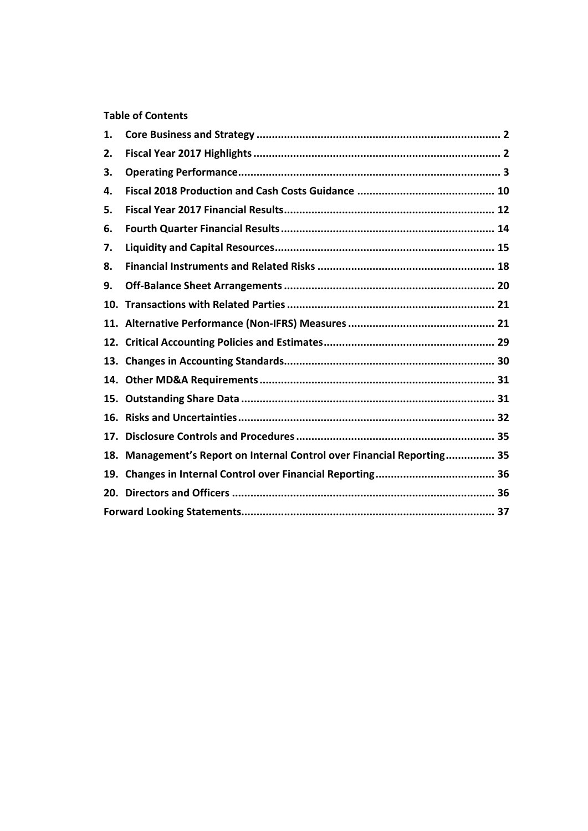# **Table of Contents**

| 1.  |                                                                         |  |
|-----|-------------------------------------------------------------------------|--|
| 2.  |                                                                         |  |
| З.  |                                                                         |  |
| 4.  |                                                                         |  |
| 5.  |                                                                         |  |
| 6.  |                                                                         |  |
| 7.  |                                                                         |  |
| 8.  |                                                                         |  |
| 9.  |                                                                         |  |
| 10. |                                                                         |  |
|     |                                                                         |  |
| 12. |                                                                         |  |
| 13. |                                                                         |  |
|     |                                                                         |  |
| 15. |                                                                         |  |
| 16. |                                                                         |  |
| 17. |                                                                         |  |
|     | 18. Management's Report on Internal Control over Financial Reporting 35 |  |
| 19. |                                                                         |  |
|     |                                                                         |  |
|     |                                                                         |  |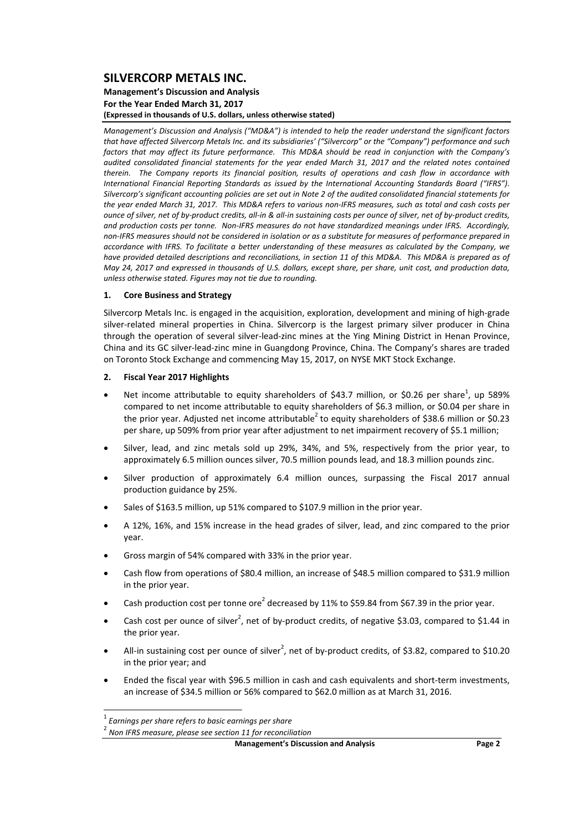#### **Management's Discussion and Analysis For the Year Ended March 31, 2017 (Expressed in thousands of U.S. dollars, unless otherwise stated)**

*Management's Discussion and Analysis ("MD&A") is intended to help the reader understand the significant factors* that have affected Silvercorp Metals Inc. and its subsidiaries' ("Silvercorp" or the "Company") performance and such factors that may affect its future performance. This MD&A should be read in conjunction with the Company's *audited consolidated financial statements for the year ended March 31, 2017 and the related notes contained* therein. The Company reports its financial position, results of operations and cash flow in accordance with *International Financial Reporting Standards as issued by the International Accounting Standards Board ("IFRS").* Silvercorp's significant accounting policies are set out in Note 2 of the audited consolidated financial statements for the year ended March 31, 2017. This MD&A refers to various non-IFRS measures, such as total and cash costs per ounce of silver, net of by-product credits, all-in & all-in sustaining costs per ounce of silver, net of by-product credits, and production costs per tonne. Non-IFRS measures do not have standardized meanings under IFRS. Accordingly, non-IFRS measures should not be considered in isolation or as a substitute for measures of performance prepared in accordance with IFRS. To facilitate a better understanding of these measures as calculated by the Company, we have provided detailed descriptions and reconciliations, in section 11 of this MD&A. This MD&A is prepared as of May 24, 2017 and expressed in thousands of U.S. dollars, except share, per share, unit cost, and production data, *unless otherwise stated. Figures may not tie due to rounding.*

#### **1. Core Business and Strategy**

Silvercorp Metals Inc. is engaged in the acquisition, exploration, development and mining of high‐grade silver-related mineral properties in China. Silvercorp is the largest primary silver producer in China through the operation of several silver‐lead‐zinc mines at the Ying Mining District in Henan Province, China and its GC silver‐lead‐zinc mine in Guangdong Province, China. The Company's shares are traded on Toronto Stock Exchange and commencing May 15, 2017, on NYSE MKT Stock Exchange.

#### **2. Fiscal Year 2017 Highlights**

- Net income attributable to equity shareholders of \$43.7 million, or \$0.26 per share<sup>1</sup>, up 589% compared to net income attributable to equity shareholders of \$6.3 million, or \$0.04 per share in the prior year. Adjusted net income attributable<sup>2</sup> to equity shareholders of \$38.6 million or \$0.23 per share, up 509% from prior year after adjustment to net impairment recovery of \$5.1 million;
- Silver, lead, and zinc metals sold up 29%, 34%, and 5%, respectively from the prior year, to approximately 6.5 million ounces silver, 70.5 million pounds lead, and 18.3 million pounds zinc.
- Silver production of approximately 6.4 million ounces, surpassing the Fiscal 2017 annual production guidance by 25%.
- Sales of \$163.5 million, up 51% compared to \$107.9 million in the prior year.
- A 12%, 16%, and 15% increase in the head grades of silver, lead, and zinc compared to the prior year.
- Gross margin of 54% compared with 33% in the prior year.
- Cash flow from operations of \$80.4 million, an increase of \$48.5 million compared to \$31.9 million in the prior year.
- **•** Cash production cost per tonne ore<sup>2</sup> decreased by 11% to \$59.84 from \$67.39 in the prior year.
- Cash cost per ounce of silver<sup>2</sup>, net of by-product credits, of negative \$3.03, compared to \$1.44 in the prior year.
- All-in sustaining cost per ounce of silver<sup>2</sup>, net of by-product credits, of \$3.82, compared to \$10.20 in the prior year; and
- Ended the fiscal year with \$96.5 million in cash and cash equivalents and short‐term investments, an increase of \$34.5 million or 56% compared to \$62.0 million as at March 31, 2016.

 <sup>1</sup> *Earnings per share refers to basic earnings per share*

<sup>2</sup> *Non IFRS measure, please see section 11 for reconciliation*

**Management's Discussion and Analysis Page 2**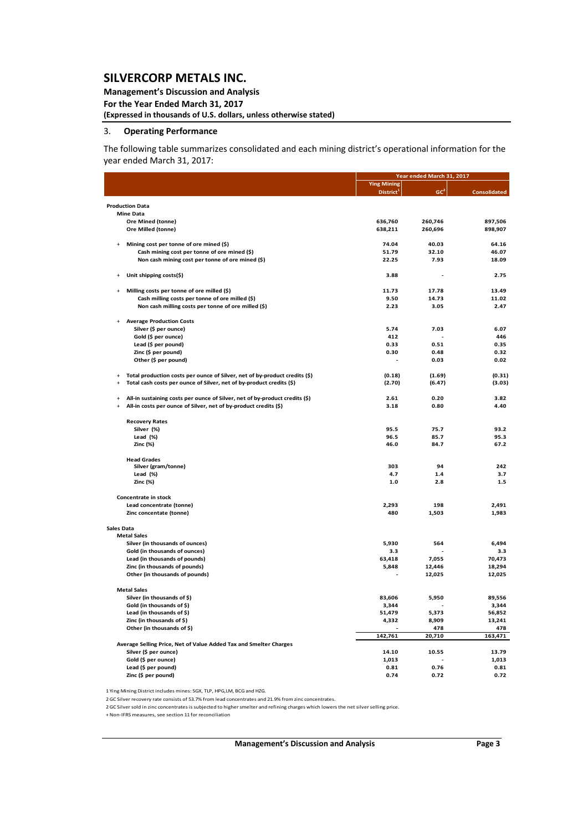**Management's Discussion and Analysis** 

**For the Year Ended March 31, 2017**

**(Expressed in thousands of U.S. dollars, unless otherwise stated)**

#### 3. **Operating Performance**

The following table summarizes consolidated and each mining district's operational information for the year ended March 31, 2017:

|                   |                                                                                                  |                       | Year ended March 31, 2017 |                     |
|-------------------|--------------------------------------------------------------------------------------------------|-----------------------|---------------------------|---------------------|
|                   |                                                                                                  | <b>Ying Mining</b>    |                           |                     |
|                   |                                                                                                  | District <sup>1</sup> | GC <sup>2</sup>           | <b>Consolidated</b> |
|                   | <b>Production Data</b>                                                                           |                       |                           |                     |
|                   | <b>Mine Data</b>                                                                                 |                       |                           |                     |
|                   | Ore Mined (tonne)                                                                                | 636,760               | 260,746                   | 897,506             |
|                   | Ore Milled (tonne)                                                                               | 638,211               | 260,696                   | 898,907             |
|                   |                                                                                                  |                       |                           |                     |
| $\ddot{}$         | Mining cost per tonne of ore mined (\$)                                                          | 74.04                 | 40.03<br>32.10            | 64.16<br>46.07      |
|                   | Cash mining cost per tonne of ore mined (\$)<br>Non cash mining cost per tonne of ore mined (\$) | 51.79<br>22.25        | 7.93                      | 18.09               |
|                   |                                                                                                  |                       |                           |                     |
|                   | Unit shipping costs(\$)                                                                          | 3.88                  |                           | 2.75                |
|                   | Milling costs per tonne of ore milled (\$)                                                       | 11.73                 | 17.78                     | 13.49               |
|                   | Cash milling costs per tonne of ore milled (\$)                                                  | 9.50                  | 14.73                     | 11.02               |
|                   | Non cash milling costs per tonne of ore milled (\$)                                              | 2.23                  | 3.05                      | 2.47                |
|                   |                                                                                                  |                       |                           |                     |
|                   | <b>Average Production Costs</b>                                                                  |                       |                           |                     |
|                   | Silver (\$ per ounce)                                                                            | 5.74                  | 7.03                      | 6.07                |
|                   | Gold (\$ per ounce)                                                                              | 412                   |                           | 446                 |
|                   | Lead (\$ per pound)                                                                              | 0.33<br>0.30          | 0.51<br>0.48              | 0.35<br>0.32        |
|                   | Zinc (\$ per pound)                                                                              |                       | 0.03                      | 0.02                |
|                   | Other (\$ per pound)                                                                             |                       |                           |                     |
|                   | Total production costs per ounce of Silver, net of by-product credits (\$)                       | (0.18)                | (1.69)                    | (0.31)              |
| $\ddot{}$         | Total cash costs per ounce of Silver, net of by-product credits (\$)                             | (2.70)                | (6.47)                    | (3.03)              |
|                   |                                                                                                  |                       |                           |                     |
| $\ddot{}$         | All-in sustaining costs per ounce of Silver, net of by-product credits (\$)                      | 2.61                  | 0.20                      | 3.82                |
|                   | All-in costs per ounce of Silver, net of by-product credits (\$)                                 | 3.18                  | 0.80                      | 4.40                |
|                   | <b>Recovery Rates</b>                                                                            |                       |                           |                     |
|                   | Silver (%)                                                                                       | 95.5                  | 75.7                      | 93.2                |
|                   | Lead $(*)$                                                                                       | 96.5                  | 85.7                      | 95.3                |
|                   | Zinc (%)                                                                                         | 46.0                  | 84.7                      | 67.2                |
|                   | <b>Head Grades</b>                                                                               |                       |                           |                     |
|                   | Silver (gram/tonne)                                                                              | 303                   | 94                        | 242                 |
|                   | Lead $(%)$                                                                                       | 4.7                   | 1.4                       | 3.7                 |
|                   | Zinc (%)                                                                                         | 1.0                   | 2.8                       | 1.5                 |
|                   |                                                                                                  |                       |                           |                     |
|                   | Concentrate in stock                                                                             |                       |                           |                     |
|                   | Lead concentrate (tonne)<br>Zinc concentate (tonne)                                              | 2,293<br>480          | 198<br>1,503              | 2,491<br>1,983      |
|                   |                                                                                                  |                       |                           |                     |
| <b>Sales Data</b> |                                                                                                  |                       |                           |                     |
|                   | <b>Metal Sales</b>                                                                               |                       |                           |                     |
|                   | Silver (in thousands of ounces)                                                                  | 5,930                 | 564                       | 6,494               |
|                   | Gold (in thousands of ounces)                                                                    | 3.3                   |                           | 3.3                 |
|                   | Lead (in thousands of pounds)                                                                    | 63,418                | 7,055                     | 70,473              |
|                   | Zinc (in thousands of pounds)                                                                    | 5,848                 | 12,446                    | 18,294              |
|                   | Other (in thousands of pounds)                                                                   |                       | 12,025                    | 12,025              |
|                   | <b>Metal Sales</b>                                                                               |                       |                           |                     |
|                   | Silver (in thousands of \$)                                                                      | 83,606                | 5,950                     | 89,556              |
|                   | Gold (in thousands of \$)                                                                        | 3,344                 |                           | 3,344               |
|                   | Lead (in thousands of \$)                                                                        | 51,479                | 5,373                     | 56,852              |
|                   | Zinc (in thousands of \$)                                                                        | 4,332                 | 8,909                     | 13,241              |
|                   | Other (in thousands of \$)                                                                       |                       | 478                       | 478                 |
|                   |                                                                                                  | 142,761               | 20,710                    | 163,471             |
|                   | Average Selling Price, Net of Value Added Tax and Smelter Charges                                |                       |                           |                     |
|                   | Silver (\$ per ounce)                                                                            | 14.10                 | 10.55                     | 13.79               |
|                   | Gold (\$ per ounce)                                                                              | 1,013                 |                           | 1,013               |
|                   | Lead (\$ per pound)                                                                              | 0.81                  | 0.76                      | 0.81                |
|                   | Zinc (\$ per pound)                                                                              | 0.74                  | 0.72                      | 0.72                |

1 Ying Mining District includes mines: SGX, TLP, HPG,LM, BCG and HZG.

2GC Silver recovery rate consists of 53.7% from lead concentrates and 21.9% from zinc concentrates.

2GC Silversold in zinc concentrates is subjected to highersmelter and refining charges which lowers the netsilverselling price.

+ Non‐IFRS measures, see section 11 for reconciliation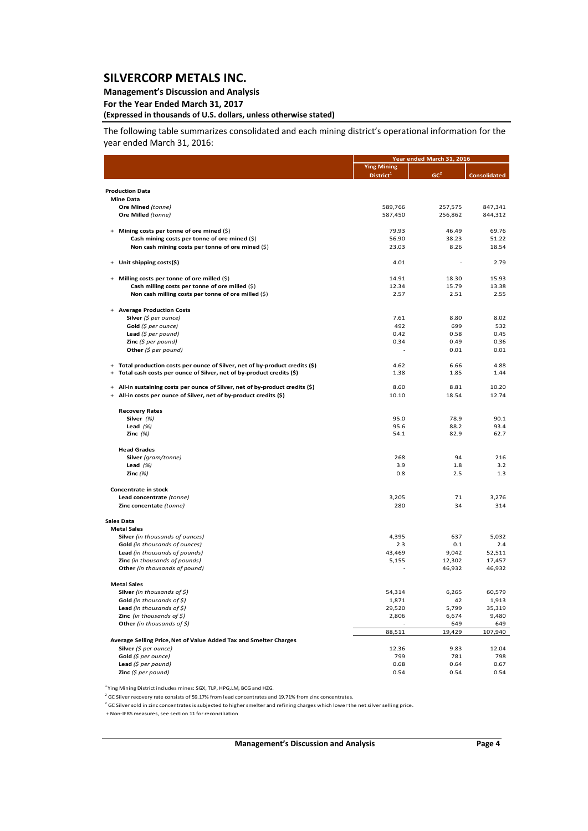#### **Management's Discussion and Analysis**

**For the Year Ended March 31, 2017**

## **(Expressed in thousands of U.S. dollars, unless otherwise stated)**

The following table summarizes consolidated and each mining district's operational information for the year ended March 31, 2016:

|                                                                                       |                       | Year ended March 31, 2016 |                     |  |  |
|---------------------------------------------------------------------------------------|-----------------------|---------------------------|---------------------|--|--|
|                                                                                       | <b>Ying Mining</b>    |                           |                     |  |  |
|                                                                                       | District <sup>1</sup> | GC <sup>2</sup>           | <b>Consolidated</b> |  |  |
|                                                                                       |                       |                           |                     |  |  |
| <b>Production Data</b><br><b>Mine Data</b>                                            |                       |                           |                     |  |  |
| Ore Mined (tonne)                                                                     | 589,766               | 257,575                   | 847,341             |  |  |
| Ore Milled (tonne)                                                                    | 587,450               | 256,862                   | 844,312             |  |  |
|                                                                                       |                       |                           |                     |  |  |
| + Mining costs per tonne of ore mined (\$)                                            | 79.93                 | 46.49                     | 69.76               |  |  |
| Cash mining costs per tonne of ore mined $(\xi)$                                      | 56.90                 | 38.23                     | 51.22               |  |  |
| Non cash mining costs per tonne of ore mined $(\xi)$                                  | 23.03                 | 8.26                      | 18.54               |  |  |
|                                                                                       |                       |                           |                     |  |  |
| Unit shipping costs(\$)                                                               | 4.01                  |                           | 2.79                |  |  |
| + Milling costs per tonne of ore milled (\$)                                          | 14.91                 | 18.30                     | 15.93               |  |  |
| Cash milling costs per tonne of ore milled (\$)                                       | 12.34                 | 15.79                     | 13.38               |  |  |
| Non cash milling costs per tonne of ore milled (\$)                                   | 2.57                  | 2.51                      | 2.55                |  |  |
|                                                                                       |                       |                           |                     |  |  |
| + Average Production Costs                                                            |                       |                           |                     |  |  |
| Silver $(\xi$ per ounce)                                                              | 7.61                  | 8.80                      | 8.02                |  |  |
| Gold (\$ per ounce)                                                                   | 492                   | 699                       | 532                 |  |  |
| <b>Lead</b> (\$ per pound)                                                            | 0.42                  | 0.58                      | 0.45                |  |  |
| <b>Zinc</b> (\$ per pound)                                                            | 0.34                  | 0.49                      | 0.36                |  |  |
| Other ( $$per$ pound)                                                                 |                       | 0.01                      | 0.01                |  |  |
| Total production costs per ounce of Silver, net of by-product credits (\$)<br>$_{+}$  | 4.62                  | 6.66                      | 4.88                |  |  |
| Total cash costs per ounce of Silver, net of by-product credits (\$)<br>$\ddot{}$     | 1.38                  | 1.85                      | 1.44                |  |  |
|                                                                                       |                       |                           |                     |  |  |
| All-in sustaining costs per ounce of Silver, net of by-product credits (\$)<br>$_{+}$ | 8.60                  | 8.81                      | 10.20               |  |  |
| All-in costs per ounce of Silver, net of by-product credits (\$)<br>$\ddot{}$         | 10.10                 | 18.54                     | 12.74               |  |  |
| <b>Recovery Rates</b>                                                                 |                       |                           |                     |  |  |
| Silver $(%)$                                                                          | 95.0                  | 78.9                      | 90.1                |  |  |
| Lead $(%)$                                                                            | 95.6                  | 88.2                      | 93.4                |  |  |
| Zinc $(%)$                                                                            | 54.1                  | 82.9                      | 62.7                |  |  |
| <b>Head Grades</b>                                                                    |                       |                           |                     |  |  |
| Silver (gram/tonne)                                                                   | 268                   | 94                        | 216                 |  |  |
| Lead $(%)$                                                                            | 3.9                   | 1.8                       | 3.2                 |  |  |
| Zinc $(%)$                                                                            | 0.8                   | 2.5                       | 1.3                 |  |  |
|                                                                                       |                       |                           |                     |  |  |
| Concentrate in stock                                                                  |                       |                           |                     |  |  |
| Lead concentrate (tonne)                                                              | 3,205                 | 71                        | 3,276               |  |  |
| Zinc concentate (tonne)                                                               | 280                   | 34                        | 314                 |  |  |
| <b>Sales Data</b>                                                                     |                       |                           |                     |  |  |
| <b>Metal Sales</b>                                                                    |                       |                           |                     |  |  |
| Silver (in thousands of ounces)                                                       | 4,395                 | 637                       | 5,032               |  |  |
| Gold (in thousands of ounces)                                                         | 2.3                   | 0.1                       | 2.4                 |  |  |
| Lead (in thousands of pounds)                                                         | 43,469                | 9,042                     | 52,511              |  |  |
| <b>Zinc</b> (in thousands of pounds)                                                  | 5,155                 | 12,302                    | 17,457              |  |  |
| Other (in thousands of pound)                                                         |                       | 46,932                    | 46,932              |  |  |
| <b>Metal Sales</b>                                                                    |                       |                           |                     |  |  |
| <b>Silver</b> (in thousands of \$)                                                    | 54,314                | 6,265                     | 60,579              |  |  |
| Gold (in thousands of $\zeta$ )                                                       | 1,871                 | 42                        | 1,913               |  |  |
| Lead (in thousands of $\zeta$ )                                                       | 29,520                | 5,799                     | 35,319              |  |  |
| <b>Zinc</b> (in thousands of $\zeta$ )                                                | 2,806                 | 6,674                     | 9,480               |  |  |
| Other (in thousands of $\$$ )                                                         |                       | 649                       | 649                 |  |  |
|                                                                                       | 88,511                | 19,429                    | 107,940             |  |  |
| Average Selling Price, Net of Value Added Tax and Smelter Charges                     |                       |                           |                     |  |  |
| Silver (\$ per ounce)                                                                 | 12.36                 | 9.83                      | 12.04               |  |  |
| Gold $(5$ per ounce)                                                                  | 799                   | 781                       | 798                 |  |  |
| Lead $(5$ per pound)                                                                  | 0.68                  | 0.64                      | 0.67                |  |  |
| Zinc $(S$ per pound)                                                                  | 0.54                  | 0.54                      | 0.54                |  |  |

<sup>1</sup> Ying Mining District includes mines: SGX, TLP, HPG,LM, BCG and HZG.

<sup>2</sup> GC Silver recovery rate consists of 59.17% from lead concentrates and 19.71% from zinc concentrates.

 $2$  GC Silver sold in zinc concentrates is subjected to higher smelter and refining charges which lower the net silver selling price.

+ Non‐IFRS measures, see section 11 for reconciliation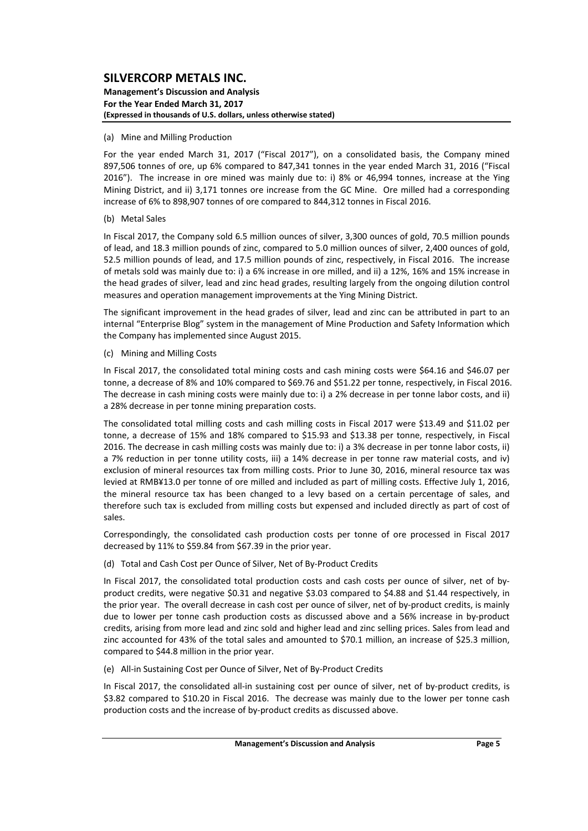#### **Management's Discussion and Analysis For the Year Ended March 31, 2017 (Expressed in thousands of U.S. dollars, unless otherwise stated)**

#### (a) Mine and Milling Production

For the year ended March 31, 2017 ("Fiscal 2017"), on a consolidated basis, the Company mined 897,506 tonnes of ore, up 6% compared to 847,341 tonnes in the year ended March 31, 2016 ("Fiscal 2016"). The increase in ore mined was mainly due to: i) 8% or 46,994 tonnes, increase at the Ying Mining District, and ii) 3,171 tonnes ore increase from the GC Mine. Ore milled had a corresponding increase of 6% to 898,907 tonnes of ore compared to 844,312 tonnes in Fiscal 2016.

#### (b) Metal Sales

In Fiscal 2017, the Company sold 6.5 million ounces of silver, 3,300 ounces of gold, 70.5 million pounds of lead, and 18.3 million pounds of zinc, compared to 5.0 million ounces of silver, 2,400 ounces of gold, 52.5 million pounds of lead, and 17.5 million pounds of zinc, respectively, in Fiscal 2016. The increase of metals sold was mainly due to: i) a 6% increase in ore milled, and ii) a 12%, 16% and 15% increase in the head grades of silver, lead and zinc head grades, resulting largely from the ongoing dilution control measures and operation management improvements at the Ying Mining District.

The significant improvement in the head grades of silver, lead and zinc can be attributed in part to an internal "Enterprise Blog" system in the management of Mine Production and Safety Information which the Company has implemented since August 2015.

#### (c) Mining and Milling Costs

In Fiscal 2017, the consolidated total mining costs and cash mining costs were \$64.16 and \$46.07 per tonne, a decrease of 8% and 10% compared to \$69.76 and \$51.22 per tonne, respectively, in Fiscal 2016. The decrease in cash mining costs were mainly due to: i) a 2% decrease in per tonne labor costs, and ii) a 28% decrease in per tonne mining preparation costs.

The consolidated total milling costs and cash milling costs in Fiscal 2017 were \$13.49 and \$11.02 per tonne, a decrease of 15% and 18% compared to \$15.93 and \$13.38 per tonne, respectively, in Fiscal 2016. The decrease in cash milling costs was mainly due to: i) a 3% decrease in per tonne labor costs, ii) a 7% reduction in per tonne utility costs, iii) a 14% decrease in per tonne raw material costs, and iv) exclusion of mineral resources tax from milling costs. Prior to June 30, 2016, mineral resource tax was levied at RMB¥13.0 per tonne of ore milled and included as part of milling costs. Effective July 1, 2016, the mineral resource tax has been changed to a levy based on a certain percentage of sales, and therefore such tax is excluded from milling costs but expensed and included directly as part of cost of sales.

Correspondingly, the consolidated cash production costs per tonne of ore processed in Fiscal 2017 decreased by 11% to \$59.84 from \$67.39 in the prior year.

(d) Total and Cash Cost per Ounce of Silver, Net of By‐Product Credits

In Fiscal 2017, the consolidated total production costs and cash costs per ounce of silver, net of byproduct credits, were negative \$0.31 and negative \$3.03 compared to \$4.88 and \$1.44 respectively, in the prior year. The overall decrease in cash cost per ounce of silver, net of by-product credits, is mainly due to lower per tonne cash production costs as discussed above and a 56% increase in by‐product credits, arising from more lead and zinc sold and higher lead and zinc selling prices. Sales from lead and zinc accounted for 43% of the total sales and amounted to \$70.1 million, an increase of \$25.3 million, compared to \$44.8 million in the prior year.

(e) All‐in Sustaining Cost per Ounce of Silver, Net of By‐Product Credits

In Fiscal 2017, the consolidated all-in sustaining cost per ounce of silver, net of by-product credits, is \$3.82 compared to \$10.20 in Fiscal 2016. The decrease was mainly due to the lower per tonne cash production costs and the increase of by-product credits as discussed above.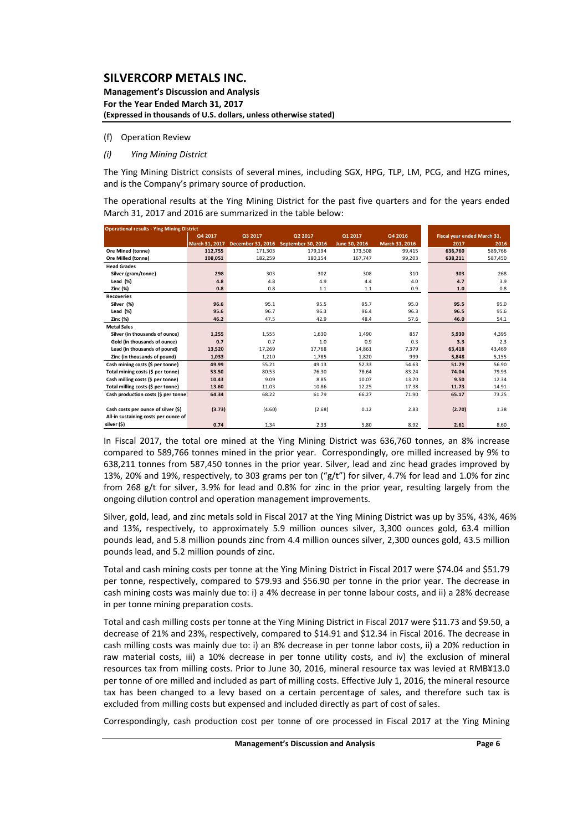**Management's Discussion and Analysis For the Year Ended March 31, 2017 (Expressed in thousands of U.S. dollars, unless otherwise stated)**

#### (f) Operation Review

*(i) Ying Mining District* 

The Ying Mining District consists of several mines, including SGX, HPG, TLP, LM, PCG, and HZG mines, and is the Company's primary source of production.

The operational results at the Ying Mining District for the past five quarters and for the years ended March 31, 2017 and 2016 are summarized in the table below:

| <b>Operational results - Ying Mining District</b> |                |                   |                    |               |                |         |                             |  |  |  |  |  |
|---------------------------------------------------|----------------|-------------------|--------------------|---------------|----------------|---------|-----------------------------|--|--|--|--|--|
|                                                   | Q4 2017        | Q3 2017           | Q2 2017            | 01 2017       | Q4 2016        |         | Fiscal year ended March 31, |  |  |  |  |  |
|                                                   | March 31, 2017 | December 31, 2016 | September 30, 2016 | June 30, 2016 | March 31, 2016 | 2017    | 2016                        |  |  |  |  |  |
| <b>Ore Mined (tonne)</b>                          | 112,755        | 171.303           | 179.194            | 173,508       | 99.415         | 636.760 | 589,766                     |  |  |  |  |  |
| Ore Milled (tonne)                                | 108,051        | 182,259           | 180,154            | 167,747       | 99,203         | 638,211 | 587,450                     |  |  |  |  |  |
| <b>Head Grades</b>                                |                |                   |                    |               |                |         |                             |  |  |  |  |  |
| Silver (gram/tonne)                               | 298            | 303               | 302                | 308           | 310            | 303     | 268                         |  |  |  |  |  |
| Lead (%)                                          | 4.8            | 4.8               | 4.9                | 4.4           | 4.0            | 4.7     | 3.9                         |  |  |  |  |  |
| Zinc (%)                                          | 0.8            | 0.8               | 1.1                | 1.1           | 0.9            | 1.0     | 0.8                         |  |  |  |  |  |
| <b>Recoveries</b>                                 |                |                   |                    |               |                |         |                             |  |  |  |  |  |
| Silver (%)                                        | 96.6           | 95.1              | 95.5               | 95.7          | 95.0           | 95.5    | 95.0                        |  |  |  |  |  |
| Lead $(*)$                                        | 95.6           | 96.7              | 96.3               | 96.4          | 96.3           | 96.5    | 95.6                        |  |  |  |  |  |
| Zinc (%)                                          | 46.2           | 47.5              | 42.9               | 48.4          | 57.6           | 46.0    | 54.1                        |  |  |  |  |  |
| <b>Metal Sales</b>                                |                |                   |                    |               |                |         |                             |  |  |  |  |  |
| Silver (in thousands of ounce)                    | 1,255          | 1,555             | 1,630              | 1,490         | 857            | 5,930   | 4,395                       |  |  |  |  |  |
| Gold (in thousands of ounce)                      | 0.7            | 0.7               | 1.0                | 0.9           | 0.3            | 3.3     | 2.3                         |  |  |  |  |  |
| Lead (in thousands of pound)                      | 13,520         | 17,269            | 17,768             | 14,861        | 7,379          | 63,418  | 43,469                      |  |  |  |  |  |
| Zinc (in thousands of pound)                      | 1,033          | 1,210             | 1,785              | 1,820         | 999            | 5,848   | 5,155                       |  |  |  |  |  |
| Cash mining costs (\$ per tonne)                  | 49.99          | 55.21             | 49.13              | 52.33         | 54.63          | 51.79   | 56.90                       |  |  |  |  |  |
| Total mining costs (\$ per tonne)                 | 53.50          | 80.53             | 76.30              | 78.64         | 83.24          | 74.04   | 79.93                       |  |  |  |  |  |
| Cash milling costs (\$ per tonne)                 | 10.43          | 9.09              | 8.85               | 10.07         | 13.70          | 9.50    | 12.34                       |  |  |  |  |  |
| Total milling costs (\$ per tonne)                | 13.60          | 11.03             | 10.86              | 12.25         | 17.38          | 11.73   | 14.91                       |  |  |  |  |  |
| Cash production costs (\$ per tonne)              | 64.34          | 68.22             | 61.79              | 66.27         | 71.90          | 65.17   | 73.25                       |  |  |  |  |  |
|                                                   |                |                   |                    |               |                |         |                             |  |  |  |  |  |
| Cash costs per ounce of silver (\$)               | (3.73)         | (4.60)            | (2.68)             | 0.12          | 2.83           | (2.70)  | 1.38                        |  |  |  |  |  |
| All-in sustaining costs per ounce of              |                |                   |                    |               |                |         |                             |  |  |  |  |  |
| silver (\$)                                       | 0.74           | 1.34              | 2.33               | 5.80          | 8.92           | 2.61    | 8.60                        |  |  |  |  |  |

In Fiscal 2017, the total ore mined at the Ying Mining District was 636,760 tonnes, an 8% increase compared to 589,766 tonnes mined in the prior year. Correspondingly, ore milled increased by 9% to 638,211 tonnes from 587,450 tonnes in the prior year. Silver, lead and zinc head grades improved by 13%, 20% and 19%, respectively, to 303 grams per ton ("g/t") for silver, 4.7% for lead and 1.0% for zinc from 268 g/t for silver, 3.9% for lead and 0.8% for zinc in the prior year, resulting largely from the ongoing dilution control and operation management improvements.

Silver, gold, lead, and zinc metals sold in Fiscal 2017 at the Ying Mining District was up by 35%, 43%, 46% and 13%, respectively, to approximately 5.9 million ounces silver, 3,300 ounces gold, 63.4 million pounds lead, and 5.8 million pounds zinc from 4.4 million ounces silver, 2,300 ounces gold, 43.5 million pounds lead, and 5.2 million pounds of zinc.

Total and cash mining costs per tonne at the Ying Mining District in Fiscal 2017 were \$74.04 and \$51.79 per tonne, respectively, compared to \$79.93 and \$56.90 per tonne in the prior year. The decrease in cash mining costs was mainly due to: i) a 4% decrease in per tonne labour costs, and ii) a 28% decrease in per tonne mining preparation costs.

Total and cash milling costs per tonne at the Ying Mining District in Fiscal 2017 were \$11.73 and \$9.50, a decrease of 21% and 23%, respectively, compared to \$14.91 and \$12.34 in Fiscal 2016. The decrease in cash milling costs was mainly due to: i) an 8% decrease in per tonne labor costs, ii) a 20% reduction in raw material costs, iii) a 10% decrease in per tonne utility costs, and iv) the exclusion of mineral resources tax from milling costs. Prior to June 30, 2016, mineral resource tax was levied at RMB¥13.0 per tonne of ore milled and included as part of milling costs. Effective July 1, 2016, the mineral resource tax has been changed to a levy based on a certain percentage of sales, and therefore such tax is excluded from milling costs but expensed and included directly as part of cost of sales.

Correspondingly, cash production cost per tonne of ore processed in Fiscal 2017 at the Ying Mining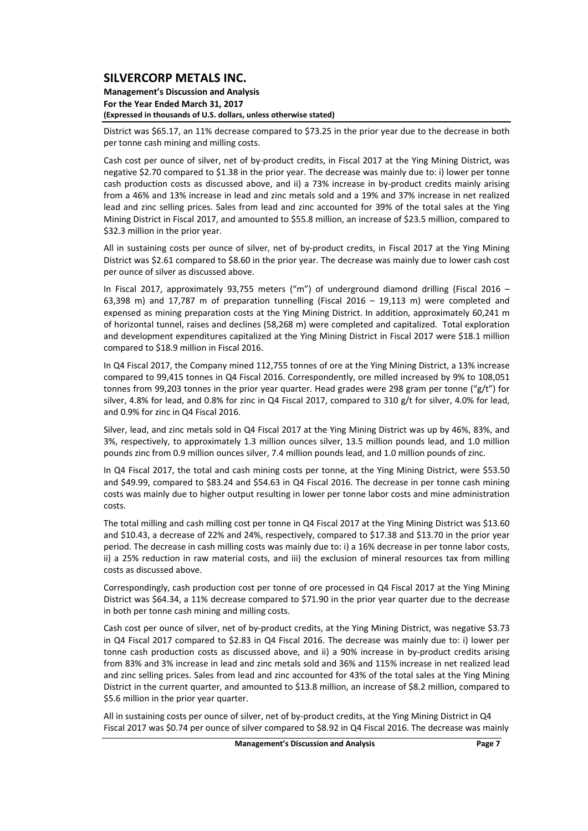**Management's Discussion and Analysis For the Year Ended March 31, 2017 (Expressed in thousands of U.S. dollars, unless otherwise stated)**

District was \$65.17, an 11% decrease compared to \$73.25 in the prior year due to the decrease in both per tonne cash mining and milling costs.

Cash cost per ounce of silver, net of by‐product credits, in Fiscal 2017 at the Ying Mining District, was negative \$2.70 compared to \$1.38 in the prior year. The decrease was mainly due to: i) lower per tonne cash production costs as discussed above, and ii) a 73% increase in by-product credits mainly arising from a 46% and 13% increase in lead and zinc metals sold and a 19% and 37% increase in net realized lead and zinc selling prices. Sales from lead and zinc accounted for 39% of the total sales at the Ying Mining District in Fiscal 2017, and amounted to \$55.8 million, an increase of \$23.5 million, compared to \$32.3 million in the prior year.

All in sustaining costs per ounce of silver, net of by-product credits, in Fiscal 2017 at the Ying Mining District was \$2.61 compared to \$8.60 in the prior year. The decrease was mainly due to lower cash cost per ounce of silver as discussed above.

In Fiscal 2017, approximately 93,755 meters ("m") of underground diamond drilling (Fiscal 2016 – 63,398 m) and 17,787 m of preparation tunnelling (Fiscal 2016 – 19,113 m) were completed and expensed as mining preparation costs at the Ying Mining District. In addition, approximately 60,241 m of horizontal tunnel, raises and declines (58,268 m) were completed and capitalized. Total exploration and development expenditures capitalized at the Ying Mining District in Fiscal 2017 were \$18.1 million compared to \$18.9 million in Fiscal 2016.

In Q4 Fiscal 2017, the Company mined 112,755 tonnes of ore at the Ying Mining District, a 13% increase compared to 99,415 tonnes in Q4 Fiscal 2016. Correspondently, ore milled increased by 9% to 108,051 tonnes from 99,203 tonnes in the prior year quarter. Head grades were 298 gram per tonne (" $g/t$ ") for silver, 4.8% for lead, and 0.8% for zinc in Q4 Fiscal 2017, compared to 310 g/t for silver, 4.0% for lead, and 0.9% for zinc in Q4 Fiscal 2016.

Silver, lead, and zinc metals sold in Q4 Fiscal 2017 at the Ying Mining District was up by 46%, 83%, and 3%, respectively, to approximately 1.3 million ounces silver, 13.5 million pounds lead, and 1.0 million pounds zinc from 0.9 million ounces silver, 7.4 million pounds lead, and 1.0 million pounds of zinc.

In Q4 Fiscal 2017, the total and cash mining costs per tonne, at the Ying Mining District, were \$53.50 and \$49.99, compared to \$83.24 and \$54.63 in Q4 Fiscal 2016. The decrease in per tonne cash mining costs was mainly due to higher output resulting in lower per tonne labor costs and mine administration costs.

The total milling and cash milling cost per tonne in Q4 Fiscal 2017 at the Ying Mining District was \$13.60 and \$10.43, a decrease of 22% and 24%, respectively, compared to \$17.38 and \$13.70 in the prior year period. The decrease in cash milling costs was mainly due to: i) a 16% decrease in per tonne labor costs, ii) a 25% reduction in raw material costs, and iii) the exclusion of mineral resources tax from milling costs as discussed above.

Correspondingly, cash production cost per tonne of ore processed in Q4 Fiscal 2017 at the Ying Mining District was \$64.34, a 11% decrease compared to \$71.90 in the prior year quarter due to the decrease in both per tonne cash mining and milling costs.

Cash cost per ounce of silver, net of by‐product credits, at the Ying Mining District, was negative \$3.73 in Q4 Fiscal 2017 compared to \$2.83 in Q4 Fiscal 2016. The decrease was mainly due to: i) lower per tonne cash production costs as discussed above, and ii) a 90% increase in by-product credits arising from 83% and 3% increase in lead and zinc metals sold and 36% and 115% increase in net realized lead and zinc selling prices. Sales from lead and zinc accounted for 43% of the total sales at the Ying Mining District in the current quarter, and amounted to \$13.8 million, an increase of \$8.2 million, compared to \$5.6 million in the prior year quarter.

All in sustaining costs per ounce of silver, net of by-product credits, at the Ying Mining District in Q4 Fiscal 2017 was \$0.74 per ounce of silver compared to \$8.92 in Q4 Fiscal 2016. The decrease was mainly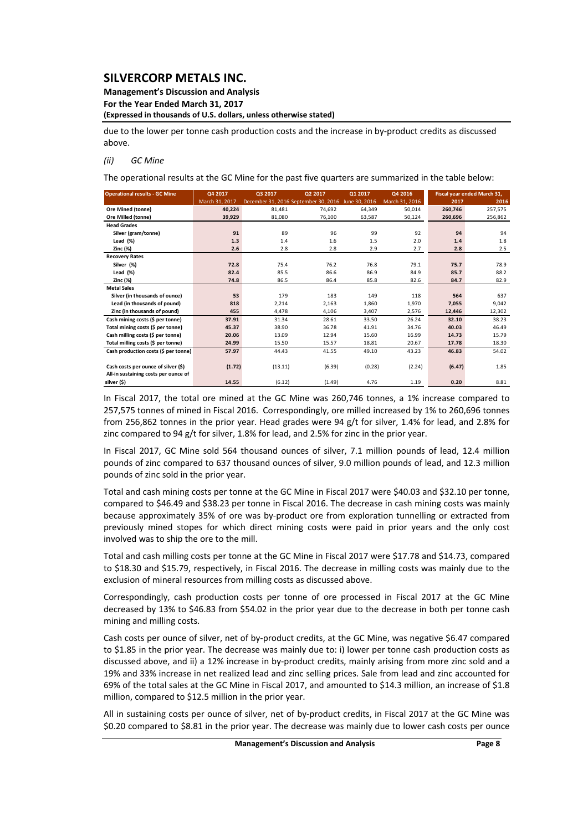#### **Management's Discussion and Analysis For the Year Ended March 31, 2017**

**(Expressed in thousands of U.S. dollars, unless otherwise stated)**

due to the lower per tonne cash production costs and the increase in by‐product credits as discussed above.

#### *(ii) GC Mine*

The operational results at the GC Mine for the past five quarters are summarized in the table below:

| <b>Operational results - GC Mine</b> | Q4 2017        |                                      | Q2 2017 | Q1 2017       | Q4 2016        |         | Fiscal year ended March 31, |
|--------------------------------------|----------------|--------------------------------------|---------|---------------|----------------|---------|-----------------------------|
|                                      | March 31, 2017 | December 31, 2016 September 30, 2016 |         | June 30, 2016 | March 31, 2016 | 2017    | 2016                        |
| Ore Mined (tonne)                    | 40.224         | 81,481                               | 74,692  | 64,349        | 50.014         | 260,746 | 257,575                     |
| <b>Ore Milled (tonne)</b>            | 39,929         | 81,080                               | 76,100  | 63,587        | 50,124         | 260,696 | 256,862                     |
| <b>Head Grades</b>                   |                |                                      |         |               |                |         |                             |
| Silver (gram/tonne)                  | 91             | 89                                   | 96      | 99            | 92             | 94      | 94                          |
| Lead $(\%)$                          | 1.3            | 1.4                                  | 1.6     | 1.5           | 2.0            | 1.4     | 1.8                         |
| Zinc (%)                             | 2.6            | 2.8                                  | 2.8     | 2.9           | 2.7            | 2.8     | 2.5                         |
| <b>Recovery Rates</b>                |                |                                      |         |               |                |         |                             |
| Silver (%)                           | 72.8           | 75.4                                 | 76.2    | 76.8          | 79.1           | 75.7    | 78.9                        |
| Lead $(\%)$                          | 82.4           | 85.5                                 | 86.6    | 86.9          | 84.9           | 85.7    | 88.2                        |
| <b>Zinc (%)</b>                      | 74.8           | 86.5                                 | 86.4    | 85.8          | 82.6           | 84.7    | 82.9                        |
| <b>Metal Sales</b>                   |                |                                      |         |               |                |         |                             |
| Silver (in thousands of ounce)       | 53             | 179                                  | 183     | 149           | 118            | 564     | 637                         |
| Lead (in thousands of pound)         | 818            | 2,214                                | 2,163   | 1,860         | 1,970          | 7.055   | 9,042                       |
| Zinc (in thousands of pound)         | 455            | 4,478                                | 4,106   | 3,407         | 2,576          | 12,446  | 12,302                      |
| Cash mining costs (\$ per tonne)     | 37.91          | 31.34                                | 28.61   | 33.50         | 26.24          | 32.10   | 38.23                       |
| Total mining costs (\$ per tonne)    | 45.37          | 38.90                                | 36.78   | 41.91         | 34.76          | 40.03   | 46.49                       |
| Cash milling costs (\$ per tonne)    | 20.06          | 13.09                                | 12.94   | 15.60         | 16.99          | 14.73   | 15.79                       |
| Total milling costs (\$ per tonne)   | 24.99          | 15.50                                | 15.57   | 18.81         | 20.67          | 17.78   | 18.30                       |
| Cash production costs (\$ per tonne) | 57.97          | 44.43                                | 41.55   | 49.10         | 43.23          | 46.83   | 54.02                       |
|                                      |                |                                      |         |               |                |         |                             |
| Cash costs per ounce of silver (\$)  | (1.72)         | (13.11)                              | (6.39)  | (0.28)        | (2.24)         | (6.47)  | 1.85                        |
| All-in sustaining costs per ounce of |                |                                      |         |               |                |         |                             |
| silver (\$)                          | 14.55          | (6.12)                               | (1.49)  | 4.76          | 1.19           | 0.20    | 8.81                        |

In Fiscal 2017, the total ore mined at the GC Mine was 260,746 tonnes, a 1% increase compared to 257,575 tonnes of mined in Fiscal 2016. Correspondingly, ore milled increased by 1% to 260,696 tonnes from 256,862 tonnes in the prior year. Head grades were 94 g/t for silver, 1.4% for lead, and 2.8% for zinc compared to 94 g/t for silver, 1.8% for lead, and 2.5% for zinc in the prior year.

In Fiscal 2017, GC Mine sold 564 thousand ounces of silver, 7.1 million pounds of lead, 12.4 million pounds of zinc compared to 637 thousand ounces of silver, 9.0 million pounds of lead, and 12.3 million pounds of zinc sold in the prior year.

Total and cash mining costs per tonne at the GC Mine in Fiscal 2017 were \$40.03 and \$32.10 per tonne, compared to \$46.49 and \$38.23 per tonne in Fiscal 2016. The decrease in cash mining costs was mainly because approximately 35% of ore was by‐product ore from exploration tunnelling or extracted from previously mined stopes for which direct mining costs were paid in prior years and the only cost involved was to ship the ore to the mill.

Total and cash milling costs per tonne at the GC Mine in Fiscal 2017 were \$17.78 and \$14.73, compared to \$18.30 and \$15.79, respectively, in Fiscal 2016. The decrease in milling costs was mainly due to the exclusion of mineral resources from milling costs as discussed above.

Correspondingly, cash production costs per tonne of ore processed in Fiscal 2017 at the GC Mine decreased by 13% to \$46.83 from \$54.02 in the prior year due to the decrease in both per tonne cash mining and milling costs.

Cash costs per ounce of silver, net of by‐product credits, at the GC Mine, was negative \$6.47 compared to \$1.85 in the prior year. The decrease was mainly due to: i) lower per tonne cash production costs as discussed above, and ii) a 12% increase in by‐product credits, mainly arising from more zinc sold and a 19% and 33% increase in net realized lead and zinc selling prices. Sale from lead and zinc accounted for 69% of the total sales at the GC Mine in Fiscal 2017, and amounted to \$14.3 million, an increase of \$1.8 million, compared to \$12.5 million in the prior year.

All in sustaining costs per ounce of silver, net of by‐product credits, in Fiscal 2017 at the GC Mine was \$0.20 compared to \$8.81 in the prior year. The decrease was mainly due to lower cash costs per ounce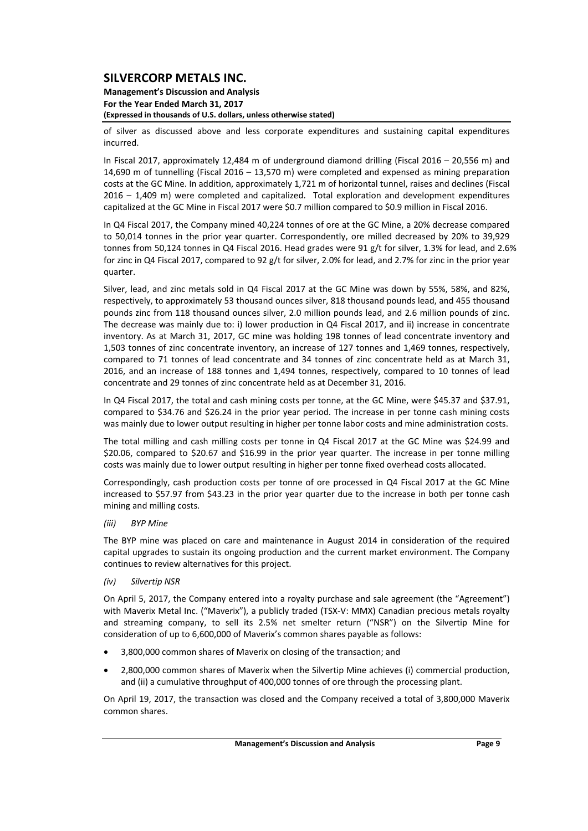#### **Management's Discussion and Analysis For the Year Ended March 31, 2017 (Expressed in thousands of U.S. dollars, unless otherwise stated)**

of silver as discussed above and less corporate expenditures and sustaining capital expenditures incurred.

In Fiscal 2017, approximately 12,484 m of underground diamond drilling (Fiscal 2016 – 20,556 m) and 14,690 m of tunnelling (Fiscal 2016 – 13,570 m) were completed and expensed as mining preparation costs at the GC Mine. In addition, approximately 1,721 m of horizontal tunnel, raises and declines (Fiscal 2016 – 1,409 m) were completed and capitalized. Total exploration and development expenditures capitalized at the GC Mine in Fiscal 2017 were \$0.7 million compared to \$0.9 million in Fiscal 2016.

In Q4 Fiscal 2017, the Company mined 40,224 tonnes of ore at the GC Mine, a 20% decrease compared to 50,014 tonnes in the prior year quarter. Correspondently, ore milled decreased by 20% to 39,929 tonnes from 50,124 tonnes in Q4 Fiscal 2016. Head grades were 91 g/t for silver, 1.3% for lead, and 2.6% for zinc in Q4 Fiscal 2017, compared to 92 g/t for silver, 2.0% for lead, and 2.7% for zinc in the prior year quarter.

Silver, lead, and zinc metals sold in Q4 Fiscal 2017 at the GC Mine was down by 55%, 58%, and 82%, respectively, to approximately 53 thousand ounces silver, 818 thousand pounds lead, and 455 thousand pounds zinc from 118 thousand ounces silver, 2.0 million pounds lead, and 2.6 million pounds of zinc. The decrease was mainly due to: i) lower production in Q4 Fiscal 2017, and ii) increase in concentrate inventory. As at March 31, 2017, GC mine was holding 198 tonnes of lead concentrate inventory and 1,503 tonnes of zinc concentrate inventory, an increase of 127 tonnes and 1,469 tonnes, respectively, compared to 71 tonnes of lead concentrate and 34 tonnes of zinc concentrate held as at March 31, 2016, and an increase of 188 tonnes and 1,494 tonnes, respectively, compared to 10 tonnes of lead concentrate and 29 tonnes of zinc concentrate held as at December 31, 2016.

In Q4 Fiscal 2017, the total and cash mining costs per tonne, at the GC Mine, were \$45.37 and \$37.91, compared to \$34.76 and \$26.24 in the prior year period. The increase in per tonne cash mining costs was mainly due to lower output resulting in higher per tonne labor costs and mine administration costs.

The total milling and cash milling costs per tonne in Q4 Fiscal 2017 at the GC Mine was \$24.99 and \$20.06, compared to \$20.67 and \$16.99 in the prior year quarter. The increase in per tonne milling costs was mainly due to lower output resulting in higher per tonne fixed overhead costs allocated.

Correspondingly, cash production costs per tonne of ore processed in Q4 Fiscal 2017 at the GC Mine increased to \$57.97 from \$43.23 in the prior year quarter due to the increase in both per tonne cash mining and milling costs.

#### *(iii) BYP Mine*

The BYP mine was placed on care and maintenance in August 2014 in consideration of the required capital upgrades to sustain its ongoing production and the current market environment. The Company continues to review alternatives for this project.

#### *(iv) Silvertip NSR*

On April 5, 2017, the Company entered into a royalty purchase and sale agreement (the "Agreement") with Maverix Metal Inc. ("Maverix"), a publicly traded (TSX-V: MMX) Canadian precious metals royalty and streaming company, to sell its 2.5% net smelter return ("NSR") on the Silvertip Mine for consideration of up to 6,600,000 of Maverix's common shares payable as follows:

- 3,800,000 common shares of Maverix on closing of the transaction; and
- 2,800,000 common shares of Maverix when the Silvertip Mine achieves (i) commercial production, and (ii) a cumulative throughput of 400,000 tonnes of ore through the processing plant.

On April 19, 2017, the transaction was closed and the Company received a total of 3,800,000 Maverix common shares.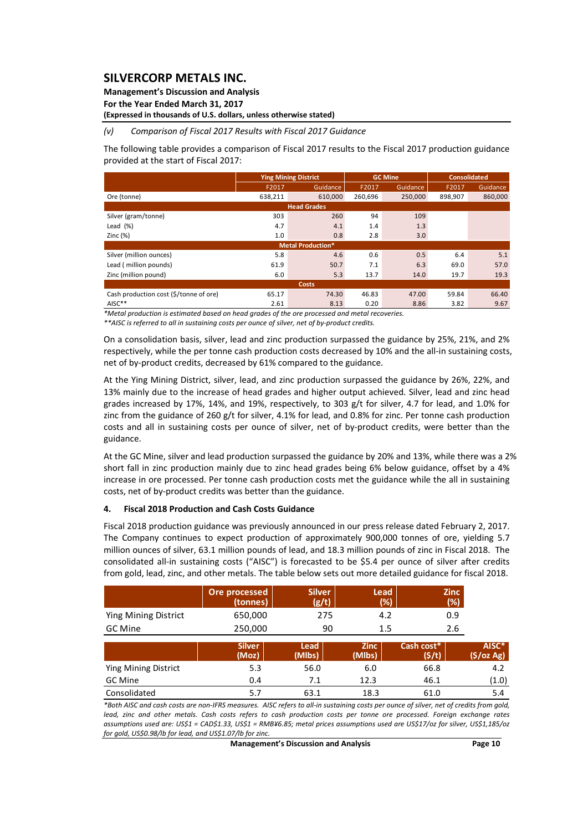**Management's Discussion and Analysis** 

**For the Year Ended March 31, 2017**

**(Expressed in thousands of U.S. dollars, unless otherwise stated)**

#### *(v) Comparison of Fiscal 2017 Results with Fiscal 2017 Guidance*

The following table provides a comparison of Fiscal 2017 results to the Fiscal 2017 production guidance provided at the start of Fiscal 2017:

|                                        |                    | <b>Ying Mining District</b> |         | <b>GC Mine</b> |         | <b>Consolidated</b> |  |  |  |  |  |
|----------------------------------------|--------------------|-----------------------------|---------|----------------|---------|---------------------|--|--|--|--|--|
|                                        | F2017              | Guidance                    | F2017   | Guidance       | F2017   | Guidance            |  |  |  |  |  |
| Ore (tonne)                            | 638,211            | 610,000                     | 260,696 | 250,000        | 898,907 | 860,000             |  |  |  |  |  |
|                                        | <b>Head Grades</b> |                             |         |                |         |                     |  |  |  |  |  |
| Silver (gram/tonne)                    | 303                | 260                         | 94      | 109            |         |                     |  |  |  |  |  |
| Lead $(%)$                             | 4.7                | 4.1                         | 1.4     | 1.3            |         |                     |  |  |  |  |  |
| Zinc $(%)$                             | 1.0                | 0.8                         | 2.8     | 3.0            |         |                     |  |  |  |  |  |
|                                        |                    | <b>Metal Production*</b>    |         |                |         |                     |  |  |  |  |  |
| Silver (million ounces)                | 5.8                | 4.6                         | 0.6     | 0.5            | 6.4     | 5.1                 |  |  |  |  |  |
| Lead (million pounds)                  | 61.9               | 50.7                        | 7.1     | 6.3            | 69.0    | 57.0                |  |  |  |  |  |
| Zinc (million pound)                   | 6.0                | 5.3                         | 13.7    | 14.0           | 19.7    | 19.3                |  |  |  |  |  |
| <b>Costs</b>                           |                    |                             |         |                |         |                     |  |  |  |  |  |
| Cash production cost (\$/tonne of ore) | 65.17              | 74.30                       | 46.83   | 47.00          | 59.84   | 66.40               |  |  |  |  |  |
| AISC**                                 | 2.61               | 8.13                        | 0.20    | 8.86           | 3.82    | 9.67                |  |  |  |  |  |

*\*Metal production is estimated based on head grades of the ore processed and metal recoveries.* 

*\*\*AISC is referred to all in sustaining costs per ounce of silver, net of by‐product credits.*

On a consolidation basis, silver, lead and zinc production surpassed the guidance by 25%, 21%, and 2% respectively, while the per tonne cash production costs decreased by 10% and the all-in sustaining costs, net of by‐product credits, decreased by 61% compared to the guidance.

At the Ying Mining District, silver, lead, and zinc production surpassed the guidance by 26%, 22%, and 13% mainly due to the increase of head grades and higher output achieved. Silver, lead and zinc head grades increased by 17%, 14%, and 19%, respectively, to 303 g/t for silver, 4.7 for lead, and 1.0% for zinc from the guidance of 260 g/t for silver, 4.1% for lead, and 0.8% for zinc. Per tonne cash production costs and all in sustaining costs per ounce of silver, net of by-product credits, were better than the guidance.

At the GC Mine, silver and lead production surpassed the guidance by 20% and 13%, while there was a 2% short fall in zinc production mainly due to zinc head grades being 6% below guidance, offset by a 4% increase in ore processed. Per tonne cash production costs met the guidance while the all in sustaining costs, net of by‐product credits was better than the guidance.

#### **4. Fiscal 2018 Production and Cash Costs Guidance**

Fiscal 2018 production guidance was previously announced in our press release dated February 2, 2017. The Company continues to expect production of approximately 900,000 tonnes of ore, yielding 5.7 million ounces of silver, 63.1 million pounds of lead, and 18.3 million pounds of zinc in Fiscal 2018. The consolidated all‐in sustaining costs ("AISC") is forecasted to be \$5.4 per ounce of silver after credits from gold, lead, zinc, and other metals. The table below sets out more detailed guidance for fiscal 2018.

|                      | Ore processed<br>(tonnes) | <b>Silver</b><br>(g/t) | Lead<br>(%)           | <b>Zinc</b><br>$(\%)$ |                     |
|----------------------|---------------------------|------------------------|-----------------------|-----------------------|---------------------|
| Ying Mining District | 650,000                   | 275                    | 4.2                   | 0.9                   |                     |
| GC Mine              | 250,000                   | 90                     | 1.5                   | 2.6                   |                     |
|                      | <b>Silver</b><br>(Moz)    | Lead<br>(Mlbs)         | <b>Zinc</b><br>(Mlbs) | Cash cost*<br>(S/t)   | AISC*<br>(\$/oz Ag) |
| Ying Mining District | 5.3                       | 56.0                   | 6.0                   | 66.8                  | 4.2                 |
| GC Mine              | 0.4                       | 7.1                    | 12.3                  | 46.1                  | (1.0)               |
| Consolidated         | 5.7                       | 63.1                   | 18.3                  | 61.0                  | 5.4                 |

\*Both AISC and cash costs are non-IFRS measures. AISC refers to all-in sustaining costs per ounce of silver, net of credits from gold, lead, zinc and other metals. Cash costs refers to cash production costs per tonne ore processed. Foreign exchange rates assumptions used are: US\$1 = CAD\$1.33, US\$1 = RMB¥6.85; metal prices assumptions used are US\$17/oz for silver, US\$1,185/oz *for gold, US\$0.98/lb for lead, and US\$1.07/lb for zinc.*

**Management's Discussion and Analysis Page 10**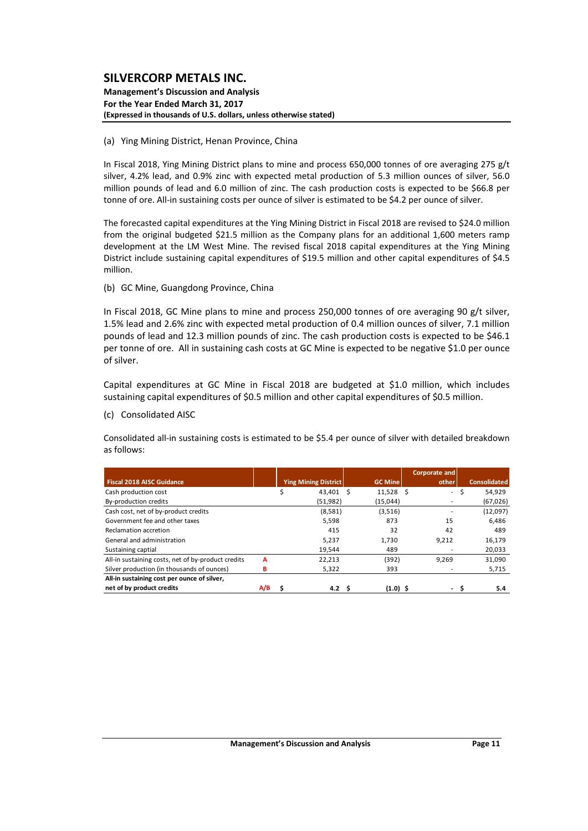#### **Management's Discussion and Analysis For the Year Ended March 31, 2017 (Expressed in thousands of U.S. dollars, unless otherwise stated)**

#### (a) Ying Mining District, Henan Province, China

In Fiscal 2018, Ying Mining District plans to mine and process 650,000 tonnes of ore averaging 275 g/t silver, 4.2% lead, and 0.9% zinc with expected metal production of 5.3 million ounces of silver, 56.0 million pounds of lead and 6.0 million of zinc. The cash production costs is expected to be \$66.8 per tonne of ore. All-in sustaining costs per ounce of silver is estimated to be \$4.2 per ounce of silver.

The forecasted capital expenditures at the Ying Mining District in Fiscal 2018 are revised to \$24.0 million from the original budgeted \$21.5 million as the Company plans for an additional 1,600 meters ramp development at the LM West Mine. The revised fiscal 2018 capital expenditures at the Ying Mining District include sustaining capital expenditures of \$19.5 million and other capital expenditures of \$4.5 million.

#### (b) GC Mine, Guangdong Province, China

In Fiscal 2018, GC Mine plans to mine and process 250,000 tonnes of ore averaging 90 g/t silver, 1.5% lead and 2.6% zinc with expected metal production of 0.4 million ounces of silver, 7.1 million pounds of lead and 12.3 million pounds of zinc. The cash production costs is expected to be \$46.1 per tonne of ore. All in sustaining cash costs at GC Mine is expected to be negative \$1.0 per ounce of silver.

Capital expenditures at GC Mine in Fiscal 2018 are budgeted at \$1.0 million, which includes sustaining capital expenditures of \$0.5 million and other capital expenditures of \$0.5 million.

#### (c) Consolidated AISC

Consolidated all‐in sustaining costs is estimated to be \$5.4 per ounce of silver with detailed breakdown as follows:

|                                                    |     |                             |                   | Corporate and            |   |                     |
|----------------------------------------------------|-----|-----------------------------|-------------------|--------------------------|---|---------------------|
| <b>Fiscal 2018 AISC Guidance</b>                   |     | <b>Ying Mining District</b> | <b>GC Mine</b>    | other                    |   | <b>Consolidated</b> |
| Cash production cost                               |     | 43.401                      | $11,528$ \$<br>-S | $\sim$                   | Ś | 54,929              |
| By-production credits                              |     | (51, 982)                   | (15,044)          |                          |   | (67, 026)           |
| Cash cost, net of by-product credits               |     | (8,581)                     | (3,516)           |                          |   | (12,097)            |
| Government fee and other taxes                     |     | 5,598                       | 873               | 15                       |   | 6,486               |
| Reclamation accretion                              |     | 415                         | 32                | 42                       |   | 489                 |
| General and administration                         |     | 5.237                       | 1.730             | 9.212                    |   | 16,179              |
| Sustaining captial                                 |     | 19,544                      | 489               |                          |   | 20,033              |
| All-in sustaining costs, net of by-product credits | A   | 22,213                      | (392)             | 9.269                    |   | 31,090              |
| Silver production (in thousands of ounces)         | в   | 5,322                       | 393               |                          |   | 5,715               |
| All-in sustaining cost per ounce of silver,        |     |                             |                   |                          |   |                     |
| net of by product credits                          | A/B | 4.2                         | $(1.0)$ \$        | $\overline{\phantom{a}}$ |   | 5.4                 |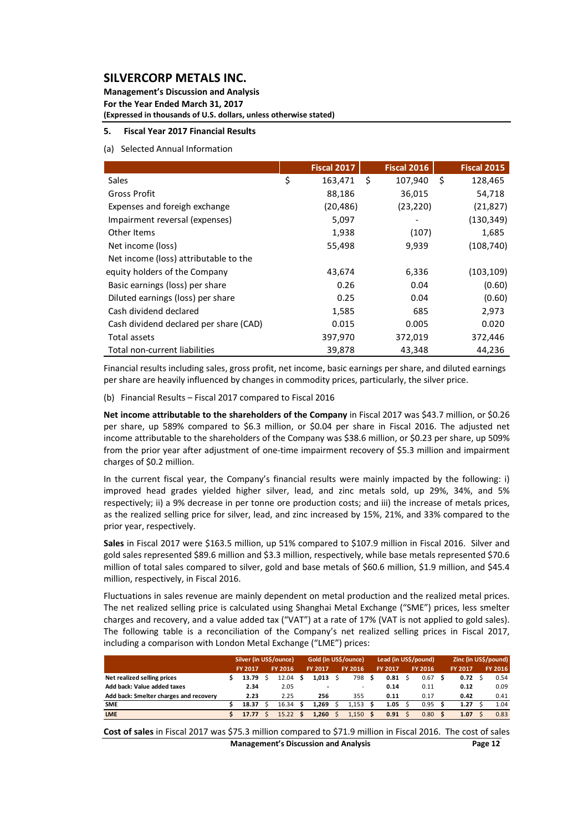**Management's Discussion and Analysis For the Year Ended March 31, 2017 (Expressed in thousands of U.S. dollars, unless otherwise stated)**

#### **5. Fiscal Year 2017 Financial Results**

#### (a) Selected Annual Information

|                                        | <b>Fiscal 2017</b> |    | <b>Fiscal 2016</b> | <b>Fiscal 2015</b> |
|----------------------------------------|--------------------|----|--------------------|--------------------|
| <b>Sales</b>                           | \$<br>163,471      | Ŝ. | 107,940            | \$<br>128,465      |
| Gross Profit                           | 88,186             |    | 36,015             | 54,718             |
| Expenses and foreigh exchange          | (20, 486)          |    | (23, 220)          | (21, 827)          |
| Impairment reversal (expenses)         | 5,097              |    |                    | (130, 349)         |
| Other Items                            | 1,938              |    | (107)              | 1,685              |
| Net income (loss)                      | 55,498             |    | 9,939              | (108, 740)         |
| Net income (loss) attributable to the  |                    |    |                    |                    |
| equity holders of the Company          | 43,674             |    | 6,336              | (103, 109)         |
| Basic earnings (loss) per share        | 0.26               |    | 0.04               | (0.60)             |
| Diluted earnings (loss) per share      | 0.25               |    | 0.04               | (0.60)             |
| Cash dividend declared                 | 1,585              |    | 685                | 2,973              |
| Cash dividend declared per share (CAD) | 0.015              |    | 0.005              | 0.020              |
| Total assets                           | 397,970            |    | 372,019            | 372,446            |
| Total non-current liabilities          | 39,878             |    | 43,348             | 44,236             |

Financial results including sales, gross profit, net income, basic earnings per share, and diluted earnings per share are heavily influenced by changes in commodity prices, particularly, the silver price.

(b) Financial Results – Fiscal 2017 compared to Fiscal 2016

**Net income attributable to the shareholders of the Company** in Fiscal 2017 was \$43.7 million, or \$0.26 per share, up 589% compared to \$6.3 million, or \$0.04 per share in Fiscal 2016. The adjusted net income attributable to the shareholders of the Company was \$38.6 million, or \$0.23 per share, up 509% from the prior year after adjustment of one-time impairment recovery of \$5.3 million and impairment charges of \$0.2 million.

In the current fiscal year, the Company's financial results were mainly impacted by the following: i) improved head grades yielded higher silver, lead, and zinc metals sold, up 29%, 34%, and 5% respectively; ii) a 9% decrease in per tonne ore production costs; and iii) the increase of metals prices, as the realized selling price for silver, lead, and zinc increased by 15%, 21%, and 33% compared to the prior year, respectively.

**Sales** in Fiscal 2017 were \$163.5 million, up 51% compared to \$107.9 million in Fiscal 2016. Silver and gold sales represented \$89.6 million and \$3.3 million, respectively, while base metals represented \$70.6 million of total sales compared to silver, gold and base metals of \$60.6 million, \$1.9 million, and \$45.4 million, respectively, in Fiscal 2016.

Fluctuations in sales revenue are mainly dependent on metal production and the realized metal prices. The net realized selling price is calculated using Shanghai Metal Exchange ("SME") prices, less smelter charges and recovery, and a value added tax ("VAT") at a rate of 17% (VAT is not applied to gold sales). The following table is a reconciliation of the Company's net realized selling prices in Fiscal 2017, including a comparison with London Metal Exchange ("LME") prices:

|                                        | Silver (in US\$/ounce) |                |  | Gold (in US\$/ounce) |   |                |  | Lead (in US\$/pound)     |   |         |  | Zinc (in US\$/pound) |   |                |  |         |
|----------------------------------------|------------------------|----------------|--|----------------------|---|----------------|--|--------------------------|---|---------|--|----------------------|---|----------------|--|---------|
|                                        |                        | <b>FY 2017</b> |  | FY 2016              |   | <b>FY 2017</b> |  | FY 2016                  |   | FY 2017 |  | FY 2016              |   | <b>FY 2017</b> |  | FY 2016 |
| Net realized selling prices            |                        | 13.79          |  | 12.04                | s | 1,013          |  | 798                      | S | 0.81    |  | 0.67                 | S | 0.72           |  | 0.54    |
| Add back: Value added taxes            |                        | 2.34           |  | 2.05                 |   |                |  | $\overline{\phantom{a}}$ |   | 0.14    |  | 0.11                 |   | 0.12           |  | 0.09    |
| Add back: Smelter charges and recovery |                        | 2.23           |  | 2.25                 |   | 256            |  | 355                      |   | 0.11    |  | 0.17                 |   | 0.42           |  | 0.41    |
| <b>SME</b>                             |                        | 18.37          |  | 16.34                |   | 1.269          |  | 1.153                    |   | 1.05    |  | 0.95                 | s | 1.27           |  | 1.04    |
| <b>LME</b>                             |                        | 17.77          |  | 15.22                |   | 1.260          |  | 1.150                    | s | 0.91    |  | 0.80                 | Ŝ | 1.07           |  | 0.83    |
|                                        |                        |                |  |                      |   |                |  |                          |   |         |  |                      |   |                |  |         |

**Management's Discussion and Analysis Page 12 Cost of sales** in Fiscal 2017 was \$75.3 million compared to \$71.9 million in Fiscal 2016. The cost of sales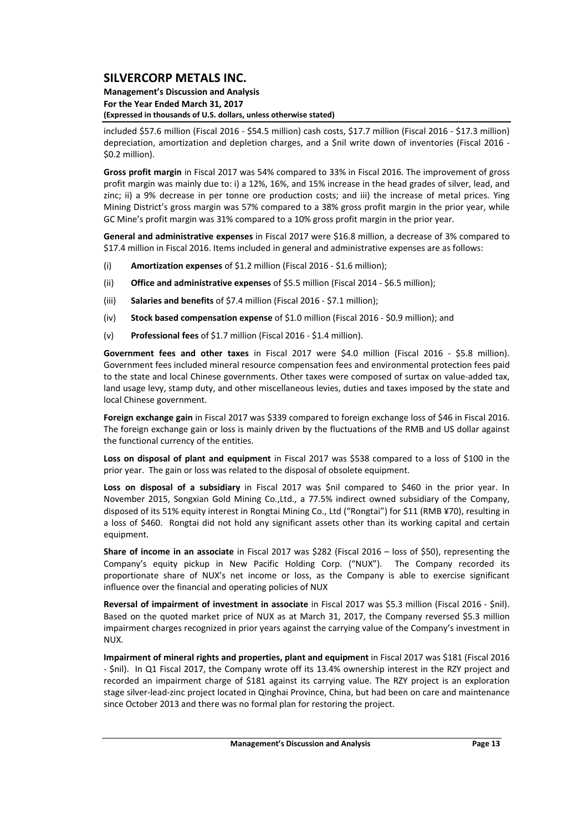#### **Management's Discussion and Analysis For the Year Ended March 31, 2017 (Expressed in thousands of U.S. dollars, unless otherwise stated)**

included \$57.6 million (Fiscal 2016 ‐ \$54.5 million) cash costs, \$17.7 million (Fiscal 2016 ‐ \$17.3 million) depreciation, amortization and depletion charges, and a \$nil write down of inventories (Fiscal 2016 ‐ \$0.2 million).

**Gross profit margin** in Fiscal 2017 was 54% compared to 33% in Fiscal 2016. The improvement of gross profit margin was mainly due to: i) a 12%, 16%, and 15% increase in the head grades of silver, lead, and zinc; ii) a 9% decrease in per tonne ore production costs; and iii) the increase of metal prices. Ying Mining District's gross margin was 57% compared to a 38% gross profit margin in the prior year, while GC Mine's profit margin was 31% compared to a 10% gross profit margin in the prior year.

**General and administrative expenses** in Fiscal 2017 were \$16.8 million, a decrease of 3% compared to \$17.4 million in Fiscal 2016. Items included in general and administrative expenses are as follows:

- (i) **Amortization expenses** of \$1.2 million (Fiscal 2016 ‐ \$1.6 million);
- (ii) **Office and administrative expenses** of \$5.5 million (Fiscal 2014 ‐ \$6.5 million);
- (iii) **Salaries and benefits** of \$7.4 million (Fiscal 2016 ‐ \$7.1 million);
- (iv) **Stock based compensation expense** of \$1.0 million (Fiscal 2016 ‐ \$0.9 million); and
- (v) **Professional fees** of \$1.7 million (Fiscal 2016 ‐ \$1.4 million).

**Government fees and other taxes** in Fiscal 2017 were \$4.0 million (Fiscal 2016 ‐ \$5.8 million). Government fees included mineral resource compensation fees and environmental protection fees paid to the state and local Chinese governments. Other taxes were composed of surtax on value‐added tax, land usage levy, stamp duty, and other miscellaneous levies, duties and taxes imposed by the state and local Chinese government.

**Foreign exchange gain** in Fiscal 2017 was \$339 compared to foreign exchange loss of \$46 in Fiscal 2016. The foreign exchange gain or loss is mainly driven by the fluctuations of the RMB and US dollar against the functional currency of the entities.

**Loss on disposal of plant and equipment** in Fiscal 2017 was \$538 compared to a loss of \$100 in the prior year. The gain or loss was related to the disposal of obsolete equipment.

**Loss on disposal of a subsidiary** in Fiscal 2017 was \$nil compared to \$460 in the prior year. In November 2015, Songxian Gold Mining Co.,Ltd., a 77.5% indirect owned subsidiary of the Company, disposed of its 51% equity interest in Rongtai Mining Co., Ltd ("Rongtai") for \$11 (RMB ¥70), resulting in a loss of \$460. Rongtai did not hold any significant assets other than its working capital and certain equipment.

**Share of income in an associate** in Fiscal 2017 was \$282 (Fiscal 2016 – loss of \$50), representing the Company's equity pickup in New Pacific Holding Corp. ("NUX"). The Company recorded its proportionate share of NUX's net income or loss, as the Company is able to exercise significant influence over the financial and operating policies of NUX

**Reversal of impairment of investment in associate** in Fiscal 2017 was \$5.3 million (Fiscal 2016 ‐ \$nil). Based on the quoted market price of NUX as at March 31, 2017, the Company reversed \$5.3 million impairment charges recognized in prior years against the carrying value of the Company's investment in NUX.

**Impairment of mineral rights and properties, plant and equipment** in Fiscal 2017 was \$181 (Fiscal 2016 ‐ \$nil). In Q1 Fiscal 2017, the Company wrote off its 13.4% ownership interest in the RZY project and recorded an impairment charge of \$181 against its carrying value. The RZY project is an exploration stage silver‐lead‐zinc project located in Qinghai Province, China, but had been on care and maintenance since October 2013 and there was no formal plan for restoring the project.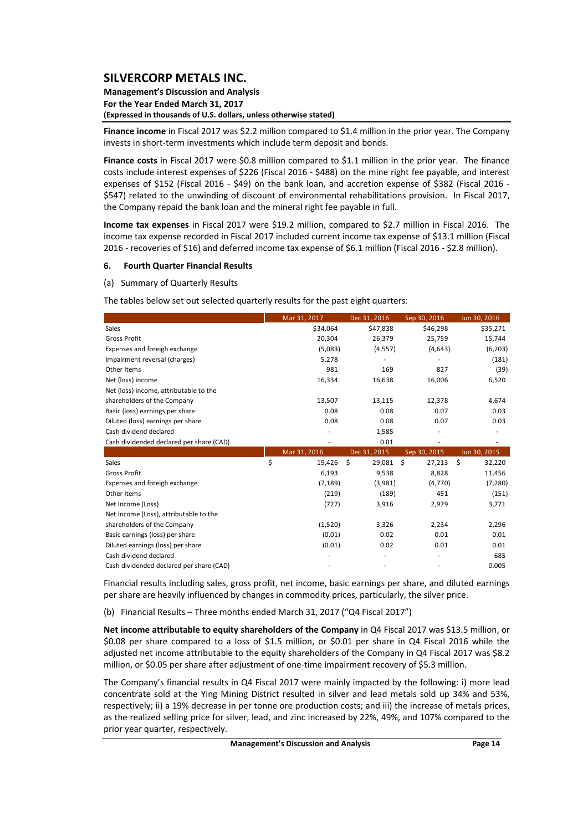#### **Management's Discussion and Analysis For the Year Ended March 31, 2017 (Expressed in thousands of U.S. dollars, unless otherwise stated)**

**Finance income** in Fiscal 2017 was \$2.2 million compared to \$1.4 million in the prior year. The Company invests in short‐term investments which include term deposit and bonds.

**Finance costs** in Fiscal 2017 were \$0.8 million compared to \$1.1 million in the prior year. The finance costs include interest expenses of \$226 (Fiscal 2016 ‐ \$488) on the mine right fee payable, and interest expenses of \$152 (Fiscal 2016 - \$49) on the bank loan, and accretion expense of \$382 (Fiscal 2016 -\$547) related to the unwinding of discount of environmental rehabilitations provision. In Fiscal 2017, the Company repaid the bank loan and the mineral right fee payable in full.

**Income tax expenses** in Fiscal 2017 were \$19.2 million, compared to \$2.7 million in Fiscal 2016. The income tax expense recorded in Fiscal 2017 included current income tax expense of \$13.1 million (Fiscal 2016 ‐ recoveries of \$16) and deferred income tax expense of \$6.1 million (Fiscal 2016 ‐ \$2.8 million).

#### **6. Fourth Quarter Financial Results**

(a) Summary of Quarterly Results

The tables below set out selected quarterly results for the past eight quarters:

|                                          | Mar 31, 2017 | Dec 31, 2016 | Sep 30, 2016 | Jun 30, 2016 |
|------------------------------------------|--------------|--------------|--------------|--------------|
| Sales                                    | \$34,064     | \$47,838     | \$46,298     | \$35,271     |
| <b>Gross Profit</b>                      | 20,304       | 26,379       | 25,759       | 15,744       |
| Expenses and foreigh exchange            | (5,083)      | (4, 557)     | (4,643)      | (6, 203)     |
| Impairment reversal (charges)            | 5,278        |              |              | (181)        |
| Other Items                              | 981          | 169          | 827          | (39)         |
| Net (loss) income                        | 16,334       | 16,638       | 16,006       | 6,520        |
| Net (loss) income, attributable to the   |              |              |              |              |
| shareholders of the Company              | 13,507       | 13,115       | 12,378       | 4,674        |
| Basic (loss) earnings per share          | 0.08         | 0.08         | 0.07         | 0.03         |
| Diluted (loss) earnings per share        | 0.08         | 0.08         | 0.07         | 0.03         |
| Cash dividend declared                   |              | 1,585        |              |              |
| Cash dividended declared per share (CAD) |              | 0.01         |              |              |
|                                          | Mar 31, 2016 | Dec 31, 2015 | Sep 30, 2015 | Jun 30, 2015 |
| Sales                                    | \$<br>19,426 | \$<br>29,081 | \$<br>27,213 | Ś<br>32,220  |
| <b>Gross Profit</b>                      | 6,193        | 9,538        | 8,828        | 11,456       |
| Expenses and foreigh exchange            | (7, 189)     | (3,981)      | (4,770)      | (7, 280)     |
| Other Items                              | (219)        | (189)        | 451          | (151)        |
| Net Income (Loss)                        | (727)        | 3,916        | 2,979        | 3,771        |
| Net income (Loss), attributable to the   |              |              |              |              |
| shareholders of the Company              | (1,520)      | 3,326        | 2,234        | 2,296        |
| Basic earnings (loss) per share          | (0.01)       | 0.02         | 0.01         | 0.01         |
| Diluted earnings (loss) per share        | (0.01)       | 0.02         | 0.01         | 0.01         |
| Cash dividend declared                   |              |              |              | 685          |
| Cash dividended declared per share (CAD) |              |              |              | 0.005        |

Financial results including sales, gross profit, net income, basic earnings per share, and diluted earnings per share are heavily influenced by changes in commodity prices, particularly, the silver price.

(b) Financial Results – Three months ended March 31, 2017 ("Q4 Fiscal 2017")

**Net income attributable to equity shareholders of the Company** in Q4 Fiscal 2017 was \$13.5 million, or \$0.08 per share compared to a loss of \$1.5 million, or \$0.01 per share in Q4 Fiscal 2016 while the adjusted net income attributable to the equity shareholders of the Company in Q4 Fiscal 2017 was \$8.2 million, or \$0.05 per share after adjustment of one-time impairment recovery of \$5.3 million.

The Company's financial results in Q4 Fiscal 2017 were mainly impacted by the following: i) more lead concentrate sold at the Ying Mining District resulted in silver and lead metals sold up 34% and 53%, respectively; ii) a 19% decrease in per tonne ore production costs; and iii) the increase of metals prices, as the realized selling price for silver, lead, and zinc increased by 22%, 49%, and 107% compared to the prior year quarter, respectively.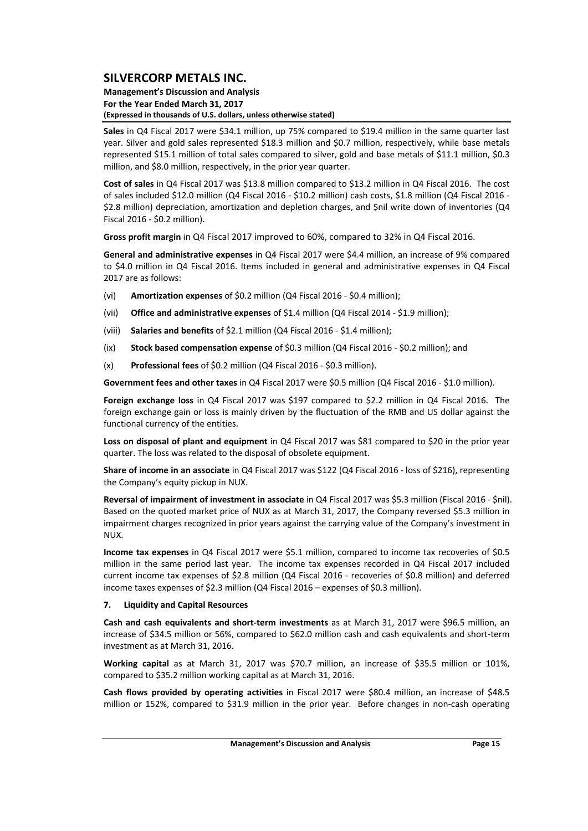#### **Management's Discussion and Analysis For the Year Ended March 31, 2017 (Expressed in thousands of U.S. dollars, unless otherwise stated)**

**Sales** in Q4 Fiscal 2017 were \$34.1 million, up 75% compared to \$19.4 million in the same quarter last year. Silver and gold sales represented \$18.3 million and \$0.7 million, respectively, while base metals represented \$15.1 million of total sales compared to silver, gold and base metals of \$11.1 million, \$0.3 million, and \$8.0 million, respectively, in the prior year quarter.

**Cost of sales** in Q4 Fiscal 2017 was \$13.8 million compared to \$13.2 million in Q4 Fiscal 2016. The cost of sales included \$12.0 million (Q4 Fiscal 2016 ‐ \$10.2 million) cash costs, \$1.8 million (Q4 Fiscal 2016 ‐ \$2.8 million) depreciation, amortization and depletion charges, and \$nil write down of inventories (Q4 Fiscal 2016 ‐ \$0.2 million).

**Gross profit margin** in Q4 Fiscal 2017 improved to 60%, compared to 32% in Q4 Fiscal 2016.

**General and administrative expenses** in Q4 Fiscal 2017 were \$4.4 million, an increase of 9% compared to \$4.0 million in Q4 Fiscal 2016. Items included in general and administrative expenses in Q4 Fiscal 2017 are as follows:

- (vi) **Amortization expenses** of \$0.2 million (Q4 Fiscal 2016 ‐ \$0.4 million);
- (vii) **Office and administrative expenses** of \$1.4 million (Q4 Fiscal 2014 ‐ \$1.9 million);
- (viii) **Salaries and benefits** of \$2.1 million (Q4 Fiscal 2016 ‐ \$1.4 million);
- (ix) **Stock based compensation expense** of \$0.3 million (Q4 Fiscal 2016 ‐ \$0.2 million); and
- (x) **Professional fees** of \$0.2 million (Q4 Fiscal 2016 ‐ \$0.3 million).

**Government fees and other taxes** in Q4 Fiscal 2017 were \$0.5 million (Q4 Fiscal 2016 ‐ \$1.0 million).

**Foreign exchange loss** in Q4 Fiscal 2017 was \$197 compared to \$2.2 million in Q4 Fiscal 2016. The foreign exchange gain or loss is mainly driven by the fluctuation of the RMB and US dollar against the functional currency of the entities.

**Loss on disposal of plant and equipment** in Q4 Fiscal 2017 was \$81 compared to \$20 in the prior year quarter. The loss was related to the disposal of obsolete equipment.

**Share of income in an associate** in Q4 Fiscal 2017 was \$122 (Q4 Fiscal 2016 ‐ loss of \$216), representing the Company's equity pickup in NUX.

**Reversal of impairment of investment in associate** in Q4 Fiscal 2017 was \$5.3 million (Fiscal 2016 ‐ \$nil). Based on the quoted market price of NUX as at March 31, 2017, the Company reversed \$5.3 million in impairment charges recognized in prior years against the carrying value of the Company's investment in NUX.

**Income tax expenses** in Q4 Fiscal 2017 were \$5.1 million, compared to income tax recoveries of \$0.5 million in the same period last year. The income tax expenses recorded in Q4 Fiscal 2017 included current income tax expenses of \$2.8 million (Q4 Fiscal 2016 ‐ recoveries of \$0.8 million) and deferred income taxes expenses of \$2.3 million (Q4 Fiscal 2016 – expenses of \$0.3 million).

#### **7. Liquidity and Capital Resources**

**Cash and cash equivalents and short‐term investments** as at March 31, 2017 were \$96.5 million, an increase of \$34.5 million or 56%, compared to \$62.0 million cash and cash equivalents and short‐term investment as at March 31, 2016.

**Working capital** as at March 31, 2017 was \$70.7 million, an increase of \$35.5 million or 101%, compared to \$35.2 million working capital as at March 31, 2016.

**Cash flows provided by operating activities** in Fiscal 2017 were \$80.4 million, an increase of \$48.5 million or 152%, compared to \$31.9 million in the prior year. Before changes in non-cash operating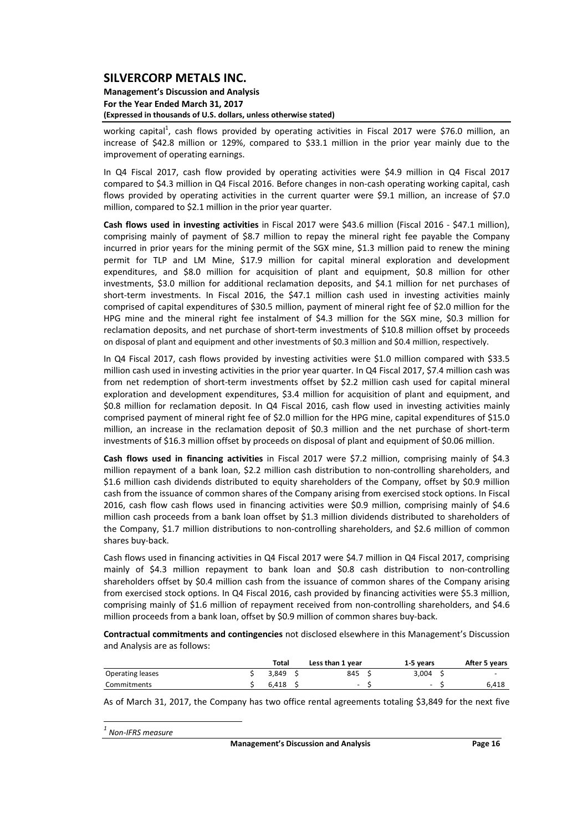#### **Management's Discussion and Analysis For the Year Ended March 31, 2017 (Expressed in thousands of U.S. dollars, unless otherwise stated)**

working capital<sup>1</sup>, cash flows provided by operating activities in Fiscal 2017 were \$76.0 million, an increase of \$42.8 million or 129%, compared to \$33.1 million in the prior year mainly due to the improvement of operating earnings.

In Q4 Fiscal 2017, cash flow provided by operating activities were \$4.9 million in Q4 Fiscal 2017 compared to \$4.3 million in Q4 Fiscal 2016. Before changes in non‐cash operating working capital, cash flows provided by operating activities in the current quarter were \$9.1 million, an increase of \$7.0 million, compared to \$2.1 million in the prior year quarter.

**Cash flows used in investing activities** in Fiscal 2017 were \$43.6 million (Fiscal 2016 ‐ \$47.1 million), comprising mainly of payment of \$8.7 million to repay the mineral right fee payable the Company incurred in prior years for the mining permit of the SGX mine, \$1.3 million paid to renew the mining permit for TLP and LM Mine, \$17.9 million for capital mineral exploration and development expenditures, and \$8.0 million for acquisition of plant and equipment, \$0.8 million for other investments, \$3.0 million for additional reclamation deposits, and \$4.1 million for net purchases of short-term investments. In Fiscal 2016, the \$47.1 million cash used in investing activities mainly comprised of capital expenditures of \$30.5 million, payment of mineral right fee of \$2.0 million for the HPG mine and the mineral right fee instalment of \$4.3 million for the SGX mine, \$0.3 million for reclamation deposits, and net purchase of short-term investments of \$10.8 million offset by proceeds on disposal of plant and equipment and other investments of \$0.3 million and \$0.4 million, respectively.

In Q4 Fiscal 2017, cash flows provided by investing activities were \$1.0 million compared with \$33.5 million cash used in investing activities in the prior year quarter. In Q4 Fiscal 2017, \$7.4 million cash was from net redemption of short-term investments offset by \$2.2 million cash used for capital mineral exploration and development expenditures, \$3.4 million for acquisition of plant and equipment, and \$0.8 million for reclamation deposit. In Q4 Fiscal 2016, cash flow used in investing activities mainly comprised payment of mineral right fee of \$2.0 million for the HPG mine, capital expenditures of \$15.0 million, an increase in the reclamation deposit of \$0.3 million and the net purchase of short‐term investments of \$16.3 million offset by proceeds on disposal of plant and equipment of \$0.06 million.

**Cash flows used in financing activities** in Fiscal 2017 were \$7.2 million, comprising mainly of \$4.3 million repayment of a bank loan, \$2.2 million cash distribution to non-controlling shareholders, and \$1.6 million cash dividends distributed to equity shareholders of the Company, offset by \$0.9 million cash from the issuance of common shares of the Company arising from exercised stock options. In Fiscal 2016, cash flow cash flows used in financing activities were \$0.9 million, comprising mainly of \$4.6 million cash proceeds from a bank loan offset by \$1.3 million dividends distributed to shareholders of the Company, \$1.7 million distributions to non-controlling shareholders, and \$2.6 million of common shares buy‐back.

Cash flows used in financing activities in Q4 Fiscal 2017 were \$4.7 million in Q4 Fiscal 2017, comprising mainly of \$4.3 million repayment to bank loan and \$0.8 cash distribution to non‐controlling shareholders offset by \$0.4 million cash from the issuance of common shares of the Company arising from exercised stock options. In Q4 Fiscal 2016, cash provided by financing activities were \$5.3 million, comprising mainly of \$1.6 million of repayment received from non-controlling shareholders, and \$4.6 million proceeds from a bank loan, offset by \$0.9 million of common shares buy‐back.

**Contractual commitments and contingencies** not disclosed elsewhere in this Management's Discussion and Analysis are as follows:

|                  | Total | Less than 1 year | 1-5 vears                | After 5 years            |
|------------------|-------|------------------|--------------------------|--------------------------|
| Operating leases | 3.849 | 845              | 3.004                    | $\overline{\phantom{a}}$ |
| Commitments      | 6.418 | $\sim$           | $\overline{\phantom{a}}$ | 6.418                    |

As of March 31, 2017, the Company has two office rental agreements totaling \$3,849 for the next five

*<sup>1</sup> Non‐IFRS measure*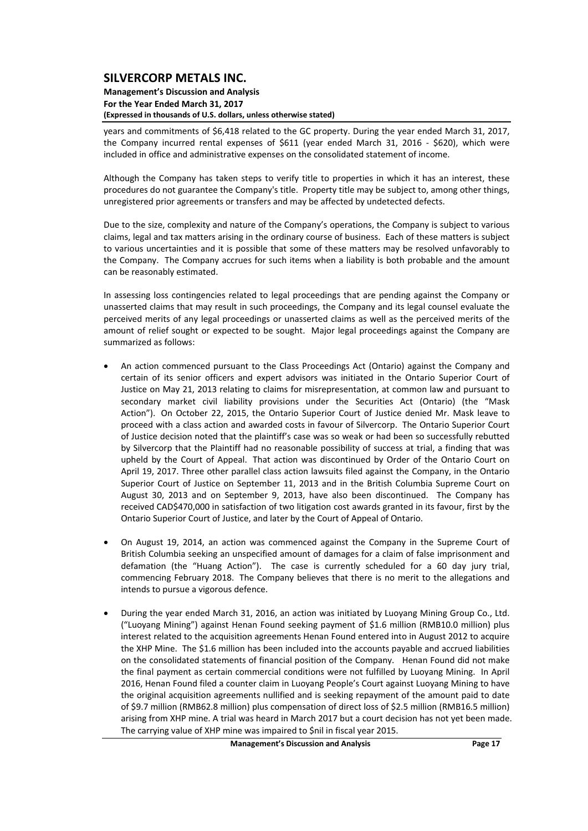#### **Management's Discussion and Analysis For the Year Ended March 31, 2017 (Expressed in thousands of U.S. dollars, unless otherwise stated)**

years and commitments of \$6,418 related to the GC property. During the year ended March 31, 2017, the Company incurred rental expenses of \$611 (year ended March 31, 2016 - \$620), which were included in office and administrative expenses on the consolidated statement of income.

Although the Company has taken steps to verify title to properties in which it has an interest, these procedures do not guarantee the Company's title. Property title may be subject to, among other things, unregistered prior agreements or transfers and may be affected by undetected defects.

Due to the size, complexity and nature of the Company's operations, the Company is subject to various claims, legal and tax matters arising in the ordinary course of business. Each of these matters is subject to various uncertainties and it is possible that some of these matters may be resolved unfavorably to the Company. The Company accrues for such items when a liability is both probable and the amount can be reasonably estimated.

In assessing loss contingencies related to legal proceedings that are pending against the Company or unasserted claims that may result in such proceedings, the Company and its legal counsel evaluate the perceived merits of any legal proceedings or unasserted claims as well as the perceived merits of the amount of relief sought or expected to be sought. Major legal proceedings against the Company are summarized as follows:

- An action commenced pursuant to the Class Proceedings Act (Ontario) against the Company and certain of its senior officers and expert advisors was initiated in the Ontario Superior Court of Justice on May 21, 2013 relating to claims for misrepresentation, at common law and pursuant to secondary market civil liability provisions under the Securities Act (Ontario) (the "Mask Action"). On October 22, 2015, the Ontario Superior Court of Justice denied Mr. Mask leave to proceed with a class action and awarded costs in favour of Silvercorp. The Ontario Superior Court of Justice decision noted that the plaintiff's case was so weak or had been so successfully rebutted by Silvercorp that the Plaintiff had no reasonable possibility of success at trial, a finding that was upheld by the Court of Appeal. That action was discontinued by Order of the Ontario Court on April 19, 2017. Three other parallel class action lawsuits filed against the Company, in the Ontario Superior Court of Justice on September 11, 2013 and in the British Columbia Supreme Court on August 30, 2013 and on September 9, 2013, have also been discontinued. The Company has received CAD\$470,000 in satisfaction of two litigation cost awards granted in its favour, first by the Ontario Superior Court of Justice, and later by the Court of Appeal of Ontario.
- On August 19, 2014, an action was commenced against the Company in the Supreme Court of British Columbia seeking an unspecified amount of damages for a claim of false imprisonment and defamation (the "Huang Action"). The case is currently scheduled for a 60 day jury trial, commencing February 2018. The Company believes that there is no merit to the allegations and intends to pursue a vigorous defence.
- During the year ended March 31, 2016, an action was initiated by Luoyang Mining Group Co., Ltd. ("Luoyang Mining") against Henan Found seeking payment of \$1.6 million (RMB10.0 million) plus interest related to the acquisition agreements Henan Found entered into in August 2012 to acquire the XHP Mine. The \$1.6 million has been included into the accounts payable and accrued liabilities on the consolidated statements of financial position of the Company. Henan Found did not make the final payment as certain commercial conditions were not fulfilled by Luoyang Mining. In April 2016, Henan Found filed a counter claim in Luoyang People's Court against Luoyang Mining to have the original acquisition agreements nullified and is seeking repayment of the amount paid to date of \$9.7 million (RMB62.8 million) plus compensation of direct loss of \$2.5 million (RMB16.5 million) arising from XHP mine. A trial was heard in March 2017 but a court decision has not yet been made. The carrying value of XHP mine was impaired to \$nil in fiscal year 2015.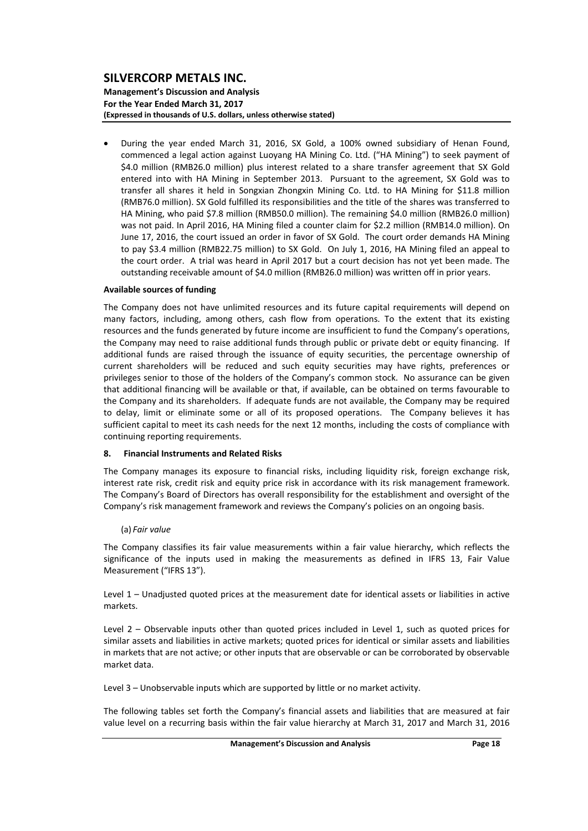#### **Management's Discussion and Analysis For the Year Ended March 31, 2017 (Expressed in thousands of U.S. dollars, unless otherwise stated)**

 During the year ended March 31, 2016, SX Gold, a 100% owned subsidiary of Henan Found, commenced a legal action against Luoyang HA Mining Co. Ltd. ("HA Mining") to seek payment of \$4.0 million (RMB26.0 million) plus interest related to a share transfer agreement that SX Gold entered into with HA Mining in September 2013. Pursuant to the agreement, SX Gold was to transfer all shares it held in Songxian Zhongxin Mining Co. Ltd. to HA Mining for \$11.8 million (RMB76.0 million). SX Gold fulfilled its responsibilities and the title of the shares was transferred to HA Mining, who paid \$7.8 million (RMB50.0 million). The remaining \$4.0 million (RMB26.0 million) was not paid. In April 2016, HA Mining filed a counter claim for \$2.2 million (RMB14.0 million). On June 17, 2016, the court issued an order in favor of SX Gold. The court order demands HA Mining to pay \$3.4 million (RMB22.75 million) to SX Gold. On July 1, 2016, HA Mining filed an appeal to the court order. A trial was heard in April 2017 but a court decision has not yet been made. The outstanding receivable amount of \$4.0 million (RMB26.0 million) was written off in prior years.

#### **Available sources of funding**

The Company does not have unlimited resources and its future capital requirements will depend on many factors, including, among others, cash flow from operations. To the extent that its existing resources and the funds generated by future income are insufficient to fund the Company's operations, the Company may need to raise additional funds through public or private debt or equity financing. If additional funds are raised through the issuance of equity securities, the percentage ownership of current shareholders will be reduced and such equity securities may have rights, preferences or privileges senior to those of the holders of the Company's common stock. No assurance can be given that additional financing will be available or that, if available, can be obtained on terms favourable to the Company and its shareholders. If adequate funds are not available, the Company may be required to delay, limit or eliminate some or all of its proposed operations. The Company believes it has sufficient capital to meet its cash needs for the next 12 months, including the costs of compliance with continuing reporting requirements.

#### **8. Financial Instruments and Related Risks**

The Company manages its exposure to financial risks, including liquidity risk, foreign exchange risk, interest rate risk, credit risk and equity price risk in accordance with its risk management framework. The Company's Board of Directors has overall responsibility for the establishment and oversight of the Company's risk management framework and reviews the Company's policies on an ongoing basis.

#### (a) *Fair value*

The Company classifies its fair value measurements within a fair value hierarchy, which reflects the significance of the inputs used in making the measurements as defined in IFRS 13, Fair Value Measurement ("IFRS 13").

Level 1 – Unadjusted quoted prices at the measurement date for identical assets or liabilities in active markets.

Level 2 – Observable inputs other than quoted prices included in Level 1, such as quoted prices for similar assets and liabilities in active markets; quoted prices for identical or similar assets and liabilities in markets that are not active; or other inputs that are observable or can be corroborated by observable market data.

Level 3 – Unobservable inputs which are supported by little or no market activity.

The following tables set forth the Company's financial assets and liabilities that are measured at fair value level on a recurring basis within the fair value hierarchy at March 31, 2017 and March 31, 2016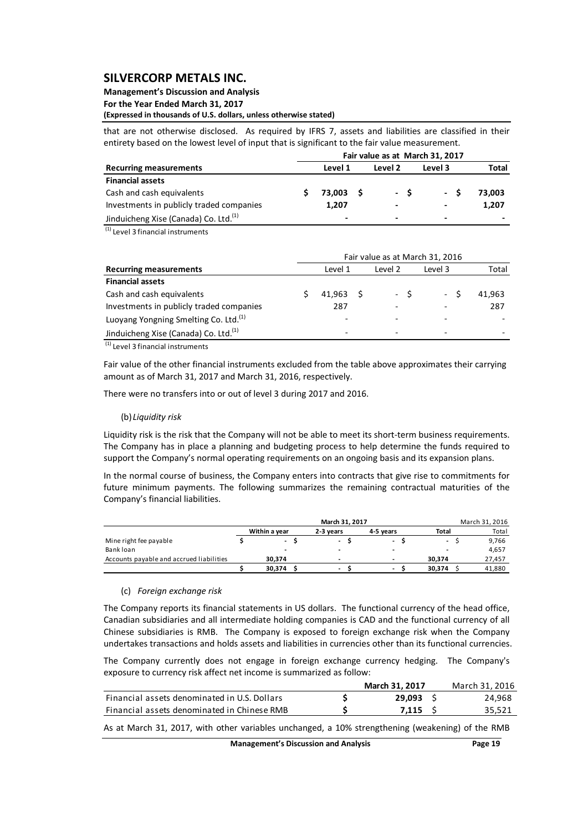## **Management's Discussion and Analysis**

**For the Year Ended March 31, 2017**

**(Expressed in thousands of U.S. dollars, unless otherwise stated)**

that are not otherwise disclosed. As required by IFRS 7, assets and liabilities are classified in their entirety based on the lowest level of input that is significant to the fair value measurement.

|                                                   | Fair value as at March 31, 2017 |                |  |                              |                          |                          |  |  |  |  |  |  |  |
|---------------------------------------------------|---------------------------------|----------------|--|------------------------------|--------------------------|--------------------------|--|--|--|--|--|--|--|
| <b>Recurring measurements</b>                     |                                 | Level 1        |  | Level 2                      | Level 3                  | Total                    |  |  |  |  |  |  |  |
| <b>Financial assets</b>                           |                                 |                |  |                              |                          |                          |  |  |  |  |  |  |  |
| Cash and cash equivalents                         |                                 | 73.003 \$      |  | - S                          | - S                      | 73.003                   |  |  |  |  |  |  |  |
| Investments in publicly traded companies          |                                 | 1,207          |  | $\overline{\phantom{0}}$     | $\overline{\phantom{0}}$ | 1.207                    |  |  |  |  |  |  |  |
| Jinduicheng Xise (Canada) Co. Ltd. <sup>(1)</sup> |                                 | $\blacksquare$ |  | $\qquad \qquad \blacksquare$ | $\overline{\phantom{0}}$ | $\overline{\phantom{0}}$ |  |  |  |  |  |  |  |

(1) Level 3 financial instruments

|                                                   | Fair value as at March 31, 2016 |                          |         |         |       |        |  |  |  |  |  |  |  |
|---------------------------------------------------|---------------------------------|--------------------------|---------|---------|-------|--------|--|--|--|--|--|--|--|
| <b>Recurring measurements</b>                     | Level 1                         |                          | Level 2 | Level 3 | Total |        |  |  |  |  |  |  |  |
| <b>Financial assets</b>                           |                                 |                          |         |         |       |        |  |  |  |  |  |  |  |
| Cash and cash equivalents                         |                                 | 41.963 S                 |         | - \$    | - S   | 41,963 |  |  |  |  |  |  |  |
| Investments in publicly traded companies          |                                 | 287                      |         |         |       | 287    |  |  |  |  |  |  |  |
| Luoyang Yongning Smelting Co. Ltd. <sup>(1)</sup> |                                 | $\overline{\phantom{0}}$ |         |         |       |        |  |  |  |  |  |  |  |
| Jinduicheng Xise (Canada) Co. Ltd. <sup>(1)</sup> |                                 | $\overline{\phantom{0}}$ |         |         |       |        |  |  |  |  |  |  |  |

 $(1)$  Level 3 financial instruments

Fair value of the other financial instruments excluded from the table above approximates their carrying amount as of March 31, 2017 and March 31, 2016, respectively.

There were no transfers into or out of level 3 during 2017 and 2016.

#### (b)*Liquidity risk*

Liquidity risk is the risk that the Company will not be able to meet its short-term business requirements. The Company has in place a planning and budgeting process to help determine the funds required to support the Company's normal operating requirements on an ongoing basis and its expansion plans.

In the normal course of business, the Company enters into contracts that give rise to commitments for future minimum payments. The following summarizes the remaining contractual maturities of the Company's financial liabilities.

|                                          |                          |                          | March 31, 2016           |        |  |              |
|------------------------------------------|--------------------------|--------------------------|--------------------------|--------|--|--------------|
|                                          | Within a vear            | 2-3 vears                | 4-5 vears                | Total  |  | <b>Total</b> |
| Mine right fee payable                   | $\overline{\phantom{0}}$ | $\overline{\phantom{a}}$ | $\overline{\phantom{0}}$ | -      |  | 9,766        |
| Bank loan                                |                          | $\,$                     | $\,$                     |        |  | 4,657        |
| Accounts payable and accrued liabilities | 30.374                   | -                        | -                        | 30.374 |  | 27,457       |
|                                          | 30.374                   | $\overline{\phantom{a}}$ | $\overline{\phantom{0}}$ | 30,374 |  | 41.880       |

#### (c) *Foreign exchange risk*

The Company reports its financial statements in US dollars. The functional currency of the head office, Canadian subsidiaries and all intermediate holding companies is CAD and the functional currency of all Chinese subsidiaries is RMB. The Company is exposed to foreign exchange risk when the Company undertakes transactions and holds assets and liabilities in currencies other than its functional currencies.

The Company currently does not engage in foreign exchange currency hedging. The Company's exposure to currency risk affect net income is summarized as follow:

|                                              | March 31, 2017 | March 31, 2016 |
|----------------------------------------------|----------------|----------------|
| Financial assets denominated in U.S. Dollars | 29.093         | 24.968         |
| Financial assets denominated in Chinese RMB  | 7.115          | 35,521         |

As at March 31, 2017, with other variables unchanged, a 10% strengthening (weakening) of the RMB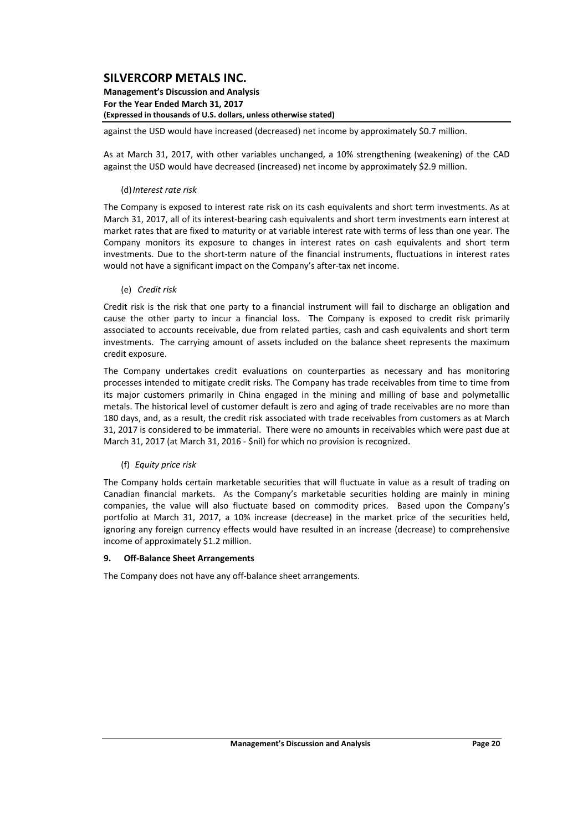#### **Management's Discussion and Analysis For the Year Ended March 31, 2017 (Expressed in thousands of U.S. dollars, unless otherwise stated)**

against the USD would have increased (decreased) net income by approximately \$0.7 million.

As at March 31, 2017, with other variables unchanged, a 10% strengthening (weakening) of the CAD against the USD would have decreased (increased) net income by approximately \$2.9 million.

#### (d)*Interest rate risk*

The Company is exposed to interest rate risk on its cash equivalents and short term investments. As at March 31, 2017, all of its interest-bearing cash equivalents and short term investments earn interest at market rates that are fixed to maturity or at variable interest rate with terms of less than one year. The Company monitors its exposure to changes in interest rates on cash equivalents and short term investments. Due to the short-term nature of the financial instruments, fluctuations in interest rates would not have a significant impact on the Company's after-tax net income.

#### (e) *Credit risk*

Credit risk is the risk that one party to a financial instrument will fail to discharge an obligation and cause the other party to incur a financial loss. The Company is exposed to credit risk primarily associated to accounts receivable, due from related parties, cash and cash equivalents and short term investments. The carrying amount of assets included on the balance sheet represents the maximum credit exposure.

The Company undertakes credit evaluations on counterparties as necessary and has monitoring processes intended to mitigate credit risks. The Company has trade receivables from time to time from its major customers primarily in China engaged in the mining and milling of base and polymetallic metals. The historical level of customer default is zero and aging of trade receivables are no more than 180 days, and, as a result, the credit risk associated with trade receivables from customers as at March 31, 2017 is considered to be immaterial. There were no amounts in receivables which were past due at March 31, 2017 (at March 31, 2016 ‐ \$nil) for which no provision is recognized.

#### (f) *Equity price risk*

The Company holds certain marketable securities that will fluctuate in value as a result of trading on Canadian financial markets. As the Company's marketable securities holding are mainly in mining companies, the value will also fluctuate based on commodity prices. Based upon the Company's portfolio at March 31, 2017, a 10% increase (decrease) in the market price of the securities held, ignoring any foreign currency effects would have resulted in an increase (decrease) to comprehensive income of approximately \$1.2 million.

#### **9. Off‐Balance Sheet Arrangements**

The Company does not have any off‐balance sheet arrangements.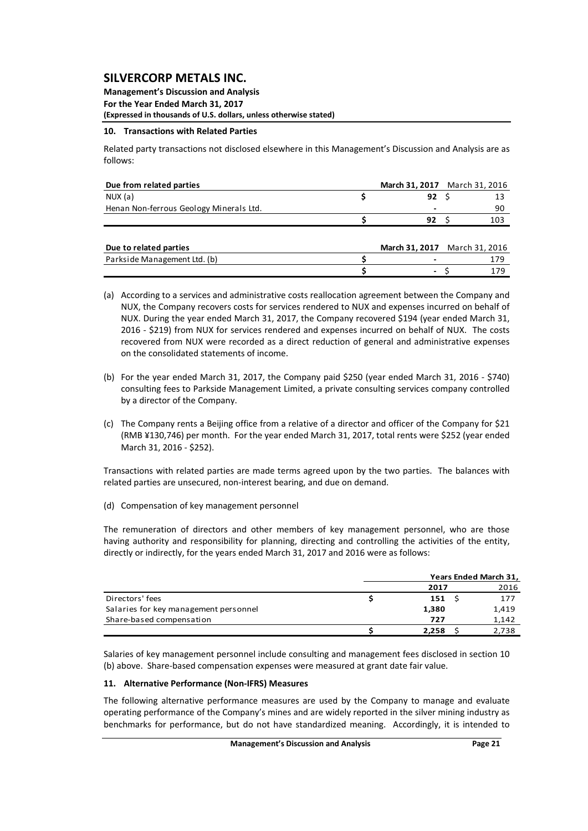**Management's Discussion and Analysis For the Year Ended March 31, 2017 (Expressed in thousands of U.S. dollars, unless otherwise stated)**

#### **10. Transactions with Related Parties**

Related party transactions not disclosed elsewhere in this Management's Discussion and Analysis are as follows:

| Due from related parties                | March 31, 2017 March 31, 2016 |     |  |
|-----------------------------------------|-------------------------------|-----|--|
| NUX(a)                                  | 92                            | 13  |  |
| Henan Non-ferrous Geology Minerals Ltd. |                               | 90  |  |
|                                         | 92                            | 103 |  |
|                                         |                               |     |  |
| Due to related parties                  | March 31, 2017 March 31, 2016 |     |  |
| Parkside Management Ltd. (b)            |                               | 179 |  |
|                                         |                               | 179 |  |

- (a) According to a services and administrative costs reallocation agreement between the Company and NUX, the Company recovers costs for services rendered to NUX and expenses incurred on behalf of NUX. During the year ended March 31, 2017, the Company recovered \$194 (year ended March 31, 2016 ‐ \$219) from NUX for services rendered and expenses incurred on behalf of NUX. The costs recovered from NUX were recorded as a direct reduction of general and administrative expenses on the consolidated statements of income.
- (b) For the year ended March 31, 2017, the Company paid \$250 (year ended March 31, 2016 ‐ \$740) consulting fees to Parkside Management Limited, a private consulting services company controlled by a director of the Company.
- (c) The Company rents a Beijing office from a relative of a director and officer of the Company for \$21 (RMB ¥130,746) per month. For the year ended March 31, 2017, total rents were \$252 (year ended March 31, 2016 ‐ \$252).

Transactions with related parties are made terms agreed upon by the two parties. The balances with related parties are unsecured, non‐interest bearing, and due on demand.

(d) Compensation of key management personnel

The remuneration of directors and other members of key management personnel, who are those having authority and responsibility for planning, directing and controlling the activities of the entity, directly or indirectly, for the years ended March 31, 2017 and 2016 were as follows:

|                                       | Years Ended March 31, |       |
|---------------------------------------|-----------------------|-------|
|                                       | 2017                  | 2016  |
| Directors' fees                       | 151                   | 177   |
| Salaries for key management personnel | 1,380                 | 1,419 |
| Share-based compensation              | 727                   | 1,142 |
|                                       | 2.258                 | 2,738 |

Salaries of key management personnel include consulting and management fees disclosed in section 10 (b) above. Share‐based compensation expenses were measured at grant date fair value.

#### **11. Alternative Performance (Non‐IFRS) Measures**

The following alternative performance measures are used by the Company to manage and evaluate operating performance of the Company's mines and are widely reported in the silver mining industry as benchmarks for performance, but do not have standardized meaning. Accordingly, it is intended to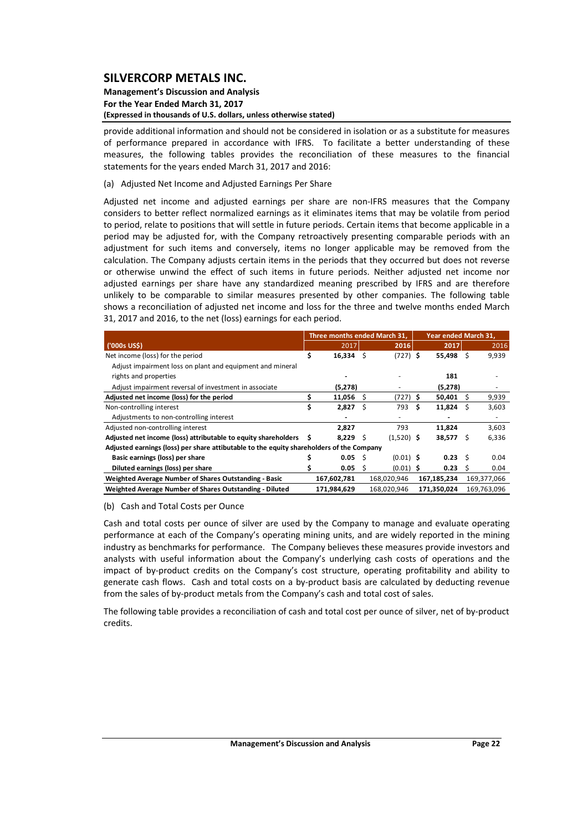#### **Management's Discussion and Analysis For the Year Ended March 31, 2017 (Expressed in thousands of U.S. dollars, unless otherwise stated)**

provide additional information and should not be considered in isolation or as a substitute for measures of performance prepared in accordance with IFRS. To facilitate a better understanding of these measures, the following tables provides the reconciliation of these measures to the financial statements for the years ended March 31, 2017 and 2016:

#### (a) Adjusted Net Income and Adjusted Earnings Per Share

Adjusted net income and adjusted earnings per share are non-IFRS measures that the Company considers to better reflect normalized earnings as it eliminates items that may be volatile from period to period, relate to positions that will settle in future periods. Certain items that become applicable in a period may be adjusted for, with the Company retroactively presenting comparable periods with an adjustment for such items and conversely, items no longer applicable may be removed from the calculation. The Company adjusts certain items in the periods that they occurred but does not reverse or otherwise unwind the effect of such items in future periods. Neither adjusted net income nor adjusted earnings per share have any standardized meaning prescribed by IFRS and are therefore unlikely to be comparable to similar measures presented by other companies. The following table shows a reconciliation of adjusted net income and loss for the three and twelve months ended March 31, 2017 and 2016, to the net (loss) earnings for each period.

|                                                                                          | Three months ended March 31, |      |              | Year ended March 31, |              |     |             |  |
|------------------------------------------------------------------------------------------|------------------------------|------|--------------|----------------------|--------------|-----|-------------|--|
| ('000s US\$)                                                                             | 2017                         |      | 2016         |                      | 2017         |     | 2016        |  |
| Net income (loss) for the period                                                         | \$<br>$16,334$ \$            |      | $(727)$ \$   |                      | 55,498 \$    |     | 9,939       |  |
| Adjust impairment loss on plant and equipment and mineral                                |                              |      |              |                      |              |     |             |  |
| rights and properties                                                                    |                              |      |              |                      | 181          |     |             |  |
| Adjust impairment reversal of investment in associate                                    | (5,278)                      |      |              |                      | (5,278)      |     |             |  |
| Adjusted net income (loss) for the period                                                | 11,056                       | S    | (727) \$     |                      | 50,401       |     | 9,939       |  |
| Non-controlling interest                                                                 | 2,827                        | Ŝ    | 793          | S                    | 11,824       |     | 3,603       |  |
| Adjustments to non-controlling interest                                                  |                              |      |              |                      |              |     |             |  |
| Adjusted non-controlling interest                                                        | 2.827                        |      | 793          |                      | 11,824       |     | 3,603       |  |
| Adjusted net income (loss) attributable to equity shareholders \$                        | $8,229$ \$                   |      | $(1,520)$ \$ |                      | 38,577       | - S | 6,336       |  |
| Adjusted earnings (loss) per share attibutable to the equity shareholders of the Company |                              |      |              |                      |              |     |             |  |
| Basic earnings (loss) per share                                                          | 0.05                         | - \$ | $(0.01)$ S   |                      | $0.23 \quad$ |     | 0.04        |  |
| Diluted earnings (loss) per share                                                        | 0.05                         | -\$  | $(0.01)$ \$  |                      | 0.23         |     | 0.04        |  |
| Weighted Average Number of Shares Outstanding - Basic                                    | 167,602,781                  |      | 168,020,946  |                      | 167,185,234  |     | 169,377,066 |  |
| Weighted Average Number of Shares Outstanding - Diluted                                  | 171,984,629                  |      | 168,020,946  |                      | 171,350,024  |     | 169,763,096 |  |

#### (b) Cash and Total Costs per Ounce

Cash and total costs per ounce of silver are used by the Company to manage and evaluate operating performance at each of the Company's operating mining units, and are widely reported in the mining industry as benchmarks for performance. The Company believes these measures provide investors and analysts with useful information about the Company's underlying cash costs of operations and the impact of by‐product credits on the Company's cost structure, operating profitability and ability to generate cash flows. Cash and total costs on a by‐product basis are calculated by deducting revenue from the sales of by-product metals from the Company's cash and total cost of sales.

The following table provides a reconciliation of cash and total cost per ounce of silver, net of by‐product credits.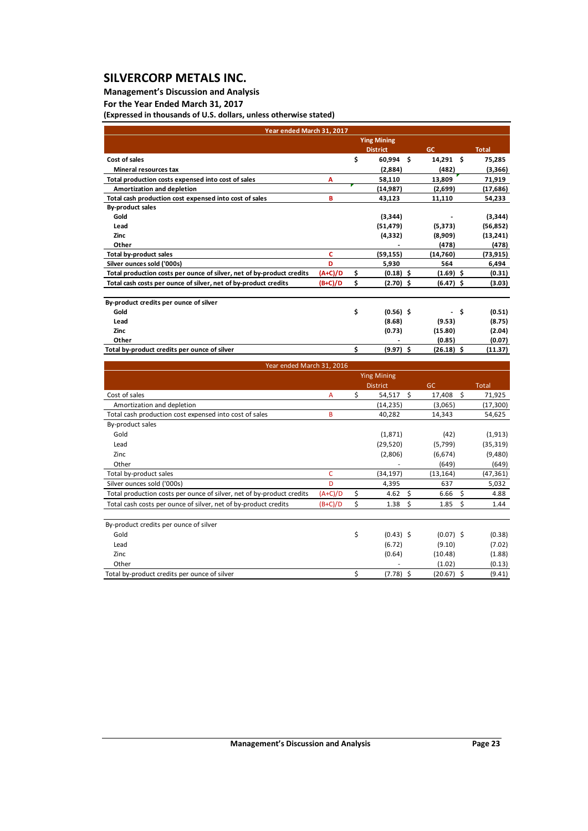## **Management's Discussion and Analysis**

**For the Year Ended March 31, 2017**

**(Expressed in thousands of U.S. dollars, unless otherwise stated)**

| Year ended March 31, 2017                                             |           |    |                    |                          |              |
|-----------------------------------------------------------------------|-----------|----|--------------------|--------------------------|--------------|
|                                                                       |           |    | <b>Ying Mining</b> |                          |              |
|                                                                       |           |    | <b>District</b>    | GC                       | <b>Total</b> |
| Cost of sales                                                         |           | \$ | $60,994$ \$        | $14,291$ \$              | 75,285       |
| <b>Mineral resources tax</b>                                          |           |    | (2,884)            | (482)                    | (3,366)      |
| Total production costs expensed into cost of sales                    | А         |    | 58,110             | 13,809                   | 71,919       |
| Amortization and depletion                                            |           |    | (14, 987)          | (2,699)                  | (17, 686)    |
| Total cash production cost expensed into cost of sales                | в         |    | 43,123             | 11,110                   | 54,233       |
| By-product sales                                                      |           |    |                    |                          |              |
| Gold                                                                  |           |    | (3,344)            |                          | (3, 344)     |
| Lead                                                                  |           |    | (51, 479)          | (5,373)                  | (56, 852)    |
| Zinc                                                                  |           |    | (4, 332)           | (8,909)                  | (13, 241)    |
| Other                                                                 |           |    |                    | (478)                    | (478)        |
| <b>Total by-product sales</b>                                         | c         |    | (59, 155)          | (14,760)                 | (73, 915)    |
| Silver ounces sold ('000s)                                            | D         |    | 5,930              | 564                      | 6,494        |
| Total production costs per ounce of silver, net of by-product credits | $(A+C)/D$ | \$ | $(0.18)$ \$        | $(1.69)$ \$              | (0.31)       |
| Total cash costs per ounce of silver, net of by-product credits       | $(B+C)/D$ | \$ | $(2.70)$ \$        | $(6.47)$ \$              | (3.03)       |
|                                                                       |           |    |                    |                          |              |
| By-product credits per ounce of silver                                |           |    |                    |                          |              |
| Gold                                                                  |           | \$ | $(0.56)$ \$        | $\overline{\phantom{a}}$ | \$<br>(0.51) |
| Lead                                                                  |           |    | (8.68)             | (9.53)                   | (8.75)       |
| Zinc                                                                  |           |    | (0.73)             | (15.80)                  | (2.04)       |
| Other                                                                 |           |    |                    | (0.85)                   | (0.07)       |
| Total by-product credits per ounce of silver                          |           | Ś  | $(9.97)$ \$        | $(26.18)$ \$             | (11.37)      |

| Year ended March 31, 2016                                             |           |                    |                 |              |              |  |  |  |  |  |  |  |
|-----------------------------------------------------------------------|-----------|--------------------|-----------------|--------------|--------------|--|--|--|--|--|--|--|
|                                                                       |           | <b>Ying Mining</b> |                 |              |              |  |  |  |  |  |  |  |
|                                                                       |           |                    | <b>District</b> | <b>GC</b>    | <b>Total</b> |  |  |  |  |  |  |  |
| Cost of sales                                                         | A         | \$                 | Ŝ.<br>54,517    | \$<br>17,408 | 71,925       |  |  |  |  |  |  |  |
| Amortization and depletion                                            |           |                    | (14, 235)       | (3,065)      | (17,300)     |  |  |  |  |  |  |  |
| Total cash production cost expensed into cost of sales                | B         |                    | 40,282          | 14,343       | 54,625       |  |  |  |  |  |  |  |
| By-product sales                                                      |           |                    |                 |              |              |  |  |  |  |  |  |  |
| Gold                                                                  |           |                    | (1,871)         | (42)         | (1, 913)     |  |  |  |  |  |  |  |
| Lead                                                                  |           |                    | (29, 520)       | (5,799)      | (35, 319)    |  |  |  |  |  |  |  |
| Zinc                                                                  |           |                    | (2,806)         | (6,674)      | (9,480)      |  |  |  |  |  |  |  |
| Other                                                                 |           |                    |                 | (649)        | (649)        |  |  |  |  |  |  |  |
| Total by-product sales                                                | c         |                    | (34, 197)       | (13, 164)    | (47,361)     |  |  |  |  |  |  |  |
| Silver ounces sold ('000s)                                            | D         |                    | 4,395           | 637          | 5,032        |  |  |  |  |  |  |  |
| Total production costs per ounce of silver, net of by-product credits | $(A+C)/D$ | \$                 | 4.62<br>Ś       | 6.66<br>\$   | 4.88         |  |  |  |  |  |  |  |
| Total cash costs per ounce of silver, net of by-product credits       | $(B+C)/D$ | \$                 | \$<br>1.38      | -\$<br>1.85  | 1.44         |  |  |  |  |  |  |  |
| By-product credits per ounce of silver                                |           |                    |                 |              |              |  |  |  |  |  |  |  |
| Gold                                                                  |           | \$                 | $(0.43)$ \$     | $(0.07)$ \$  | (0.38)       |  |  |  |  |  |  |  |
| Lead                                                                  |           |                    | (6.72)          | (9.10)       | (7.02)       |  |  |  |  |  |  |  |
| Zinc                                                                  |           |                    | (0.64)          | (10.48)      | (1.88)       |  |  |  |  |  |  |  |
| Other                                                                 |           |                    |                 | (1.02)       | (0.13)       |  |  |  |  |  |  |  |
| Total by-product credits per ounce of silver                          |           | \$                 | $(7.78)$ \$     | $(20.67)$ \$ | (9.41)       |  |  |  |  |  |  |  |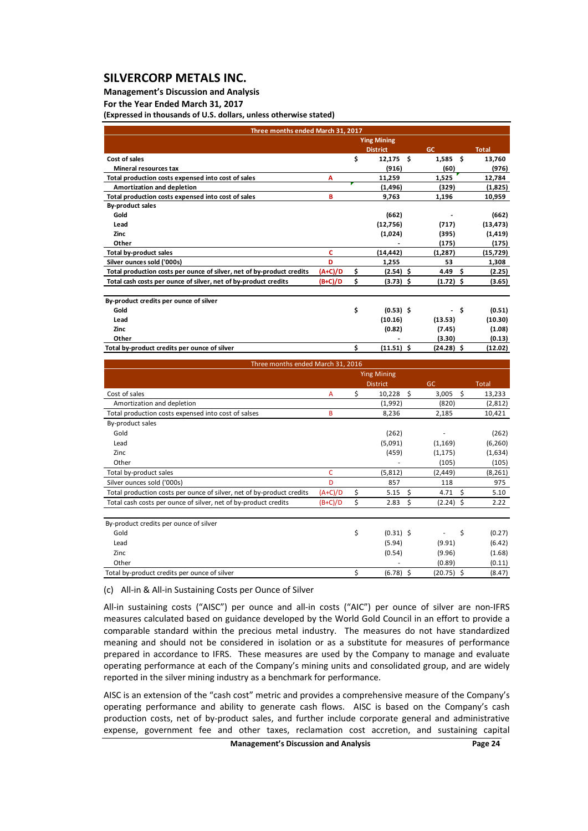#### **Management's Discussion and Analysis**

**For the Year Ended March 31, 2017**

**(Expressed in thousands of U.S. dollars, unless otherwise stated)**

| Three months ended March 31, 2017                                     |           |    |                    |                                  |              |
|-----------------------------------------------------------------------|-----------|----|--------------------|----------------------------------|--------------|
|                                                                       |           |    | <b>Ying Mining</b> |                                  |              |
|                                                                       |           |    | <b>District</b>    | <b>GC</b>                        | <b>Total</b> |
| Cost of sales                                                         |           | \$ | $12,175$ \$        | $1,585$ \$                       | 13,760       |
| <b>Mineral resources tax</b>                                          |           |    | (916)              | (60)                             | (976)        |
| Total production costs expensed into cost of sales                    | A         |    | 11,259             | 1,525                            | 12,784       |
| Amortization and depletion                                            |           |    | (1, 496)           | (329)                            | (1,825)      |
| Total production costs expensed into cost of sales                    | в         |    | 9,763              | 1,196                            | 10,959       |
| <b>By-product sales</b>                                               |           |    |                    |                                  |              |
| Gold                                                                  |           |    | (662)              |                                  | (662)        |
| Lead                                                                  |           |    | (12,756)           | (717)                            | (13, 473)    |
| <b>Zinc</b>                                                           |           |    | (1,024)            | (395)                            | (1, 419)     |
| Other                                                                 |           |    |                    | (175)                            | (175)        |
| Total by-product sales                                                | c         |    | (14, 442)          | (1, 287)                         | (15, 729)    |
| Silver ounces sold ('000s)                                            | D         |    | 1,255              | 53                               | 1,308        |
| Total production costs per ounce of silver, net of by-product credits | (A+C)/D   | Ś  | $(2.54)$ \$        | 4.49<br>Ŝ                        | (2.25)       |
| Total cash costs per ounce of silver, net of by-product credits       | $(B+C)/D$ | \$ | $(3.73)$ \$        | $(1.72)$ \$                      | (3.65)       |
| By-product credits per ounce of silver                                |           |    |                    |                                  |              |
| Gold                                                                  |           | \$ | $(0.53)$ \$        | - \$<br>$\overline{\phantom{a}}$ | (0.51)       |
| Lead                                                                  |           |    | (10.16)            | (13.53)                          | (10.30)      |
| Zinc                                                                  |           |    | (0.82)             | (7.45)                           | (1.08)       |
| Other                                                                 |           |    |                    | (3.30)                           | (0.13)       |
| Total by-product credits per ounce of silver                          |           | Ś  | $(11.51)$ \$       | $(24.28)$ \$                     | (12.02)      |

| Three months ended March 31, 2016                                     |              |                    |           |             |    |              |
|-----------------------------------------------------------------------|--------------|--------------------|-----------|-------------|----|--------------|
|                                                                       |              | <b>Ying Mining</b> |           |             |    |              |
|                                                                       |              | <b>District</b>    | <b>GC</b> |             |    | <b>Total</b> |
| Cost of sales                                                         | $\mathsf{A}$ | \$<br>10,228       | \$        | 3,005       | \$ | 13,233       |
| Amortization and depletion                                            |              | (1,992)            |           | (820)       |    | (2,812)      |
| Total production costs expensed into cost of salses                   | B            | 8,236              |           | 2,185       |    | 10,421       |
| By-product sales                                                      |              |                    |           |             |    |              |
| Gold                                                                  |              | (262)              |           |             |    | (262)        |
| Lead                                                                  |              | (5,091)            |           | (1, 169)    |    | (6, 260)     |
| Zinc                                                                  |              | (459)              |           | (1, 175)    |    | (1,634)      |
| Other                                                                 |              |                    |           | (105)       |    | (105)        |
| Total by-product sales                                                | C            | (5,812)            |           | (2, 449)    |    | (8, 261)     |
| Silver ounces sold ('000s)                                            | D            | 857                |           | 118         |    | 975          |
| Total production costs per ounce of silver, net of by-product credits | $(A+C)/D$    | \$<br>5.15         | \$        | 4.71        | Ŝ. | 5.10         |
| Total cash costs per ounce of silver, net of by-product credits       | $(B+C)/D$    | \$<br>2.83         | \$.       | $(2.24)$ \$ |    | 2.22         |
| By-product credits per ounce of silver                                |              |                    |           |             |    |              |
| Gold                                                                  |              | \$<br>$(0.31)$ \$  |           |             | \$ | (0.27)       |
| Lead                                                                  |              | (5.94)             |           | (9.91)      |    | (6.42)       |
| Zinc                                                                  |              | (0.54)             |           | (9.96)      |    | (1.68)       |
| Other                                                                 |              |                    |           | (0.89)      |    | (0.11)       |

(c) All‐in & All‐in Sustaining Costs per Ounce of Silver

All-in sustaining costs ("AISC") per ounce and all-in costs ("AIC") per ounce of silver are non-IFRS measures calculated based on guidance developed by the World Gold Council in an effort to provide a comparable standard within the precious metal industry. The measures do not have standardized meaning and should not be considered in isolation or as a substitute for measures of performance prepared in accordance to IFRS. These measures are used by the Company to manage and evaluate operating performance at each of the Company's mining units and consolidated group, and are widely reported in the silver mining industry as a benchmark for performance.

Total by-product credits per ounce of silver  $(8.47)$   $(6.78)$   $(6.78)$   $(20.75)$   $(8.47)$ 

AISC is an extension of the "cash cost" metric and provides a comprehensive measure of the Company's operating performance and ability to generate cash flows. AISC is based on the Company's cash production costs, net of by-product sales, and further include corporate general and administrative expense, government fee and other taxes, reclamation cost accretion, and sustaining capital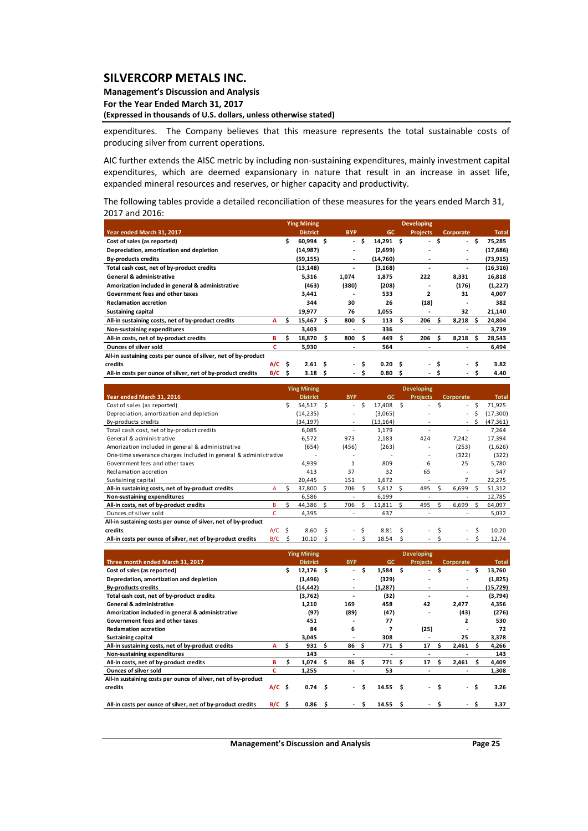**Management's Discussion and Analysis For the Year Ended March 31, 2017 (Expressed in thousands of U.S. dollars, unless otherwise stated)**

expenditures. The Company believes that this measure represents the total sustainable costs of producing silver from current operations.

AIC further extends the AISC metric by including non‐sustaining expenditures, mainly investment capital expenditures, which are deemed expansionary in nature that result in an increase in asset life, expanded mineral resources and reserves, or higher capacity and productivity.

The following tables provide a detailed reconciliation of these measures for the years ended March 31, 2017 and 2016:

|                                                                |          |     | <b>Ying Mining</b> |    |            |      |                   |      |                 |    |                          |    |              |
|----------------------------------------------------------------|----------|-----|--------------------|----|------------|------|-------------------|------|-----------------|----|--------------------------|----|--------------|
| Year ended March 31, 2017                                      |          |     | <b>District</b>    |    | <b>BYP</b> |      | <b>GC</b>         |      | <b>Projects</b> |    | Corporate                |    | <b>Total</b> |
| Cost of sales (as reported)                                    |          | \$  | $60,994$ \$        |    | $\sim$     | s.   | $14,291$ \$       |      | $\sim$          | \$ | - \$                     |    | 75,285       |
| Depreciation, amortization and depletion                       |          |     | (14,987)           |    |            |      | (2,699)           |      |                 |    | $\overline{\phantom{0}}$ |    | (17, 686)    |
| <b>By-products credits</b>                                     |          |     | (59, 155)          |    | ۰          |      | (14,760)          |      |                 |    | $\blacksquare$           |    | (73,915)     |
| Total cash cost, net of by-product credits                     |          |     | (13, 148)          |    | -          |      | (3, 168)          |      |                 |    | $\overline{\phantom{0}}$ |    | (16, 316)    |
| <b>General &amp; administrative</b>                            |          |     | 5,316              |    | 1,074      |      | 1,875             |      | 222             |    | 8,331                    |    | 16,818       |
| Amorization included in general & administrative               |          |     | (463)              |    | (380)      |      | (208)             |      |                 |    | (176)                    |    | (1,227)      |
| Government fees and other taxes                                |          |     | 3,441              |    |            |      | 533               |      | $\overline{2}$  |    | 31                       |    | 4,007        |
| <b>Reclamation accretion</b>                                   |          |     | 344                |    | 30         |      | 26                |      | (18)            |    |                          |    | 382          |
| <b>Sustaining capital</b>                                      |          |     | 19,977             |    | 76         |      | 1,055             |      |                 |    | 32                       |    | 21,140       |
| All-in sustaining costs, net of by-product credits             | A        | s   | 15,467             | s  | 800        | - \$ | 113               | s    | 206             | S  | 8,218                    | s  | 24,804       |
| Non-sustaining expenditures                                    |          |     | 3,403              |    |            |      | 336               |      |                 |    |                          |    | 3,739        |
| All-in costs, net of by-product credits                        | в        | s   | 18,870             | \$ | 800        | Ŝ.   | 449               | Ś.   | 206             | s  | 8,218                    | s  | 28,543       |
| <b>Ounces of silver sold</b>                                   | с        |     | 5,930              |    | -          |      | 564               |      |                 |    |                          |    | 6,494        |
| All-in sustaining costs per ounce of silver, net of by-product |          |     |                    |    |            |      |                   |      |                 |    |                          |    |              |
| credits                                                        | $A/C$ \$ |     | 2.61S              |    | $\sim$     | s.   | 0.20 <sub>5</sub> |      | $\sim$          | Ŝ  | $\sim$                   | \$ | 3.82         |
| All-in costs per ounce of silver, net of by-product credits    | B/C      | - Ś | $3.18 \quad $$     |    | $\sim$     | Ŝ    | 0.80              | - \$ |                 | Ŝ  | $\sim$                   | \$ | 4.40         |

|                                                                 | <b>Ying Mining</b> |    |                 |               |                          | <b>Developing</b> |           |   |                          |   |           |   |              |  |  |
|-----------------------------------------------------------------|--------------------|----|-----------------|---------------|--------------------------|-------------------|-----------|---|--------------------------|---|-----------|---|--------------|--|--|
| Year ended March 31, 2016                                       |                    |    | <b>District</b> |               | <b>BYP</b>               |                   | <b>GC</b> |   | <b>Projects</b>          |   | Corporate |   | <b>Total</b> |  |  |
| Cost of sales (as reported)                                     |                    | Ś. | 54,517          | S             | $\overline{\phantom{0}}$ | Ŝ.                | 17,408 \$ |   | $\overline{\phantom{a}}$ | Ŝ | $\sim$    | Ś | 71,925       |  |  |
| Depreciation, amortization and depletion                        |                    |    | (14, 235)       |               |                          |                   | (3,065)   |   |                          |   | $\sim$    | s | (17, 300)    |  |  |
| By-products credits                                             |                    |    | (34, 197)       |               | ٠                        |                   | (13, 164) |   |                          |   | $\sim$    | s | (47,361)     |  |  |
| Total cash cost, net of by-product credits                      |                    |    | 6,085           |               |                          |                   | 1,179     |   |                          |   |           |   | 7,264        |  |  |
| General & administrative                                        |                    |    | 6,572           |               | 973                      |                   | 2,183     |   | 424                      |   | 7.242     |   | 17,394       |  |  |
| Amorization included in general & administrative                |                    |    | (654)           |               | (456)                    |                   | (263)     |   |                          |   | (253)     |   | (1,626)      |  |  |
| One-time severance charges included in general & administrative |                    |    |                 |               |                          |                   |           |   |                          |   | (322)     |   | (322)        |  |  |
| Government fees and other taxes                                 |                    |    | 4,939           |               |                          |                   | 809       |   | 6                        |   | 25        |   | 5,780        |  |  |
| Reclamation accretion                                           |                    |    | 413             |               | 37                       |                   | 32        |   | 65                       |   |           |   | 547          |  |  |
| Sustaining capital                                              |                    |    | 20,445          |               | 151                      |                   | 1,672     |   |                          |   |           |   | 22,275       |  |  |
| All-in sustaining costs, net of by-product credits              | A                  | Ś. | 37,800          | Ŝ.            | 706                      | S.                | 5,612     | S | 495                      | S | 6,699     | S | 51,312       |  |  |
| Non-sustaining expenditures                                     |                    |    | 6,586           |               | $\overline{\phantom{a}}$ |                   | 6,199     |   |                          |   |           |   | 12,785       |  |  |
| All-in costs, net of by-product credits                         | в                  |    | 44,386          | S             | 706                      |                   | 11,811    |   | 495                      |   | 6,699     |   | 64,097       |  |  |
| Ounces of silver sold                                           | c                  |    | 4,395           |               |                          |                   | 637       |   |                          |   |           |   | 5,032        |  |  |
| All-in sustaining costs per ounce of silver, net of by-product  |                    |    |                 |               |                          |                   |           |   |                          |   |           |   |              |  |  |
| credits                                                         | $A/C$ \$           |    | 8.60            | S             | ٠                        |                   | 8.81      |   | ٠                        |   | ۰         |   | 10.20        |  |  |
| All-in costs per ounce of silver, net of by-product credits     | B/C                |    | 10.10           | $\mathcal{L}$ |                          |                   | 18.54     |   |                          |   |           |   | 12.74        |  |  |

|                                                                | <b>Ying Mining</b> |   |                   |     |            |   | <b>Developing</b>  |    |                 |      |           |      |              |  |
|----------------------------------------------------------------|--------------------|---|-------------------|-----|------------|---|--------------------|----|-----------------|------|-----------|------|--------------|--|
| Three month ended March 31, 2017                               |                    |   | <b>District</b>   |     | <b>BYP</b> |   | GC                 |    | <b>Projects</b> |      | Corporate |      | <b>Total</b> |  |
| Cost of sales (as reported)                                    |                    | Ś | 12,176            | \$. | $\sim$     | Ŝ | $1,584$ \$         |    | $\sim$          | Ŝ    |           | - \$ | 13,760       |  |
| Depreciation, amortization and depletion                       |                    |   | (1, 496)          |     |            |   | (329)              |    |                 |      |           |      | (1,825)      |  |
| <b>By-products credits</b>                                     |                    |   | (14,442)          |     | ۰          |   | (1, 287)           |    |                 |      |           |      | (15, 729)    |  |
| Total cash cost, net of by-product credits                     |                    |   | (3,762)           |     |            |   | (32)               |    |                 |      |           |      | (3,794)      |  |
| <b>General &amp; administrative</b>                            |                    |   | 1,210             |     | 169        |   | 458                |    | 42              |      | 2,477     |      | 4,356        |  |
| Amorization included in general & administrative               |                    |   | (97)              |     | (89)       |   | (47)               |    |                 |      | (43)      |      | (276)        |  |
| Government fees and other taxes                                |                    |   | 451               |     |            |   | 77                 |    |                 |      | 2         |      | 530          |  |
| <b>Reclamation accretion</b>                                   |                    |   | 84                |     | 6          |   |                    |    | (25)            |      |           |      | 72           |  |
| <b>Sustaining capital</b>                                      |                    |   | 3,045             |     |            |   | 308                |    |                 |      | 25        |      | 3,378        |  |
| All-in sustaining costs, net of by-product credits             | А                  |   | 931               | Ś.  | 86         |   | 771                | s. | 17              |      | 2,461     |      | 4,266        |  |
| Non-sustaining expenditures                                    |                    |   | 143               |     | ٠          |   | ٠                  |    |                 |      |           |      | 143          |  |
| All-in costs, net of by-product credits                        | в                  |   | 1,074             | s   | 86         | s | 771                | Ś. | 17              |      | 2,461     |      | 4,409        |  |
| <b>Ounces of silver sold</b>                                   | с                  |   | 1,255             |     | ٠          |   | 53                 |    | ۰               |      | ٠         |      | 1,308        |  |
| All-in sustaining costs per ounce of silver, net of by-product |                    |   |                   |     |            |   |                    |    |                 |      |           |      |              |  |
| credits                                                        | $A/C$ \$           |   | 0.74 <sub>5</sub> |     | $\sim$     | S | 14.55 <sub>5</sub> |    |                 | - \$ | $\sim$    | Ŝ.   | 3.26         |  |
| All-in costs per ounce of silver, net of by-product credits    | $B/C$ \$           |   | 0.86              | s   |            |   | 14.55              |    |                 |      |           |      | 3.37         |  |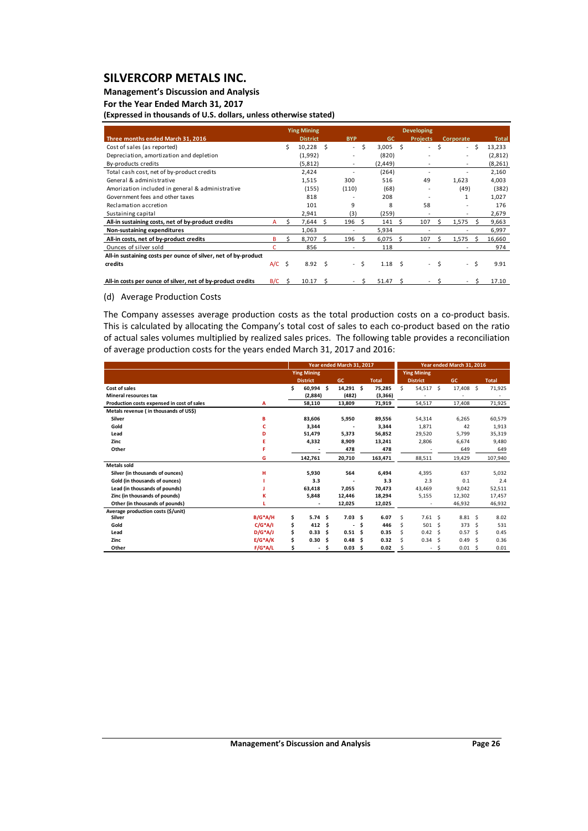## **Management's Discussion and Analysis**

### **For the Year Ended March 31, 2017**

**(Expressed in thousands of U.S. dollars, unless otherwise stated)**

|                                                                | <b>Ying Mining</b> |        |                 |    |            |     | <b>Developing</b> |      |                 |    |           |      |              |  |
|----------------------------------------------------------------|--------------------|--------|-----------------|----|------------|-----|-------------------|------|-----------------|----|-----------|------|--------------|--|
| Three months ended March 31, 2016                              |                    |        | <b>District</b> |    | <b>BYP</b> |     | <b>GC</b>         |      | <b>Projects</b> |    | Corporate |      | <b>Total</b> |  |
| Cost of sales (as reported)                                    |                    | Ś.     | $10,228$ \$     |    | $\sim$     | \$. | 3,005             | - \$ | $\sim$          | Ŝ. |           | - \$ | 13,233       |  |
| Depreciation, amortization and depletion                       |                    |        | (1,992)         |    |            |     | (820)             |      |                 |    |           |      | (2,812)      |  |
| By-products credits                                            |                    |        | (5,812)         |    |            |     | (2, 449)          |      |                 |    |           |      | (8, 261)     |  |
| Total cash cost, net of by-product credits                     |                    |        | 2,424           |    |            |     | (264)             |      |                 |    |           |      | 2,160        |  |
| General & administrative                                       |                    |        | 1,515           |    | 300        |     | 516               |      | 49              |    | 1,623     |      | 4,003        |  |
| Amorization included in general & administrative               |                    |        | (155)           |    | (110)      |     | (68)              |      |                 |    | (49)      |      | (382)        |  |
| Government fees and other taxes                                |                    |        | 818             |    |            |     | 208               |      |                 |    | 1         |      | 1,027        |  |
| Reclamation accretion                                          |                    |        | 101             |    | 9          |     | 8                 |      | 58              |    |           |      | 176          |  |
| Sustaining capital                                             |                    |        | 2,941           |    | (3)        |     | (259)             |      |                 |    | ٠         |      | 2,679        |  |
| All-in sustaining costs, net of by-product credits             | A                  |        | 7,644           | Ś. | 196        | -Ś  | 141               | ς.   | 107             |    | 1,575     |      | 9,663        |  |
| Non-sustaining expenditures                                    |                    |        | 1,063           |    | ٠          |     | 5,934             |      |                 |    |           |      | 6,997        |  |
| All-in costs, net of by-product credits                        | B                  | s      | 8,707           | S. | 196        | -S  | 6,075             | Ŝ.   | 107             | 5  | 1,575     | ς    | 16,660       |  |
| Ounces of silver sold                                          |                    |        | 856             |    | ٠          |     | 118               |      |                 |    |           |      | 974          |  |
| All-in sustaining costs per ounce of silver, net of by-product |                    |        |                 |    |            |     |                   |      |                 |    |           |      |              |  |
| credits                                                        | A/C                | s.     | $8.92 \quad S$  |    | $\sim$     | Ŝ.  | $1.18 \quad$ \$   |      | $\sim$          | Ŝ. | $\sim$    | Ŝ.   | 9.91         |  |
|                                                                |                    |        |                 |    |            |     |                   |      |                 |    |           |      |              |  |
| All-in costs per ounce of silver, net of by-product credits    | B/C                | $\sim$ | 10.17           | S  |            |     | 51.47             | Ŝ.   |                 |    |           |      | 17.10        |  |

#### (d) Average Production Costs

The Company assesses average production costs as the total production costs on a co-product basis. This is calculated by allocating the Company's total cost of sales to each co-product based on the ratio of actual sales volumes multiplied by realized sales prices. The following table provides a reconciliation of average production costs for the years ended March 31, 2017 and 2016:

|                                            |            |    |                    | Year ended March 31, 2017 |                   | Year ended March 31, 2016 |              |                    |                 |      |             |                     |              |
|--------------------------------------------|------------|----|--------------------|---------------------------|-------------------|---------------------------|--------------|--------------------|-----------------|------|-------------|---------------------|--------------|
|                                            |            |    | <b>Ying Mining</b> |                           |                   |                           |              | <b>Ying Mining</b> |                 |      |             |                     |              |
|                                            |            |    | <b>District</b>    |                           | GC                |                           | <b>Total</b> |                    | <b>District</b> |      | <b>GC</b>   |                     | <b>Total</b> |
| Cost of sales                              |            | Ś. | 60,994             | \$.                       | 14,291 \$         |                           | 75,285       | \$                 | 54,517 \$       |      | 17,408 \$   |                     | 71,925       |
| <b>Mineral resources tax</b>               |            |    | (2,884)            |                           | (482)             |                           | (3,366)      |                    |                 |      |             |                     |              |
| Production costs expensed in cost of sales | А          |    | 58,110             |                           | 13,809            |                           | 71,919       |                    | 54,517          |      | 17,408      |                     | 71,925       |
| Metals revenue (in thousands of US\$)      |            |    |                    |                           |                   |                           |              |                    |                 |      |             |                     |              |
| Silver                                     | в          |    | 83,606             |                           | 5,950             |                           | 89,556       |                    | 54,314          |      | 6,265       |                     | 60,579       |
| Gold                                       | c          |    | 3,344              |                           |                   |                           | 3,344        |                    | 1,871           |      | 42          |                     | 1,913        |
| Lead                                       | D          |    | 51,479             |                           | 5,373             |                           | 56,852       |                    | 29,520          |      | 5,799       |                     | 35,319       |
| Zinc                                       | E.         |    | 4,332              |                           | 8,909             |                           | 13,241       |                    | 2,806           |      | 6,674       |                     | 9,480        |
| Other                                      | F          |    |                    |                           | 478               |                           | 478          |                    |                 |      | 649         |                     | 649          |
|                                            | G          |    | 142,761            |                           | 20,710            |                           | 163,471      |                    | 88,511          |      | 19,429      |                     | 107,940      |
| <b>Metals sold</b>                         |            |    |                    |                           |                   |                           |              |                    |                 |      |             |                     |              |
| Silver (in thousands of ounces)            | н          |    | 5,930              |                           | 564               |                           | 6,494        |                    | 4,395           |      | 637         |                     | 5,032        |
| Gold (in thousands of ounces)              |            |    | 3.3                |                           |                   |                           | 3.3          |                    | 2.3             |      | 0.1         |                     | 2.4          |
| Lead (in thousands of pounds)              |            |    | 63,418             |                           | 7,055             |                           | 70,473       |                    | 43,469          |      | 9,042       |                     | 52,511       |
| Zinc (in thousands of pounds)              | ĸ          |    | 5,848              |                           | 12,446            |                           | 18,294       |                    | 5,155           |      | 12,302      |                     | 17,457       |
| Other (in thousands of pounds)             |            |    |                    |                           | 12,025            |                           | 12,025       |                    |                 |      | 46,932      |                     | 46,932       |
| Average production costs (\$/unit)         |            |    |                    |                           |                   |                           |              |                    |                 |      |             |                     |              |
| Silver                                     | $B/G^*A/H$ | \$ | 5.74               | \$.                       | 7.03 <sub>5</sub> |                           | 6.07         | \$.                | $7.61 \quad $$  |      | $8.81\quad$ |                     | 8.02         |
| Gold                                       | $C/G^*A/I$ | \$ | 412                | \$                        |                   | \$                        | 446          | Ś                  | 501             | - \$ | 373         | Ŝ.                  | 531          |
| Lead                                       | $D/G^*A/J$ | \$ | 0.33               | \$.                       | 0.51 <sub>5</sub> |                           | 0.35         |                    | $0.42 \quad$ \$ |      | 0.57        | - Ś                 | 0.45         |
| Zinc                                       | $E/G^*A/K$ | \$ | 0.30               | Ŝ                         | 0.48              | Ś.                        | 0.32         | Ś                  | 0.34            | - \$ | 0.49        | -Ŝ                  | 0.36         |
| Other                                      | $F/G^*A/L$ | \$ |                    | S                         | 0.03              | -\$                       | 0.02         |                    | ٠               | \$   | 0.01        | $\ddot{\mathsf{S}}$ | 0.01         |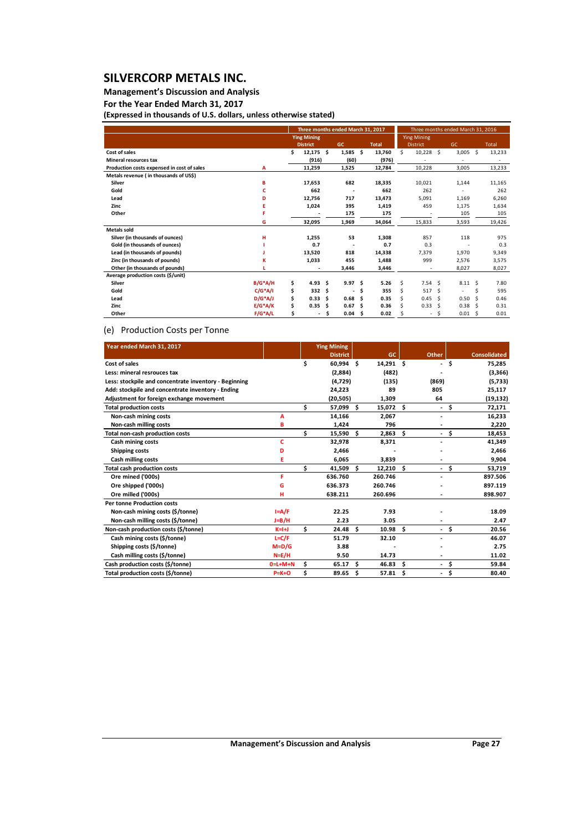## **Management's Discussion and Analysis**

**For the Year Ended March 31, 2017**

**(Expressed in thousands of U.S. dollars, unless otherwise stated)**

|                                            |            |    |                          |     | Three months ended March 31, 2017 |     |              | Three months ended March 31, 2016 |                    |      |                 |      |              |  |  |  |
|--------------------------------------------|------------|----|--------------------------|-----|-----------------------------------|-----|--------------|-----------------------------------|--------------------|------|-----------------|------|--------------|--|--|--|
|                                            |            |    | <b>Ying Mining</b>       |     |                                   |     |              |                                   | <b>Ying Mining</b> |      |                 |      |              |  |  |  |
|                                            |            |    | <b>District</b>          |     | <b>GC</b>                         |     | <b>Total</b> | <b>District</b>                   |                    |      | GC.             |      | <b>Total</b> |  |  |  |
| Cost of sales                              |            | Ś  | $12,175$ \$              |     | $1,585$ \$                        |     | 13,760       | \$                                | $10,228$ \$        |      | $3,005$ \$      |      | 13,233       |  |  |  |
| <b>Mineral resources tax</b>               |            |    | (916)                    |     | (60)                              |     | (976)        |                                   |                    |      |                 |      |              |  |  |  |
| Production costs expensed in cost of sales | A          |    | 11,259                   |     | 1,525                             |     | 12,784       |                                   | 10,228             |      | 3,005           |      | 13,233       |  |  |  |
| Metals revenue (in thousands of US\$)      |            |    |                          |     |                                   |     |              |                                   |                    |      |                 |      |              |  |  |  |
| Silver                                     | B          |    | 17,653                   |     | 682                               |     | 18,335       |                                   | 10,021             |      | 1,144           |      | 11,165       |  |  |  |
| Gold                                       | c          |    | 662                      |     |                                   |     | 662          |                                   | 262                |      |                 |      | 262          |  |  |  |
| Lead                                       | D          |    | 12,756                   |     | 717                               |     | 13,473       |                                   | 5,091              |      | 1,169           |      | 6,260        |  |  |  |
| Zinc                                       |            |    | 1,024                    |     | 395                               |     | 1,419        |                                   | 459                |      | 1,175           |      | 1,634        |  |  |  |
| Other                                      |            |    |                          |     | 175                               |     | 175          |                                   |                    |      | 105             |      | 105          |  |  |  |
|                                            | G          |    | 32,095                   |     | 1,969                             |     | 34,064       |                                   | 15,833             |      | 3,593           |      | 19,426       |  |  |  |
| <b>Metals sold</b>                         |            |    |                          |     |                                   |     |              |                                   |                    |      |                 |      |              |  |  |  |
| Silver (in thousands of ounces)            | н          |    | 1,255                    |     | 53                                |     | 1,308        |                                   | 857                |      | 118             |      | 975          |  |  |  |
| Gold (in thousands of ounces)              |            |    | 0.7                      |     |                                   |     | 0.7          |                                   | 0.3                |      |                 |      | 0.3          |  |  |  |
| Lead (in thousands of pounds)              |            |    | 13,520                   |     | 818                               |     | 14,338       |                                   | 7,379              |      | 1,970           |      | 9,349        |  |  |  |
| Zinc (in thousands of pounds)              | к          |    | 1,033                    |     | 455                               |     | 1,488        |                                   | 999                |      | 2,576           |      | 3,575        |  |  |  |
| Other (in thousands of pounds)             |            |    |                          |     | 3,446                             |     | 3,446        |                                   | ٠                  |      | 8,027           |      | 8,027        |  |  |  |
| Average production costs (\$/unit)         |            |    |                          |     |                                   |     |              |                                   |                    |      |                 |      |              |  |  |  |
| Silver                                     | $B/G^*A/H$ | \$ | 4.93 <sub>5</sub>        |     | 9.97                              | \$. | 5.26         | Ś.                                | 7.54S              |      | $8.11 \quad$ \$ |      | 7.80         |  |  |  |
| Gold                                       | $C/G^*A/I$ | \$ | 332                      | \$. | $\overline{\phantom{a}}$          | \$. | 355          | Ś.                                | 517                | - \$ | ٠               | Ś    | 595          |  |  |  |
| Lead                                       | $D/G^*A/J$ | \$ | 0.33                     | - Ś | 0.68                              | Ŝ   | 0.35         | Ś.                                | 0.45               | - \$ | 0.50            | Ŝ.   | 0.46         |  |  |  |
| Zinc                                       | $E/G^*A/K$ | \$ | 0.35                     | Ŝ.  | 0.67                              | \$. | 0.36         | Ś                                 | 0.33               | - Ś  | 0.38            | -Ŝ   | 0.31         |  |  |  |
| Other                                      | $F/G^*A/L$ | Ś  | $\overline{\phantom{0}}$ | Ŝ   | 0.04                              | -\$ | 0.02         |                                   | ٠                  | -\$  | 0.01            | - \$ | 0.01         |  |  |  |

#### (e) Production Costs per Tonne

| Year ended March 31, 2017                             |           |     | <b>Ying Mining</b> |     |           |     |                          |      |                     |
|-------------------------------------------------------|-----------|-----|--------------------|-----|-----------|-----|--------------------------|------|---------------------|
|                                                       |           |     | <b>District</b>    |     | GC.       |     | Other                    |      | <b>Consolidated</b> |
| Cost of sales                                         |           | \$  | 60,994 \$          |     | 14,291 \$ |     | ÷.                       | \$   | 75,285              |
| Less: mineral resrouces tax                           |           |     | (2,884)            |     | (482)     |     |                          |      | (3,366)             |
| Less: stockpile and concentrate inventory - Beginning |           |     | (4,729)            |     | (135)     |     | (869)                    |      | (5,733)             |
| Add: stockpile and concentrate inventory - Ending     |           |     | 24,223             |     | 89        |     | 805                      |      | 25,117              |
| Adjustment for foreign exchange movement              |           |     | (20, 505)          |     | 1,309     |     | 64                       |      | (19, 132)           |
| <b>Total production costs</b>                         |           | \$. | 57,099 \$          |     | 15,072    | \$  |                          | - \$ | 72,171              |
| Non-cash mining costs                                 | A         |     | 14,166             |     | 2,067     |     |                          |      | 16,233              |
| Non-cash milling costs                                | в         |     | 1,424              |     | 796       |     | ä,                       |      | 2,220               |
| Total non-cash production costs                       |           | \$  | 15,590 \$          |     | 2,863     | \$  | $\sim$                   | \$   | 18,453              |
| Cash mining costs                                     | c         |     | 32,978             |     | 8,371     |     |                          |      | 41,349              |
| <b>Shipping costs</b>                                 | D         |     | 2,466              |     |           |     |                          |      | 2,466               |
| Cash milling costs                                    | Е         |     | 6,065              |     | 3,839     |     | $\overline{\phantom{a}}$ |      | 9,904               |
| <b>Total cash production costs</b>                    |           | \$  | 41,509             | s.  | 12,210    | \$. | $\sim$                   | Ŝ    | 53,719              |
| Ore mined ('000s)                                     | я         |     | 636.760            |     | 260.746   |     |                          |      | 897.506             |
| Ore shipped ('000s)                                   | G         |     | 636.373            |     | 260.746   |     |                          |      | 897.119             |
| Ore milled ('000s)                                    | н         |     | 638.211            |     | 260.696   |     |                          |      | 898.907             |
| <b>Per tonne Production costs</b>                     |           |     |                    |     |           |     |                          |      |                     |
| Non-cash mining costs (\$/tonne)                      | $I = A/F$ |     | 22.25              |     | 7.93      |     |                          |      | 18.09               |
| Non-cash milling costs (\$/tonne)                     | J=B/H     |     | 2.23               |     | 3.05      |     |                          |      | 2.47                |
| Non-cash production costs (\$/tonne)                  | $K=H+J$   | \$  | 24.48 <sup>5</sup> |     | 10.98     | Ś.  | $\sim$                   | \$   | 20.56               |
| Cash mining costs (\$/tonne)                          | $L = C/F$ |     | 51.79              |     | 32.10     |     |                          |      | 46.07               |
| Shipping costs (\$/tonne)                             | $M=D/G$   |     | 3.88               |     |           |     |                          |      | 2.75                |
| Cash milling costs (\$/tonne)                         | $N=E/H$   |     | 9.50               |     | 14.73     |     |                          |      | 11.02               |
| Cash production costs (\$/tonne)                      | $0=L+M+N$ | \$  | 65.17              | - Ś | 46.83     | \$. | $\sim$                   | \$.  | 59.84               |
| Total production costs (\$/tonne)                     | $P=K+O$   | \$  | 89.65 \$           |     | 57.81     | \$  | $\overline{\phantom{0}}$ | \$   | 80.40               |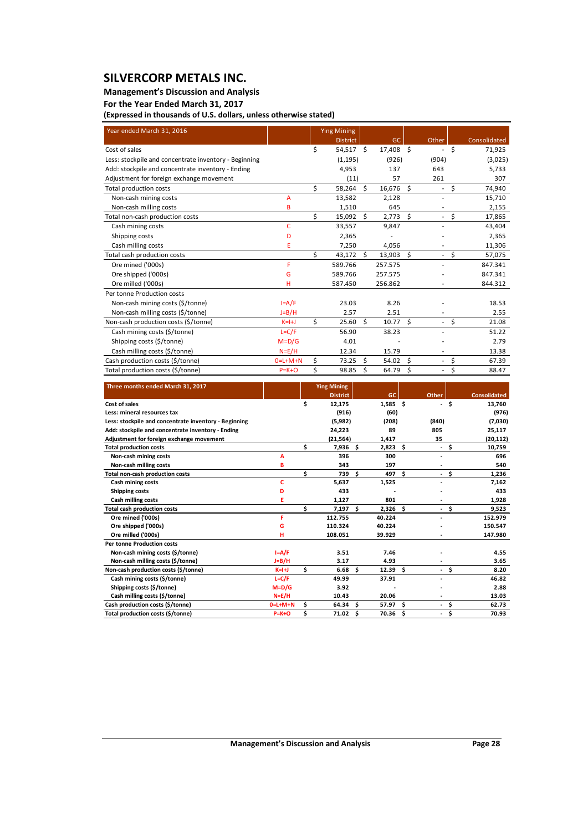### **Management's Discussion and Analysis**

## **For the Year Ended March 31, 2017**

**(Expressed in thousands of U.S. dollars, unless otherwise stated)**

| Year ended March 31, 2016                             |             |    | <b>Ying Mining</b> |    |           |    |                          |         |              |
|-------------------------------------------------------|-------------|----|--------------------|----|-----------|----|--------------------------|---------|--------------|
|                                                       |             |    | <b>District</b>    |    | <b>GC</b> |    | Other                    |         | Consolidated |
| Cost of sales                                         |             | \$ | 54,517 \$          |    | 17,408 \$ |    | $\overline{\phantom{a}}$ | \$      | 71,925       |
| Less: stockpile and concentrate inventory - Beginning |             |    | (1, 195)           |    | (926)     |    | (904)                    |         | (3,025)      |
| Add: stockpile and concentrate inventory - Ending     |             |    | 4,953              |    | 137       |    | 643                      |         | 5,733        |
| Adjustment for foreign exchange movement              |             |    | (11)               |    | 57        |    | 261                      |         | 307          |
| <b>Total production costs</b>                         |             | \$ | 58,264             | Ŝ. | 16,676    | \$ | $\overline{\phantom{a}}$ | $\zeta$ | 74,940       |
| Non-cash mining costs                                 | A           |    | 13,582             |    | 2,128     |    |                          |         | 15,710       |
| Non-cash milling costs                                | B           |    | 1,510              |    | 645       |    | ä,                       |         | 2,155        |
| Total non-cash production costs                       |             | Ś  | 15,092             | Ŝ. | 2,773     | Ŝ. | $\overline{\phantom{a}}$ | \$      | 17,865       |
| Cash mining costs                                     | c           |    | 33,557             |    | 9,847     |    | $\overline{a}$           |         | 43,404       |
| Shipping costs                                        | D           |    | 2,365              |    |           |    |                          |         | 2,365        |
| Cash milling costs                                    | E           |    | 7,250              |    | 4,056     |    | ÷,                       |         | 11,306       |
| Total cash production costs                           |             | \$ | 43,172             | Ŝ. | 13,903    | \$ | $\overline{\phantom{a}}$ | \$      | 57,075       |
| Ore mined ('000s)                                     | F           |    | 589.766            |    | 257.575   |    |                          |         | 847.341      |
| Ore shipped ('000s)                                   | G           |    | 589.766            |    | 257.575   |    |                          |         | 847.341      |
| Ore milled ('000s)                                    | н           |    | 587.450            |    | 256.862   |    |                          |         | 844.312      |
| Per tonne Production costs                            |             |    |                    |    |           |    |                          |         |              |
| Non-cash mining costs (\$/tonne)                      | $I = A/F$   |    | 23.03              |    | 8.26      |    |                          |         | 18.53        |
| Non-cash milling costs (\$/tonne)                     | $J=B/H$     |    | 2.57               |    | 2.51      |    | $\overline{\phantom{a}}$ |         | 2.55         |
| Non-cash production costs (\$/tonne)                  | $K=H$       | \$ | 25.60              | Ŝ. | 10.77     | Ŝ. | $\overline{\phantom{a}}$ | \$      | 21.08        |
| Cash mining costs (\$/tonne)                          | $L = C/F$   |    | 56.90              |    | 38.23     |    |                          |         | 51.22        |
| Shipping costs (\$/tonne)                             | $M = D/G$   |    | 4.01               |    |           |    |                          |         | 2.79         |
| Cash milling costs (\$/tonne)                         | $N=E/H$     |    | 12.34              |    | 15.79     |    |                          |         | 13.38        |
| Cash production costs (\$/tonne)                      | $0=L+M+N$   | \$ | 73.25              | Ŝ. | 54.02     | Ŝ. | $\overline{\phantom{a}}$ | \$      | 67.39        |
| Total production costs (\$/tonne)                     | $P = K + O$ | \$ | 98.85              | \$ | 64.79     | \$ | $\overline{a}$           | \$      | 88.47        |

| Three months ended March 31, 2017                     |             |    | <b>Ying Mining</b> |     |            |    |                          |      |                     |
|-------------------------------------------------------|-------------|----|--------------------|-----|------------|----|--------------------------|------|---------------------|
|                                                       |             |    | <b>District</b>    |     | <b>GC</b>  |    | Other                    |      | <b>Consolidated</b> |
| Cost of sales                                         |             | \$ | 12,175             |     | $1,585$ \$ |    |                          | - \$ | 13,760              |
| Less: mineral resources tax                           |             |    | (916)              |     | (60)       |    |                          |      | (976)               |
| Less: stockpile and concentrate inventory - Beginning |             |    | (5,982)            |     | (208)      |    | (840)                    |      | (7,030)             |
| Add: stockpile and concentrate inventory - Ending     |             |    | 24,223             |     | 89         |    | 805                      |      | 25,117              |
| Adjustment for foreign exchange movement              |             |    | (21, 564)          |     | 1,417      |    | 35                       |      | (20, 112)           |
| <b>Total production costs</b>                         |             | Ś  | 7,936 \$           |     | 2,823      | Ŝ. |                          | - \$ | 10,759              |
| Non-cash mining costs                                 | A           |    | 396                |     | 300        |    |                          |      | 696                 |
| Non-cash milling costs                                | B           |    | 343                |     | 197        |    |                          |      | 540                 |
| Total non-cash production costs                       |             | Ś  | 739                | Ŝ.  | 497        | Ś. | $\sim$                   | \$.  | 1,236               |
| <b>Cash mining costs</b>                              | c           |    | 5.637              |     | 1,525      |    |                          |      | 7,162               |
| <b>Shipping costs</b>                                 | D           |    | 433                |     |            |    |                          |      | 433                 |
| Cash milling costs                                    | Е           |    | 1,127              |     | 801        |    |                          |      | 1,928               |
| <b>Total cash production costs</b>                    |             | Ś  | 7,197              | Ŝ.  | 2.326      | Ś. | $\overline{\phantom{a}}$ | Ś.   | 9,523               |
| Ore mined ('000s)                                     | F           |    | 112.755            |     | 40.224     |    |                          |      | 152.979             |
| Ore shipped ('000s)                                   | G           |    | 110.324            |     | 40.224     |    |                          |      | 150.547             |
| Ore milled ('000s)                                    | н           |    | 108.051            |     | 39.929     |    |                          |      | 147.980             |
| <b>Per tonne Production costs</b>                     |             |    |                    |     |            |    |                          |      |                     |
| Non-cash mining costs (\$/tonne)                      | $I = A/F$   |    | 3.51               |     | 7.46       |    |                          |      | 4.55                |
| Non-cash milling costs (\$/tonne)                     | $J=B/H$     |    | 3.17               |     | 4.93       |    |                          |      | 3.65                |
| Non-cash production costs (\$/tonne)                  | $K=H+J$     | Ś  | 6.68               | Ŝ.  | 12.39      | Ŝ. |                          | $-5$ | 8.20                |
| Cash mining costs (\$/tonne)                          | $L = C/F$   |    | 49.99              |     | 37.91      |    |                          |      | 46.82               |
| Shipping costs (\$/tonne)                             | $M=D/G$     |    | 3.92               |     |            |    |                          |      | 2.88                |
| Cash milling costs (\$/tonne)                         | $N=E/H$     |    | 10.43              |     | 20.06      |    |                          |      | 13.03               |
| Cash production costs (\$/tonne)                      | $0=L+M+N$   | \$ | $64.34$ \$         |     | 57.97      | Ŝ. | ٠                        | \$   | 62.73               |
| Total production costs (\$/tonne)                     | $P = K + O$ | Ś  | 71.02              | .\$ | 70.36      | \$ | ٠                        | \$   | 70.93               |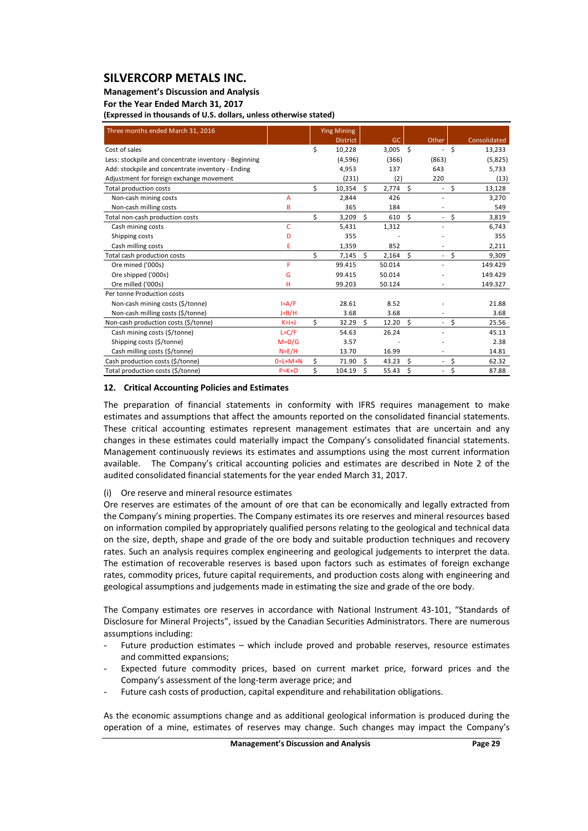#### **Management's Discussion and Analysis**

**For the Year Ended March 31, 2017**

**(Expressed in thousands of U.S. dollars, unless otherwise stated)**

| Three months ended March 31, 2016                     |             |    | <b>Ying Mining</b> |    |            |    |                          |                    |              |
|-------------------------------------------------------|-------------|----|--------------------|----|------------|----|--------------------------|--------------------|--------------|
|                                                       |             |    | <b>District</b>    |    | GC         |    | Other                    |                    | Consolidated |
| Cost of sales                                         |             | Ś. | 10,228             |    | $3,005$ \$ |    | $\overline{\phantom{a}}$ | Ś.                 | 13,233       |
| Less: stockpile and concentrate inventory - Beginning |             |    | (4,596)            |    | (366)      |    | (863)                    |                    | (5,825)      |
| Add: stockpile and concentrate inventory - Ending     |             |    | 4,953              |    | 137        |    | 643                      |                    | 5.733        |
| Adjustment for foreign exchange movement              |             |    | (231)              |    | (2)        |    | 220                      |                    | (13)         |
| <b>Total production costs</b>                         |             | Ś. | 10,354             | Ś. | 2,774      | Ŝ. | $\overline{\phantom{a}}$ | \$                 | 13,128       |
| Non-cash mining costs                                 | A           |    | 2,844              |    | 426        |    | $\overline{\phantom{a}}$ |                    | 3,270        |
| Non-cash milling costs                                | B           |    | 365                |    | 184        |    | $\overline{\phantom{a}}$ |                    | 549          |
| Total non-cash production costs                       |             | Ś. | 3,209              | Ś. | 610        | Ŝ. |                          | $-5$               | 3,819        |
| Cash mining costs                                     | C           |    | 5,431              |    | 1,312      |    | ٠                        |                    | 6.743        |
| Shipping costs                                        | D           |    | 355                |    |            |    |                          |                    | 355          |
| Cash milling costs                                    | E           |    | 1,359              |    | 852        |    |                          |                    | 2,211        |
| Total cash production costs                           |             | \$ | 7,145              | Ś. | 2,164      | \$ |                          | $-5$               | 9,309        |
| Ore mined ('000s)                                     | F           |    | 99.415             |    | 50.014     |    |                          |                    | 149.429      |
| Ore shipped ('000s)                                   | G           |    | 99.415             |    | 50.014     |    |                          |                    | 149.429      |
| Ore milled ('000s)                                    | н           |    | 99.203             |    | 50.124     |    |                          |                    | 149.327      |
| Per tonne Production costs                            |             |    |                    |    |            |    |                          |                    |              |
| Non-cash mining costs (\$/tonne)                      | $I = A/F$   |    | 28.61              |    | 8.52       |    |                          |                    | 21.88        |
| Non-cash milling costs (\$/tonne)                     | $J=B/H$     |    | 3.68               |    | 3.68       |    |                          |                    | 3.68         |
| Non-cash production costs (\$/tonne)                  | $K=H+J$     | \$ | 32.29              | Ś. | 12.20      | Ŝ. | ٠                        | \$                 | 25.56        |
| Cash mining costs (\$/tonne)                          | $L = C/F$   |    | 54.63              |    | 26.24      |    |                          |                    | 45.13        |
| Shipping costs (\$/tonne)                             | $M = D/G$   |    | 3.57               |    |            |    |                          |                    | 2.38         |
| Cash milling costs (\$/tonne)                         | $N = E/H$   |    | 13.70              |    | 16.99      |    |                          |                    | 14.81        |
| Cash production costs (\$/tonne)                      | $0=L+M+N$   | Ś. | 71.90              | Ŝ. | 43.23      | Ś  | $\sim$                   | \$                 | 62.32        |
| Total production costs (\$/tonne)                     | $P = K + O$ | \$ | 104.19             | \$ | 55.43      | \$ | $\overline{\phantom{a}}$ | $\mathsf{\hat{S}}$ | 87.88        |

#### **12. Critical Accounting Policies and Estimates**

The preparation of financial statements in conformity with IFRS requires management to make estimates and assumptions that affect the amounts reported on the consolidated financial statements. These critical accounting estimates represent management estimates that are uncertain and any changes in these estimates could materially impact the Company's consolidated financial statements. Management continuously reviews its estimates and assumptions using the most current information available. The Company's critical accounting policies and estimates are described in Note 2 of the audited consolidated financial statements for the year ended March 31, 2017.

#### (i) Ore reserve and mineral resource estimates

Ore reserves are estimates of the amount of ore that can be economically and legally extracted from the Company's mining properties. The Company estimates its ore reserves and mineral resources based on information compiled by appropriately qualified persons relating to the geological and technical data on the size, depth, shape and grade of the ore body and suitable production techniques and recovery rates. Such an analysis requires complex engineering and geological judgements to interpret the data. The estimation of recoverable reserves is based upon factors such as estimates of foreign exchange rates, commodity prices, future capital requirements, and production costs along with engineering and geological assumptions and judgements made in estimating the size and grade of the ore body.

The Company estimates ore reserves in accordance with National Instrument 43‐101, "Standards of Disclosure for Mineral Projects", issued by the Canadian Securities Administrators. There are numerous assumptions including:

- Future production estimates which include proved and probable reserves, resource estimates and committed expansions;
- Expected future commodity prices, based on current market price, forward prices and the Company's assessment of the long‐term average price; and
- Future cash costs of production, capital expenditure and rehabilitation obligations.

As the economic assumptions change and as additional geological information is produced during the operation of a mine, estimates of reserves may change. Such changes may impact the Company's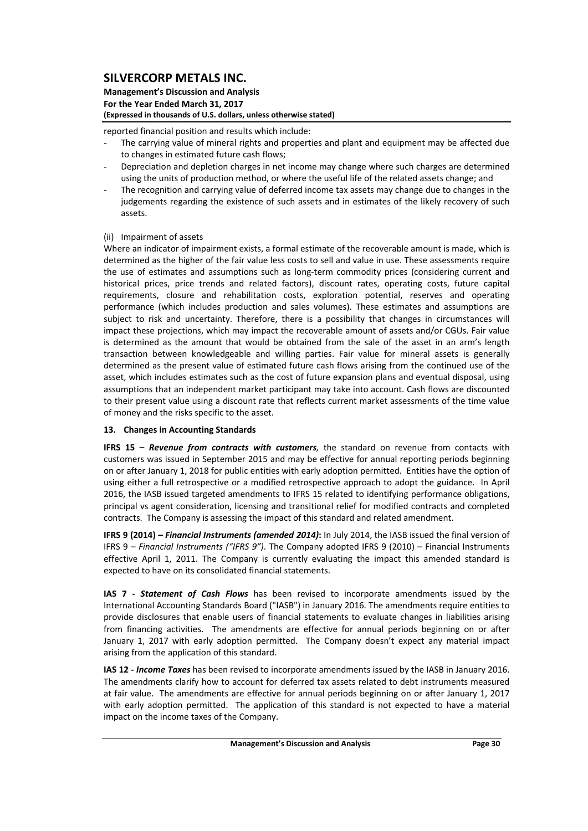#### **Management's Discussion and Analysis For the Year Ended March 31, 2017 (Expressed in thousands of U.S. dollars, unless otherwise stated)**

reported financial position and results which include:

- The carrying value of mineral rights and properties and plant and equipment may be affected due to changes in estimated future cash flows;
- Depreciation and depletion charges in net income may change where such charges are determined using the units of production method, or where the useful life of the related assets change; and
- The recognition and carrying value of deferred income tax assets may change due to changes in the judgements regarding the existence of such assets and in estimates of the likely recovery of such assets.
- (ii) Impairment of assets

Where an indicator of impairment exists, a formal estimate of the recoverable amount is made, which is determined as the higher of the fair value less costs to sell and value in use. These assessments require the use of estimates and assumptions such as long‐term commodity prices (considering current and historical prices, price trends and related factors), discount rates, operating costs, future capital requirements, closure and rehabilitation costs, exploration potential, reserves and operating performance (which includes production and sales volumes). These estimates and assumptions are subject to risk and uncertainty. Therefore, there is a possibility that changes in circumstances will impact these projections, which may impact the recoverable amount of assets and/or CGUs. Fair value is determined as the amount that would be obtained from the sale of the asset in an arm's length transaction between knowledgeable and willing parties. Fair value for mineral assets is generally determined as the present value of estimated future cash flows arising from the continued use of the asset, which includes estimates such as the cost of future expansion plans and eventual disposal, using assumptions that an independent market participant may take into account. Cash flows are discounted to their present value using a discount rate that reflects current market assessments of the time value of money and the risks specific to the asset.

### **13. Changes in Accounting Standards**

**IFRS 15 –** *Revenue from contracts with customers,* the standard on revenue from contacts with customers was issued in September 2015 and may be effective for annual reporting periods beginning on or after January 1, 2018 for public entities with early adoption permitted. Entities have the option of using either a full retrospective or a modified retrospective approach to adopt the guidance. In April 2016, the IASB issued targeted amendments to IFRS 15 related to identifying performance obligations, principal vs agent consideration, licensing and transitional relief for modified contracts and completed contracts. The Company is assessing the impact of this standard and related amendment.

**IFRS 9 (2014) –** *Financial Instruments (amended 2014)***:** In July 2014, the IASB issued the final version of IFRS 9 – *Financial Instruments ("IFRS 9")*. The Company adopted IFRS 9 (2010) – Financial Instruments effective April 1, 2011. The Company is currently evaluating the impact this amended standard is expected to have on its consolidated financial statements.

**IAS 7 ‐**  *Statement of Cash Flows* has been revised to incorporate amendments issued by the International Accounting Standards Board ("IASB") in January 2016. The amendments require entities to provide disclosures that enable users of financial statements to evaluate changes in liabilities arising from financing activities. The amendments are effective for annual periods beginning on or after January 1, 2017 with early adoption permitted. The Company doesn't expect any material impact arising from the application of this standard.

**IAS 12 ‐** *Income Taxes* has been revised to incorporate amendments issued by the IASB in January 2016. The amendments clarify how to account for deferred tax assets related to debt instruments measured at fair value. The amendments are effective for annual periods beginning on or after January 1, 2017 with early adoption permitted. The application of this standard is not expected to have a material impact on the income taxes of the Company.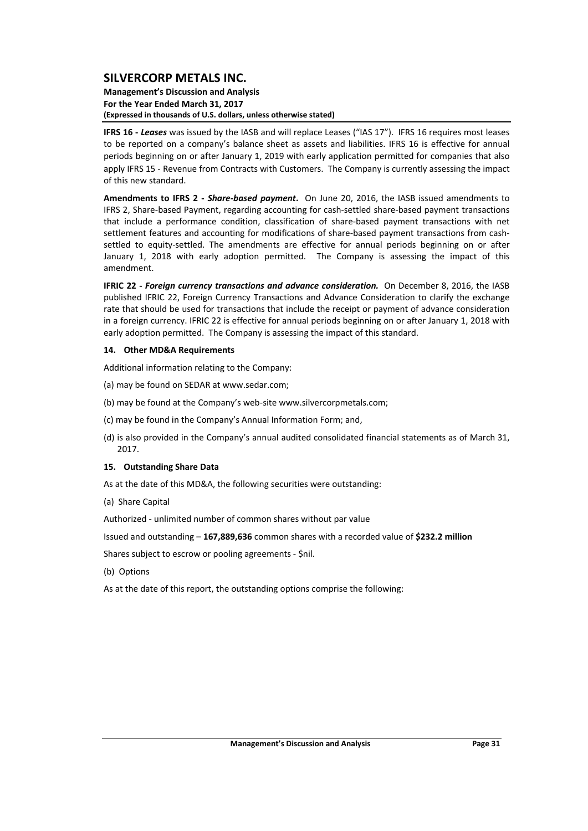#### **Management's Discussion and Analysis For the Year Ended March 31, 2017 (Expressed in thousands of U.S. dollars, unless otherwise stated)**

**IFRS 16** - Leases was issued by the IASB and will replace Leases ("IAS 17"). IFRS 16 requires most leases to be reported on a company's balance sheet as assets and liabilities. IFRS 16 is effective for annual periods beginning on or after January 1, 2019 with early application permitted for companies that also apply IFRS 15 ‐ Revenue from Contracts with Customers. The Company is currently assessing the impact of this new standard.

**Amendments to IFRS 2 ‐**  *Share‐based payment***.** On June 20, 2016, the IASB issued amendments to IFRS 2, Share‐based Payment, regarding accounting for cash‐settled share‐based payment transactions that include a performance condition, classification of share‐based payment transactions with net settlement features and accounting for modifications of share-based payment transactions from cashsettled to equity-settled. The amendments are effective for annual periods beginning on or after January 1, 2018 with early adoption permitted. The Company is assessing the impact of this amendment.

**IFRIC 22 ‐** *Foreign currency transactions and advance consideration.* On December 8, 2016, the IASB published IFRIC 22, Foreign Currency Transactions and Advance Consideration to clarify the exchange rate that should be used for transactions that include the receipt or payment of advance consideration in a foreign currency. IFRIC 22 is effective for annual periods beginning on or after January 1, 2018 with early adoption permitted. The Company is assessing the impact of this standard.

#### **14. Other MD&A Requirements**

Additional information relating to the Company:

- (a) may be found on SEDAR at www.sedar.com;
- (b) may be found at the Company's web‐site www.silvercorpmetals.com;
- (c) may be found in the Company's Annual Information Form; and,
- (d) is also provided in the Company's annual audited consolidated financial statements as of March 31, 2017.

#### **15. Outstanding Share Data**

- As at the date of this MD&A, the following securities were outstanding:
- (a) Share Capital

Authorized ‐ unlimited number of common shares without par value

Issued and outstanding – **167,889,636** common shares with a recorded value of **\$232.2 million**

Shares subject to escrow or pooling agreements ‐ \$nil.

- (b) Options
- As at the date of this report, the outstanding options comprise the following: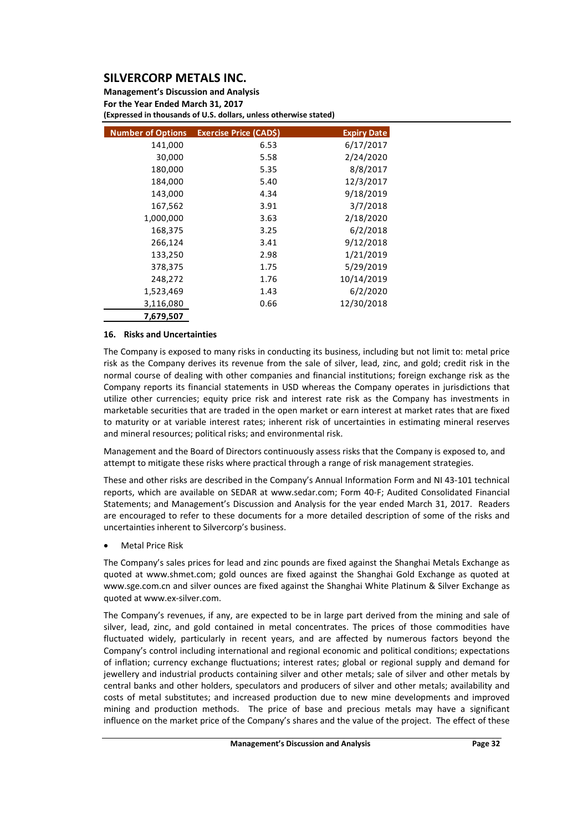**Management's Discussion and Analysis For the Year Ended March 31, 2017 (Expressed in thousands of U.S. dollars, unless otherwise stated)**

| <b>Number of Options</b> | <b>Exercise Price (CAD\$)</b> | <b>Expiry Date</b> |
|--------------------------|-------------------------------|--------------------|
| 141,000                  | 6.53                          | 6/17/2017          |
| 30,000                   | 5.58                          | 2/24/2020          |
| 180,000                  | 5.35                          | 8/8/2017           |
| 184,000                  | 5.40                          | 12/3/2017          |
| 143,000                  | 4.34                          | 9/18/2019          |
| 167,562                  | 3.91                          | 3/7/2018           |
| 1,000,000                | 3.63                          | 2/18/2020          |
| 168,375                  | 3.25                          | 6/2/2018           |
| 266,124                  | 3.41                          | 9/12/2018          |
| 133,250                  | 2.98                          | 1/21/2019          |
| 378,375                  | 1.75                          | 5/29/2019          |
| 248,272                  | 1.76                          | 10/14/2019         |
| 1,523,469                | 1.43                          | 6/2/2020           |
| 3,116,080                | 0.66                          | 12/30/2018         |
| 7,679,507                |                               |                    |

#### **16. Risks and Uncertainties**

The Company is exposed to many risks in conducting its business, including but not limit to: metal price risk as the Company derives its revenue from the sale of silver, lead, zinc, and gold; credit risk in the normal course of dealing with other companies and financial institutions; foreign exchange risk as the Company reports its financial statements in USD whereas the Company operates in jurisdictions that utilize other currencies; equity price risk and interest rate risk as the Company has investments in marketable securities that are traded in the open market or earn interest at market rates that are fixed to maturity or at variable interest rates; inherent risk of uncertainties in estimating mineral reserves and mineral resources; political risks; and environmental risk.

Management and the Board of Directors continuously assess risks that the Company is exposed to, and attempt to mitigate these risks where practical through a range of risk management strategies.

These and other risks are described in the Company's Annual Information Form and NI 43‐101 technical reports, which are available on SEDAR at www.sedar.com; Form 40‐F; Audited Consolidated Financial Statements; and Management's Discussion and Analysis for the year ended March 31, 2017. Readers are encouraged to refer to these documents for a more detailed description of some of the risks and uncertainties inherent to Silvercorp's business.

Metal Price Risk

The Company's sales prices for lead and zinc pounds are fixed against the Shanghai Metals Exchange as quoted at www.shmet.com; gold ounces are fixed against the Shanghai Gold Exchange as quoted at www.sge.com.cn and silver ounces are fixed against the Shanghai White Platinum & Silver Exchange as quoted at www.ex‐silver.com.

The Company's revenues, if any, are expected to be in large part derived from the mining and sale of silver, lead, zinc, and gold contained in metal concentrates. The prices of those commodities have fluctuated widely, particularly in recent years, and are affected by numerous factors beyond the Company's control including international and regional economic and political conditions; expectations of inflation; currency exchange fluctuations; interest rates; global or regional supply and demand for jewellery and industrial products containing silver and other metals; sale of silver and other metals by central banks and other holders, speculators and producers of silver and other metals; availability and costs of metal substitutes; and increased production due to new mine developments and improved mining and production methods. The price of base and precious metals may have a significant influence on the market price of the Company's shares and the value of the project. The effect of these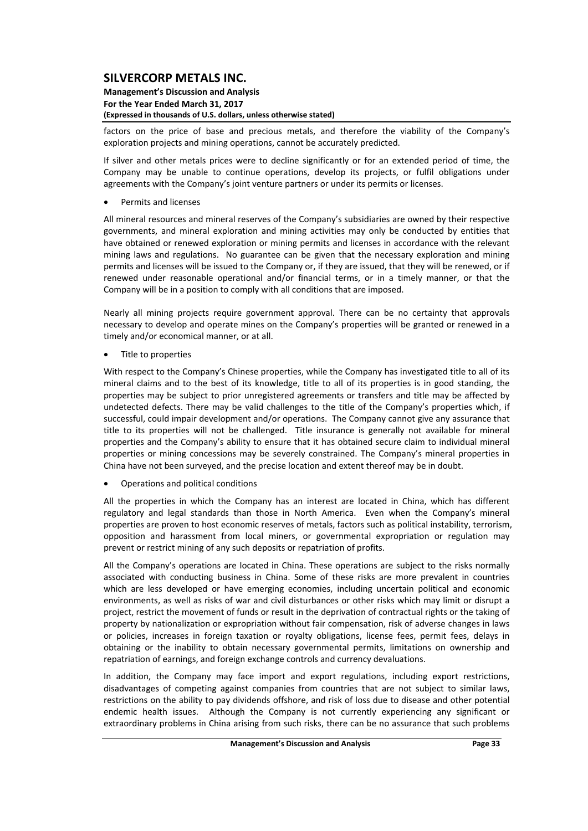**Management's Discussion and Analysis For the Year Ended March 31, 2017 (Expressed in thousands of U.S. dollars, unless otherwise stated)**

factors on the price of base and precious metals, and therefore the viability of the Company's exploration projects and mining operations, cannot be accurately predicted.

If silver and other metals prices were to decline significantly or for an extended period of time, the Company may be unable to continue operations, develop its projects, or fulfil obligations under agreements with the Company's joint venture partners or under its permits or licenses.

Permits and licenses

All mineral resources and mineral reserves of the Company's subsidiaries are owned by their respective governments, and mineral exploration and mining activities may only be conducted by entities that have obtained or renewed exploration or mining permits and licenses in accordance with the relevant mining laws and regulations. No guarantee can be given that the necessary exploration and mining permits and licenses will be issued to the Company or, if they are issued, that they will be renewed, or if renewed under reasonable operational and/or financial terms, or in a timely manner, or that the Company will be in a position to comply with all conditions that are imposed.

Nearly all mining projects require government approval. There can be no certainty that approvals necessary to develop and operate mines on the Company's properties will be granted or renewed in a timely and/or economical manner, or at all.

Title to properties

With respect to the Company's Chinese properties, while the Company has investigated title to all of its mineral claims and to the best of its knowledge, title to all of its properties is in good standing, the properties may be subject to prior unregistered agreements or transfers and title may be affected by undetected defects. There may be valid challenges to the title of the Company's properties which, if successful, could impair development and/or operations. The Company cannot give any assurance that title to its properties will not be challenged. Title insurance is generally not available for mineral properties and the Company's ability to ensure that it has obtained secure claim to individual mineral properties or mining concessions may be severely constrained. The Company's mineral properties in China have not been surveyed, and the precise location and extent thereof may be in doubt.

Operations and political conditions

All the properties in which the Company has an interest are located in China, which has different regulatory and legal standards than those in North America. Even when the Company's mineral properties are proven to host economic reserves of metals, factors such as political instability, terrorism, opposition and harassment from local miners, or governmental expropriation or regulation may prevent or restrict mining of any such deposits or repatriation of profits.

All the Company's operations are located in China. These operations are subject to the risks normally associated with conducting business in China. Some of these risks are more prevalent in countries which are less developed or have emerging economies, including uncertain political and economic environments, as well as risks of war and civil disturbances or other risks which may limit or disrupt a project, restrict the movement of funds or result in the deprivation of contractual rights or the taking of property by nationalization or expropriation without fair compensation, risk of adverse changes in laws or policies, increases in foreign taxation or royalty obligations, license fees, permit fees, delays in obtaining or the inability to obtain necessary governmental permits, limitations on ownership and repatriation of earnings, and foreign exchange controls and currency devaluations.

In addition, the Company may face import and export regulations, including export restrictions, disadvantages of competing against companies from countries that are not subject to similar laws, restrictions on the ability to pay dividends offshore, and risk of loss due to disease and other potential endemic health issues. Although the Company is not currently experiencing any significant or extraordinary problems in China arising from such risks, there can be no assurance that such problems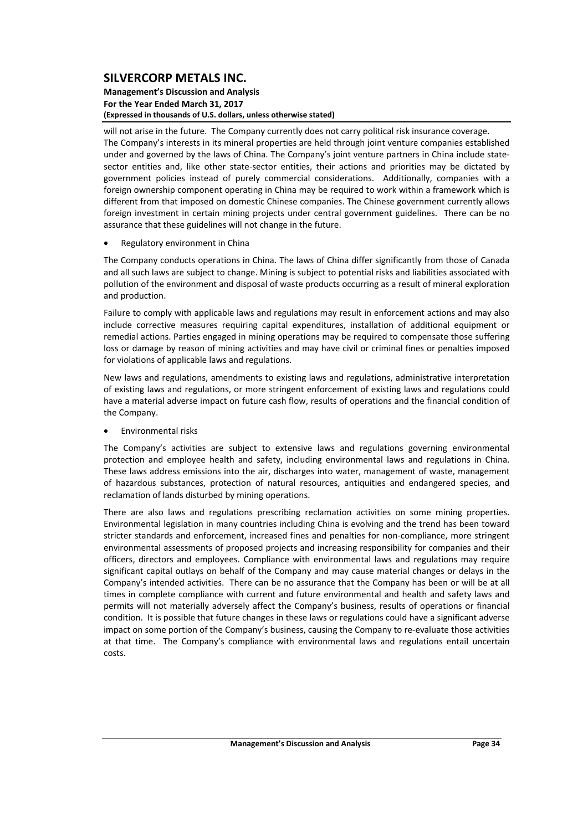#### **Management's Discussion and Analysis For the Year Ended March 31, 2017 (Expressed in thousands of U.S. dollars, unless otherwise stated)**

will not arise in the future. The Company currently does not carry political risk insurance coverage. The Company's interests in its mineral properties are held through joint venture companies established under and governed by the laws of China. The Company's joint venture partners in China include statesector entities and, like other state-sector entities, their actions and priorities may be dictated by government policies instead of purely commercial considerations. Additionally, companies with a foreign ownership component operating in China may be required to work within a framework which is different from that imposed on domestic Chinese companies. The Chinese government currently allows foreign investment in certain mining projects under central government guidelines. There can be no assurance that these guidelines will not change in the future.

#### Regulatory environment in China

The Company conducts operations in China. The laws of China differ significantly from those of Canada and all such laws are subject to change. Mining is subject to potential risks and liabilities associated with pollution of the environment and disposal of waste products occurring as a result of mineral exploration and production.

Failure to comply with applicable laws and regulations may result in enforcement actions and may also include corrective measures requiring capital expenditures, installation of additional equipment or remedial actions. Parties engaged in mining operations may be required to compensate those suffering loss or damage by reason of mining activities and may have civil or criminal fines or penalties imposed for violations of applicable laws and regulations.

New laws and regulations, amendments to existing laws and regulations, administrative interpretation of existing laws and regulations, or more stringent enforcement of existing laws and regulations could have a material adverse impact on future cash flow, results of operations and the financial condition of the Company.

Environmental risks

The Company's activities are subject to extensive laws and regulations governing environmental protection and employee health and safety, including environmental laws and regulations in China. These laws address emissions into the air, discharges into water, management of waste, management of hazardous substances, protection of natural resources, antiquities and endangered species, and reclamation of lands disturbed by mining operations.

There are also laws and regulations prescribing reclamation activities on some mining properties. Environmental legislation in many countries including China is evolving and the trend has been toward stricter standards and enforcement, increased fines and penalties for non-compliance, more stringent environmental assessments of proposed projects and increasing responsibility for companies and their officers, directors and employees. Compliance with environmental laws and regulations may require significant capital outlays on behalf of the Company and may cause material changes or delays in the Company's intended activities. There can be no assurance that the Company has been or will be at all times in complete compliance with current and future environmental and health and safety laws and permits will not materially adversely affect the Company's business, results of operations or financial condition. It is possible that future changes in these laws or regulations could have a significant adverse impact on some portion of the Company's business, causing the Company to re-evaluate those activities at that time. The Company's compliance with environmental laws and regulations entail uncertain costs.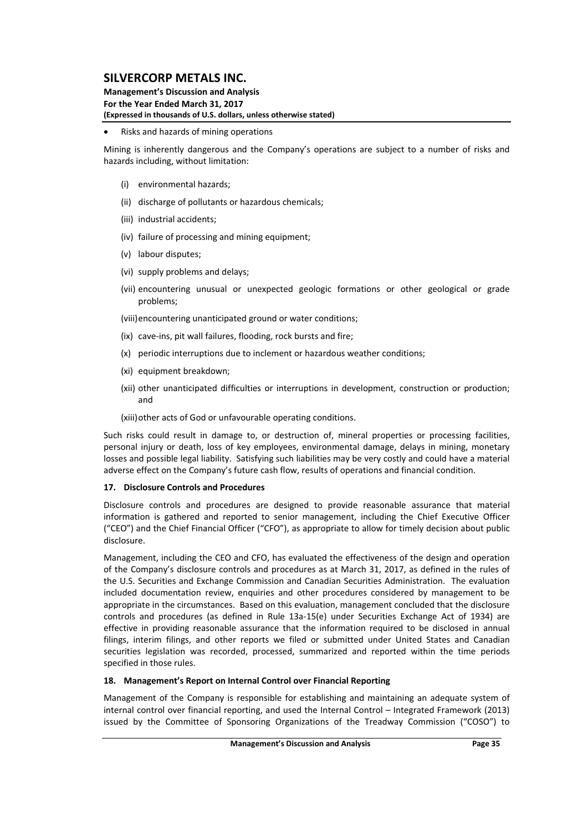#### **Management's Discussion and Analysis For the Year Ended March 31, 2017 (Expressed in thousands of U.S. dollars, unless otherwise stated)**

#### Risks and hazards of mining operations

Mining is inherently dangerous and the Company's operations are subject to a number of risks and hazards including, without limitation:

- (i) environmental hazards;
- (ii) discharge of pollutants or hazardous chemicals;
- (iii) industrial accidents;
- (iv) failure of processing and mining equipment;
- (v) labour disputes;
- (vi) supply problems and delays;
- (vii) encountering unusual or unexpected geologic formations or other geological or grade problems;

(viii)encountering unanticipated ground or water conditions;

- (ix) cave‐ins, pit wall failures, flooding, rock bursts and fire;
- (x) periodic interruptions due to inclement or hazardous weather conditions;
- (xi) equipment breakdown;
- (xii) other unanticipated difficulties or interruptions in development, construction or production; and

(xiii)other acts of God or unfavourable operating conditions.

Such risks could result in damage to, or destruction of, mineral properties or processing facilities, personal injury or death, loss of key employees, environmental damage, delays in mining, monetary losses and possible legal liability. Satisfying such liabilities may be very costly and could have a material adverse effect on the Company's future cash flow, results of operations and financial condition.

#### **17. Disclosure Controls and Procedures**

Disclosure controls and procedures are designed to provide reasonable assurance that material information is gathered and reported to senior management, including the Chief Executive Officer ("CEO") and the Chief Financial Officer ("CFO"), as appropriate to allow for timely decision about public disclosure.

Management, including the CEO and CFO, has evaluated the effectiveness of the design and operation of the Company's disclosure controls and procedures as at March 31, 2017, as defined in the rules of the U.S. Securities and Exchange Commission and Canadian Securities Administration. The evaluation included documentation review, enquiries and other procedures considered by management to be appropriate in the circumstances. Based on this evaluation, management concluded that the disclosure controls and procedures (as defined in Rule 13a‐15(e) under Securities Exchange Act of 1934) are effective in providing reasonable assurance that the information required to be disclosed in annual filings, interim filings, and other reports we filed or submitted under United States and Canadian securities legislation was recorded, processed, summarized and reported within the time periods specified in those rules.

#### **18. Management's Report on Internal Control over Financial Reporting**

Management of the Company is responsible for establishing and maintaining an adequate system of internal control over financial reporting, and used the Internal Control – Integrated Framework (2013) issued by the Committee of Sponsoring Organizations of the Treadway Commission ("COSO") to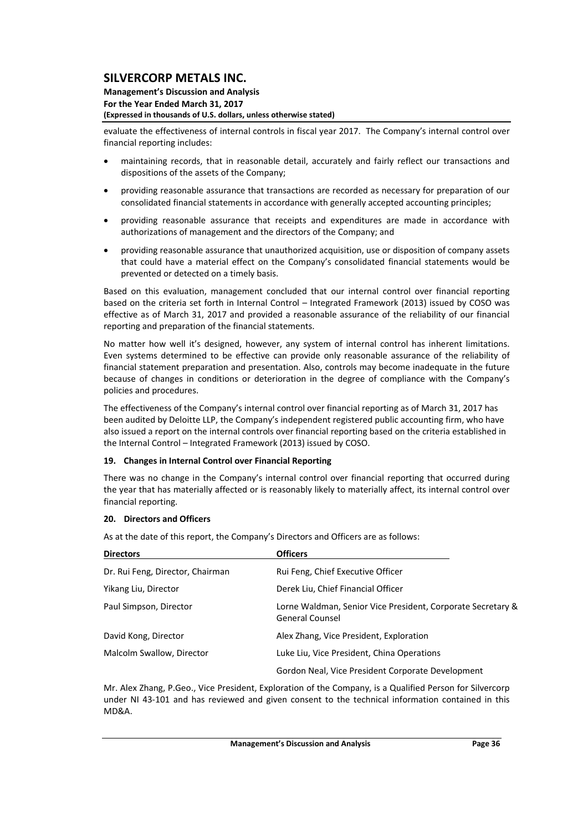#### **Management's Discussion and Analysis For the Year Ended March 31, 2017 (Expressed in thousands of U.S. dollars, unless otherwise stated)**

evaluate the effectiveness of internal controls in fiscal year 2017. The Company's internal control over financial reporting includes:

- maintaining records, that in reasonable detail, accurately and fairly reflect our transactions and dispositions of the assets of the Company;
- providing reasonable assurance that transactions are recorded as necessary for preparation of our consolidated financial statements in accordance with generally accepted accounting principles;
- providing reasonable assurance that receipts and expenditures are made in accordance with authorizations of management and the directors of the Company; and
- providing reasonable assurance that unauthorized acquisition, use or disposition of company assets that could have a material effect on the Company's consolidated financial statements would be prevented or detected on a timely basis.

Based on this evaluation, management concluded that our internal control over financial reporting based on the criteria set forth in Internal Control – Integrated Framework (2013) issued by COSO was effective as of March 31, 2017 and provided a reasonable assurance of the reliability of our financial reporting and preparation of the financial statements.

No matter how well it's designed, however, any system of internal control has inherent limitations. Even systems determined to be effective can provide only reasonable assurance of the reliability of financial statement preparation and presentation. Also, controls may become inadequate in the future because of changes in conditions or deterioration in the degree of compliance with the Company's policies and procedures.

The effectiveness of the Company's internal control over financial reporting as of March 31, 2017 has been audited by Deloitte LLP, the Company's independent registered public accounting firm, who have also issued a report on the internal controls over financial reporting based on the criteria established in the Internal Control – Integrated Framework (2013) issued by COSO.

#### **19. Changes in Internal Control over Financial Reporting**

There was no change in the Company's internal control over financial reporting that occurred during the year that has materially affected or is reasonably likely to materially affect, its internal control over financial reporting.

#### **20. Directors and Officers**

As at the date of this report, the Company's Directors and Officers are as follows:

| <b>Directors</b>                 | <b>Officers</b>                                                                       |
|----------------------------------|---------------------------------------------------------------------------------------|
| Dr. Rui Feng, Director, Chairman | Rui Feng, Chief Executive Officer                                                     |
| Yikang Liu, Director             | Derek Liu, Chief Financial Officer                                                    |
| Paul Simpson, Director           | Lorne Waldman, Senior Vice President, Corporate Secretary &<br><b>General Counsel</b> |
| David Kong, Director             | Alex Zhang, Vice President, Exploration                                               |
| Malcolm Swallow, Director        | Luke Liu, Vice President, China Operations                                            |
|                                  | Gordon Neal, Vice President Corporate Development                                     |

Mr. Alex Zhang, P.Geo., Vice President, Exploration of the Company, is a Qualified Person for Silvercorp under NI 43‐101 and has reviewed and given consent to the technical information contained in this MD&A.